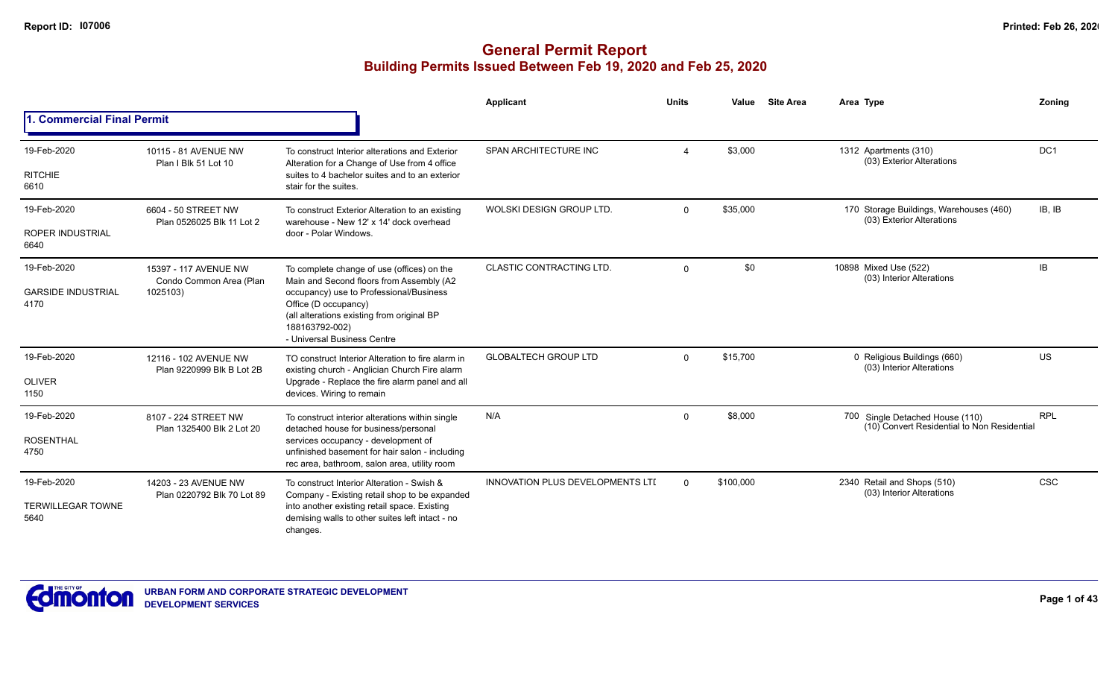|                                                  |                                                              |                                                                                                                                                                                                                                                          | <b>Applicant</b>                        | <b>Units</b> | Value<br><b>Site Area</b> | Area Type                                                                      | Zoning     |
|--------------------------------------------------|--------------------------------------------------------------|----------------------------------------------------------------------------------------------------------------------------------------------------------------------------------------------------------------------------------------------------------|-----------------------------------------|--------------|---------------------------|--------------------------------------------------------------------------------|------------|
| 1. Commercial Final Permit                       |                                                              |                                                                                                                                                                                                                                                          |                                         |              |                           |                                                                                |            |
| 19-Feb-2020<br><b>RITCHIE</b><br>6610            | 10115 - 81 AVENUE NW<br>Plan I Blk 51 Lot 10                 | To construct Interior alterations and Exterior<br>Alteration for a Change of Use from 4 office<br>suites to 4 bachelor suites and to an exterior<br>stair for the suites.                                                                                | SPAN ARCHITECTURE INC                   |              | \$3,000                   | 1312 Apartments (310)<br>(03) Exterior Alterations                             | DC1        |
| 19-Feb-2020<br><b>ROPER INDUSTRIAL</b><br>6640   | 6604 - 50 STREET NW<br>Plan 0526025 Blk 11 Lot 2             | To construct Exterior Alteration to an existing<br>warehouse - New 12' x 14' dock overhead<br>door - Polar Windows.                                                                                                                                      | WOLSKI DESIGN GROUP LTD.                | $\Omega$     | \$35,000                  | 170 Storage Buildings, Warehouses (460)<br>(03) Exterior Alterations           | IB, IB     |
| 19-Feb-2020<br><b>GARSIDE INDUSTRIAL</b><br>4170 | 15397 - 117 AVENUE NW<br>Condo Common Area (Plan<br>1025103) | To complete change of use (offices) on the<br>Main and Second floors from Assembly (A2<br>occupancy) use to Professional/Business<br>Office (D occupancy)<br>(all alterations existing from original BP<br>188163792-002)<br>- Universal Business Centre | <b>CLASTIC CONTRACTING LTD.</b>         | $\Omega$     | \$0                       | 10898 Mixed Use (522)<br>(03) Interior Alterations                             | IB.        |
| 19-Feb-2020<br><b>OLIVER</b><br>1150             | 12116 - 102 AVENUE NW<br>Plan 9220999 Blk B Lot 2B           | TO construct Interior Alteration to fire alarm in<br>existing church - Anglician Church Fire alarm<br>Upgrade - Replace the fire alarm panel and all<br>devices. Wiring to remain                                                                        | <b>GLOBALTECH GROUP LTD</b>             | $\Omega$     | \$15,700                  | 0 Religious Buildings (660)<br>(03) Interior Alterations                       | US         |
| 19-Feb-2020<br><b>ROSENTHAL</b><br>4750          | 8107 - 224 STREET NW<br>Plan 1325400 Blk 2 Lot 20            | To construct interior alterations within single<br>detached house for business/personal<br>services occupancy - development of<br>unfinished basement for hair salon - including<br>rec area, bathroom, salon area, utility room                         | N/A                                     | $\Omega$     | \$8,000                   | 700 Single Detached House (110)<br>(10) Convert Residential to Non Residential | <b>RPL</b> |
| 19-Feb-2020<br><b>TERWILLEGAR TOWNE</b><br>5640  | 14203 - 23 AVENUE NW<br>Plan 0220792 Blk 70 Lot 89           | To construct Interior Alteration - Swish &<br>Company - Existing retail shop to be expanded<br>into another existing retail space. Existing<br>demising walls to other suites left intact - no<br>changes.                                               | <b>INNOVATION PLUS DEVELOPMENTS LTD</b> | $\Omega$     | \$100,000                 | 2340 Retail and Shops (510)<br>(03) Interior Alterations                       | <b>CSC</b> |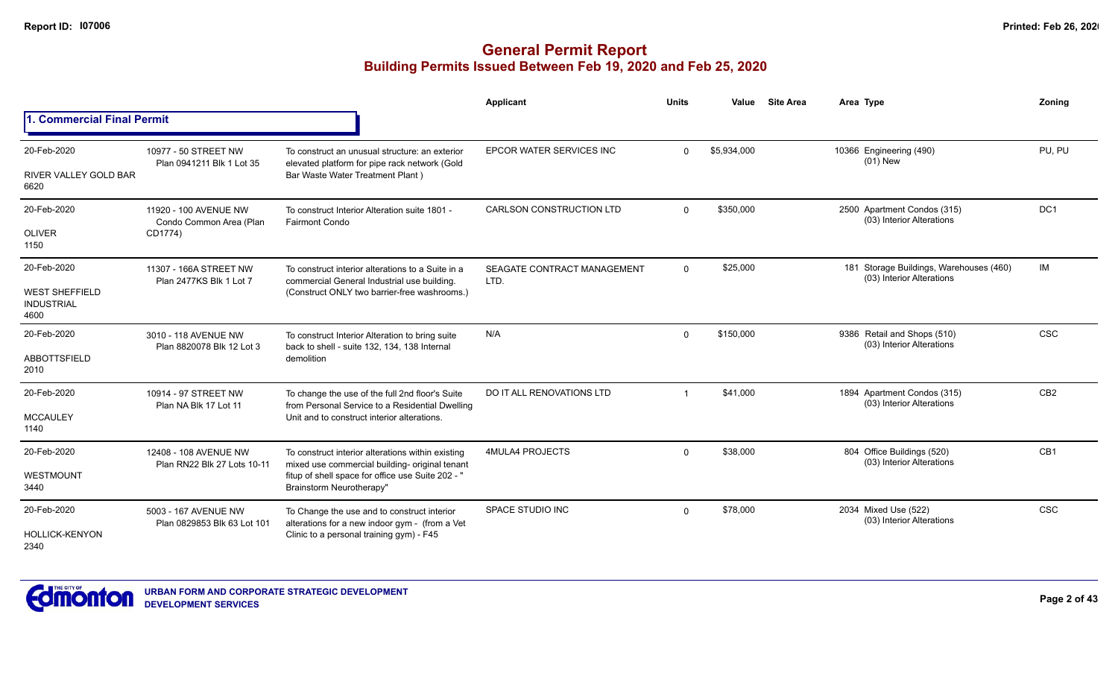|                                                    |                                                     |                                                                                                     | <b>Applicant</b>                    | <b>Units</b> | Value       | <b>Site Area</b> | Area Type                                                            | Zoning          |
|----------------------------------------------------|-----------------------------------------------------|-----------------------------------------------------------------------------------------------------|-------------------------------------|--------------|-------------|------------------|----------------------------------------------------------------------|-----------------|
| 1. Commercial Final Permit                         |                                                     |                                                                                                     |                                     |              |             |                  |                                                                      |                 |
| 20-Feb-2020                                        | 10977 - 50 STREET NW<br>Plan 0941211 Blk 1 Lot 35   | To construct an unusual structure: an exterior<br>elevated platform for pipe rack network (Gold     | EPCOR WATER SERVICES INC            | $\Omega$     | \$5,934,000 |                  | 10366 Engineering (490)<br>$(01)$ New                                | PU, PU          |
| RIVER VALLEY GOLD BAR<br>6620                      |                                                     | Bar Waste Water Treatment Plant)                                                                    |                                     |              |             |                  |                                                                      |                 |
| 20-Feb-2020                                        | 11920 - 100 AVENUE NW<br>Condo Common Area (Plan    | To construct Interior Alteration suite 1801 -<br><b>Fairmont Condo</b>                              | <b>CARLSON CONSTRUCTION LTD</b>     | $\Omega$     | \$350,000   |                  | 2500 Apartment Condos (315)<br>(03) Interior Alterations             | DC <sub>1</sub> |
| <b>OLIVER</b><br>1150                              | CD1774)                                             |                                                                                                     |                                     |              |             |                  |                                                                      |                 |
| 20-Feb-2020                                        | 11307 - 166A STREET NW<br>Plan 2477KS Blk 1 Lot 7   | To construct interior alterations to a Suite in a<br>commercial General Industrial use building.    | SEAGATE CONTRACT MANAGEMENT<br>LTD. | $\mathbf 0$  | \$25,000    |                  | 181 Storage Buildings, Warehouses (460)<br>(03) Interior Alterations | IM              |
| <b>WEST SHEFFIELD</b><br><b>INDUSTRIAL</b><br>4600 |                                                     | (Construct ONLY two barrier-free washrooms.)                                                        |                                     |              |             |                  |                                                                      |                 |
| 20-Feb-2020                                        | 3010 - 118 AVENUE NW<br>Plan 8820078 Blk 12 Lot 3   | To construct Interior Alteration to bring suite<br>back to shell - suite 132, 134, 138 Internal     | N/A                                 | $\Omega$     | \$150,000   |                  | 9386 Retail and Shops (510)<br>(03) Interior Alterations             | <b>CSC</b>      |
| <b>ABBOTTSFIELD</b><br>2010                        |                                                     | demolition                                                                                          |                                     |              |             |                  |                                                                      |                 |
| 20-Feb-2020                                        | 10914 - 97 STREET NW<br>Plan NA Blk 17 Lot 11       | To change the use of the full 2nd floor's Suite<br>from Personal Service to a Residential Dwelling  | DO IT ALL RENOVATIONS LTD           |              | \$41,000    |                  | 1894 Apartment Condos (315)<br>(03) Interior Alterations             | CB <sub>2</sub> |
| <b>MCCAULEY</b><br>1140                            |                                                     | Unit and to construct interior alterations.                                                         |                                     |              |             |                  |                                                                      |                 |
| 20-Feb-2020                                        | 12408 - 108 AVENUE NW                               | To construct interior alterations within existing<br>mixed use commercial building- original tenant | 4MULA4 PROJECTS                     | $\Omega$     | \$38,000    |                  | 804 Office Buildings (520)<br>(03) Interior Alterations              | CB <sub>1</sub> |
| <b>WESTMOUNT</b><br>3440                           | Plan RN22 Blk 27 Lots 10-11                         | fitup of shell space for office use Suite 202 - "<br>Brainstorm Neurotherapy"                       |                                     |              |             |                  |                                                                      |                 |
| 20-Feb-2020                                        | 5003 - 167 AVENUE NW<br>Plan 0829853 Blk 63 Lot 101 | To Change the use and to construct interior<br>alterations for a new indoor gym - (from a Vet       | <b>SPACE STUDIO INC</b>             | $\Omega$     | \$78,000    |                  | 2034 Mixed Use (522)<br>(03) Interior Alterations                    | <b>CSC</b>      |
| HOLLICK-KENYON<br>2340                             |                                                     | Clinic to a personal training gym) - F45                                                            |                                     |              |             |                  |                                                                      |                 |

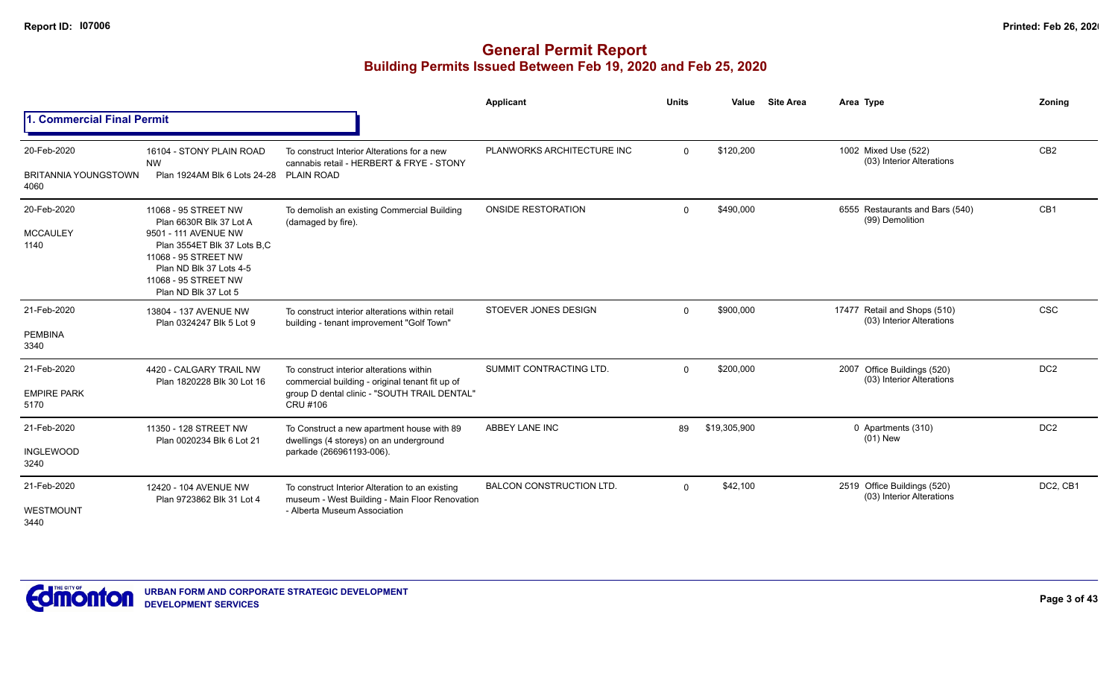|                                             |                                                                                                                                                                                                           |                                                                                                                                                                | Applicant                       | <b>Units</b> | Value        | <b>Site Area</b> | Area Type                                                 | Zoning          |
|---------------------------------------------|-----------------------------------------------------------------------------------------------------------------------------------------------------------------------------------------------------------|----------------------------------------------------------------------------------------------------------------------------------------------------------------|---------------------------------|--------------|--------------|------------------|-----------------------------------------------------------|-----------------|
| <b>Commercial Final Permit</b>              |                                                                                                                                                                                                           |                                                                                                                                                                |                                 |              |              |                  |                                                           |                 |
| 20-Feb-2020<br>BRITANNIA YOUNGSTOWN<br>4060 | 16104 - STONY PLAIN ROAD<br><b>NW</b><br>Plan 1924AM Blk 6 Lots 24-28 PLAIN ROAD                                                                                                                          | To construct Interior Alterations for a new<br>cannabis retail - HERBERT & FRYE - STONY                                                                        | PLANWORKS ARCHITECTURE INC      | $\Omega$     | \$120,200    |                  | 1002 Mixed Use (522)<br>(03) Interior Alterations         | CB <sub>2</sub> |
| 20-Feb-2020<br><b>MCCAULEY</b><br>1140      | 11068 - 95 STREET NW<br>Plan 6630R Blk 37 Lot A<br>9501 - 111 AVENUE NW<br>Plan 3554ET Blk 37 Lots B.C<br>11068 - 95 STREET NW<br>Plan ND Blk 37 Lots 4-5<br>11068 - 95 STREET NW<br>Plan ND Blk 37 Lot 5 | To demolish an existing Commercial Building<br>(damaged by fire).                                                                                              | <b>ONSIDE RESTORATION</b>       | $\Omega$     | \$490,000    |                  | 6555 Restaurants and Bars (540)<br>(99) Demolition        | CB1             |
| 21-Feb-2020<br>PEMBINA<br>3340              | 13804 - 137 AVENUE NW<br>Plan 0324247 Blk 5 Lot 9                                                                                                                                                         | To construct interior alterations within retail<br>building - tenant improvement "Golf Town"                                                                   | STOEVER JONES DESIGN            | $\Omega$     | \$900,000    |                  | 17477 Retail and Shops (510)<br>(03) Interior Alterations | <b>CSC</b>      |
| 21-Feb-2020<br><b>EMPIRE PARK</b><br>5170   | 4420 - CALGARY TRAIL NW<br>Plan 1820228 Blk 30 Lot 16                                                                                                                                                     | To construct interior alterations within<br>commercial building - original tenant fit up of<br>group D dental clinic - "SOUTH TRAIL DENTAL"<br><b>CRU #106</b> | SUMMIT CONTRACTING LTD.         | $\Omega$     | \$200,000    |                  | 2007 Office Buildings (520)<br>(03) Interior Alterations  | DC <sub>2</sub> |
| 21-Feb-2020<br><b>INGLEWOOD</b><br>3240     | 11350 - 128 STREET NW<br>Plan 0020234 Blk 6 Lot 21                                                                                                                                                        | To Construct a new apartment house with 89<br>dwellings (4 storeys) on an underground<br>parkade (266961193-006).                                              | ABBEY LANE INC                  | 89           | \$19,305,900 |                  | 0 Apartments (310)<br>$(01)$ New                          | DC <sub>2</sub> |
| 21-Feb-2020<br>WESTMOUNT<br>3440            | 12420 - 104 AVENUE NW<br>Plan 9723862 Blk 31 Lot 4                                                                                                                                                        | To construct Interior Alteration to an existing<br>museum - West Building - Main Floor Renovation<br>- Alberta Museum Association                              | <b>BALCON CONSTRUCTION LTD.</b> | $\Omega$     | \$42,100     |                  | 2519 Office Buildings (520)<br>(03) Interior Alterations  | DC2, CB1        |

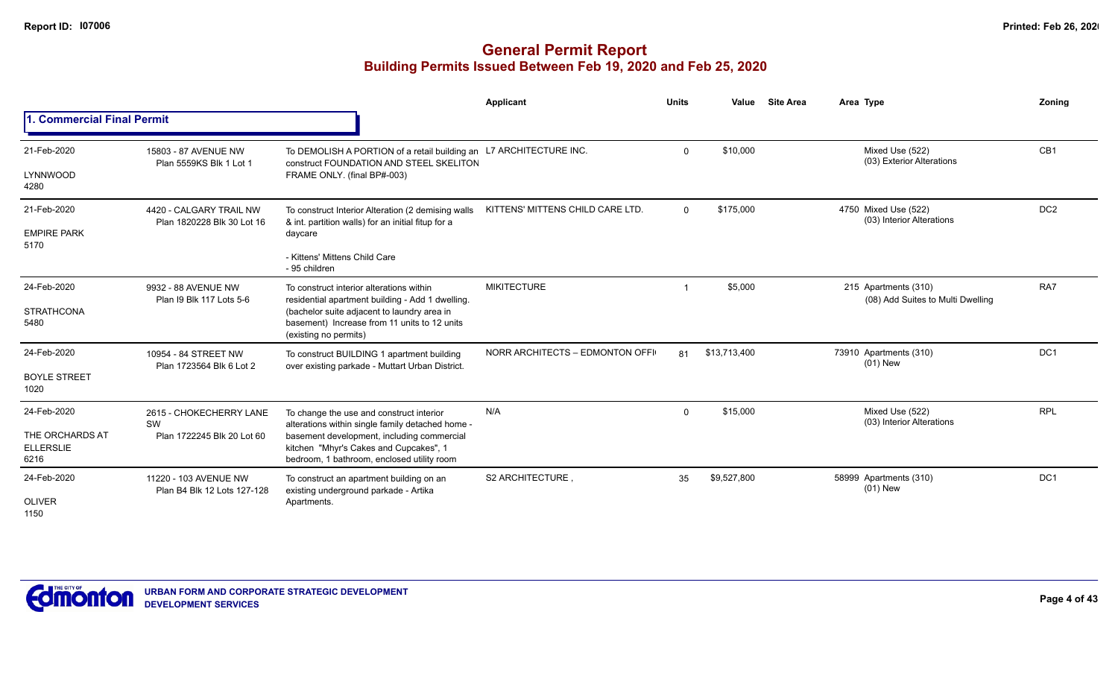|                                             |                                                       |                                                                                                                                    | Applicant                        | <b>Units</b>   | Value        | <b>Site Area</b> | Area Type                                                 | Zoning          |
|---------------------------------------------|-------------------------------------------------------|------------------------------------------------------------------------------------------------------------------------------------|----------------------------------|----------------|--------------|------------------|-----------------------------------------------------------|-----------------|
| 1. Commercial Final Permit                  |                                                       |                                                                                                                                    |                                  |                |              |                  |                                                           |                 |
| 21-Feb-2020                                 | 15803 - 87 AVENUE NW                                  | To DEMOLISH A PORTION of a retail building an                                                                                      | L7 ARCHITECTURE INC.             | $\Omega$       | \$10,000     |                  | Mixed Use (522)<br>(03) Exterior Alterations              | CB1             |
| LYNNWOOD<br>4280                            | Plan 5559KS Blk 1 Lot 1                               | construct FOUNDATION AND STEEL SKELITON<br>FRAME ONLY. (final BP#-003)                                                             |                                  |                |              |                  |                                                           |                 |
| 21-Feb-2020                                 | 4420 - CALGARY TRAIL NW<br>Plan 1820228 Blk 30 Lot 16 | To construct Interior Alteration (2 demising walls<br>& int. partition walls) for an initial fitup for a                           | KITTENS' MITTENS CHILD CARE LTD. | $\Omega$       | \$175,000    |                  | 4750 Mixed Use (522)<br>(03) Interior Alterations         | DC <sub>2</sub> |
| <b>EMPIRE PARK</b><br>5170                  |                                                       | daycare<br>- Kittens' Mittens Child Care<br>- 95 children                                                                          |                                  |                |              |                  |                                                           |                 |
|                                             |                                                       |                                                                                                                                    |                                  |                |              |                  |                                                           |                 |
| 24-Feb-2020                                 | 9932 - 88 AVENUE NW<br>Plan I9 Blk 117 Lots 5-6       | To construct interior alterations within<br>residential apartment building - Add 1 dwelling.                                       | <b>MIKITECTURE</b>               | $\overline{1}$ | \$5,000      |                  | 215 Apartments (310)<br>(08) Add Suites to Multi Dwelling | RA7             |
| <b>STRATHCONA</b><br>5480                   |                                                       | (bachelor suite adjacent to laundry area in<br>basement) Increase from 11 units to 12 units<br>(existing no permits)               |                                  |                |              |                  |                                                           |                 |
| 24-Feb-2020                                 | 10954 - 84 STREET NW<br>Plan 1723564 Blk 6 Lot 2      | To construct BUILDING 1 apartment building<br>over existing parkade - Muttart Urban District.                                      | NORR ARCHITECTS - EDMONTON OFFI  | 81             | \$13,713,400 |                  | 73910 Apartments (310)<br>$(01)$ New                      | DC1             |
| <b>BOYLE STREET</b><br>1020                 |                                                       |                                                                                                                                    |                                  |                |              |                  |                                                           |                 |
| 24-Feb-2020                                 | 2615 - CHOKECHERRY LANE                               | To change the use and construct interior<br>alterations within single family detached home -                                       | N/A                              | $\Omega$       | \$15,000     |                  | Mixed Use (522)<br>(03) Interior Alterations              | <b>RPL</b>      |
| THE ORCHARDS AT<br><b>ELLERSLIE</b><br>6216 | SW<br>Plan 1722245 Blk 20 Lot 60                      | basement development, including commercial<br>kitchen "Mhyr's Cakes and Cupcakes", 1<br>bedroom, 1 bathroom, enclosed utility room |                                  |                |              |                  |                                                           |                 |
| 24-Feb-2020                                 | 11220 - 103 AVENUE NW<br>Plan B4 Blk 12 Lots 127-128  | To construct an apartment building on an<br>existing underground parkade - Artika                                                  | S2 ARCHITECTURE                  | 35             | \$9,527,800  |                  | 58999 Apartments (310)<br>$(01)$ New                      | DC <sub>1</sub> |
| <b>OLIVER</b><br>1150                       |                                                       | Apartments.                                                                                                                        |                                  |                |              |                  |                                                           |                 |

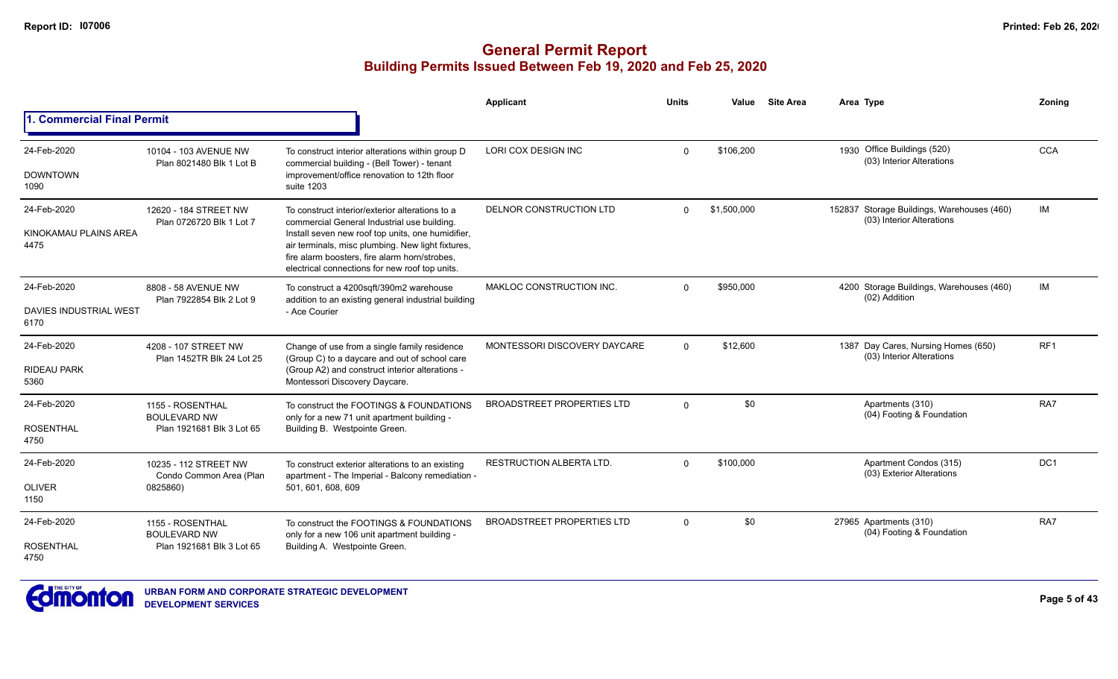|                                |                                                   |                                                                                                                                                                                                           | <b>Applicant</b>                  | <b>Units</b> | Value       | <b>Site Area</b> | Area Type                                                               | Zonina          |
|--------------------------------|---------------------------------------------------|-----------------------------------------------------------------------------------------------------------------------------------------------------------------------------------------------------------|-----------------------------------|--------------|-------------|------------------|-------------------------------------------------------------------------|-----------------|
| 1. Commercial Final Permit     |                                                   |                                                                                                                                                                                                           |                                   |              |             |                  |                                                                         |                 |
| 24-Feb-2020                    | 10104 - 103 AVENUE NW                             | To construct interior alterations within group D                                                                                                                                                          | <b>LORI COX DESIGN INC</b>        | $\Omega$     | \$106.200   |                  | Office Buildings (520)<br>1930<br>(03) Interior Alterations             | <b>CCA</b>      |
| <b>DOWNTOWN</b><br>1090        | Plan 8021480 Blk 1 Lot B                          | commercial building - (Bell Tower) - tenant<br>improvement/office renovation to 12th floor<br>suite 1203                                                                                                  |                                   |              |             |                  |                                                                         |                 |
| 24-Feb-2020                    | 12620 - 184 STREET NW<br>Plan 0726720 Blk 1 Lot 7 | To construct interior/exterior alterations to a<br>commercial General Industrial use building.                                                                                                            | DELNOR CONSTRUCTION LTD           | $\Omega$     | \$1,500,000 |                  | 152837 Storage Buildings, Warehouses (460)<br>(03) Interior Alterations | IM              |
| KINOKAMAU PLAINS AREA<br>4475  | 8808 - 58 AVENUE NW                               | Install seven new roof top units, one humidifier,<br>air terminals, misc plumbing. New light fixtures,<br>fire alarm boosters, fire alarm horn/strobes.<br>electrical connections for new roof top units. |                                   |              |             |                  |                                                                         |                 |
| 24-Feb-2020                    | Plan 7922854 Blk 2 Lot 9                          | To construct a 4200sqft/390m2 warehouse<br>addition to an existing general industrial building                                                                                                            | MAKLOC CONSTRUCTION INC.          | $\Omega$     | \$950,000   |                  | 4200 Storage Buildings, Warehouses (460)<br>(02) Addition               | IM              |
| DAVIES INDUSTRIAL WEST<br>6170 |                                                   | - Ace Courier                                                                                                                                                                                             |                                   |              |             |                  |                                                                         |                 |
| 24-Feb-2020                    | 4208 - 107 STREET NW                              | Change of use from a single family residence                                                                                                                                                              | MONTESSORI DISCOVERY DAYCARE      | $\Omega$     | \$12,600    |                  | 1387 Day Cares, Nursing Homes (650)<br>(03) Interior Alterations        | RF <sub>1</sub> |
| <b>RIDEAU PARK</b><br>5360     | Plan 1452TR Blk 24 Lot 25                         | (Group C) to a daycare and out of school care<br>(Group A2) and construct interior alterations -<br>Montessori Discovery Daycare.                                                                         |                                   |              |             |                  |                                                                         |                 |
| 24-Feb-2020                    | 1155 - ROSENTHAL<br><b>BOULEVARD NW</b>           | To construct the FOOTINGS & FOUNDATIONS<br>only for a new 71 unit apartment building -                                                                                                                    | <b>BROADSTREET PROPERTIES LTD</b> | $\Omega$     | \$0         |                  | Apartments (310)<br>(04) Footing & Foundation                           | RA7             |
| <b>ROSENTHAL</b><br>4750       | Plan 1921681 Blk 3 Lot 65                         | Building B. Westpointe Green.                                                                                                                                                                             |                                   |              |             |                  |                                                                         |                 |
| 24-Feb-2020                    | 10235 - 112 STREET NW                             | To construct exterior alterations to an existing<br>apartment - The Imperial - Balcony remediation -                                                                                                      | <b>RESTRUCTION ALBERTA LTD.</b>   | $\Omega$     | \$100.000   |                  | Apartment Condos (315)<br>(03) Exterior Alterations                     | DC <sub>1</sub> |
| <b>OLIVER</b><br>1150          | Condo Common Area (Plan<br>0825860)               | 501, 601, 608, 609                                                                                                                                                                                        |                                   |              |             |                  |                                                                         |                 |
| 24-Feb-2020                    | 1155 - ROSENTHAL<br><b>BOULEVARD NW</b>           | To construct the FOOTINGS & FOUNDATIONS<br>only for a new 106 unit apartment building -                                                                                                                   | <b>BROADSTREET PROPERTIES LTD</b> | $\Omega$     | \$0         |                  | 27965 Apartments (310)<br>(04) Footing & Foundation                     | RA7             |
| <b>ROSENTHAL</b><br>4750       | Plan 1921681 Blk 3 Lot 65                         | Building A. Westpointe Green.                                                                                                                                                                             |                                   |              |             |                  |                                                                         |                 |

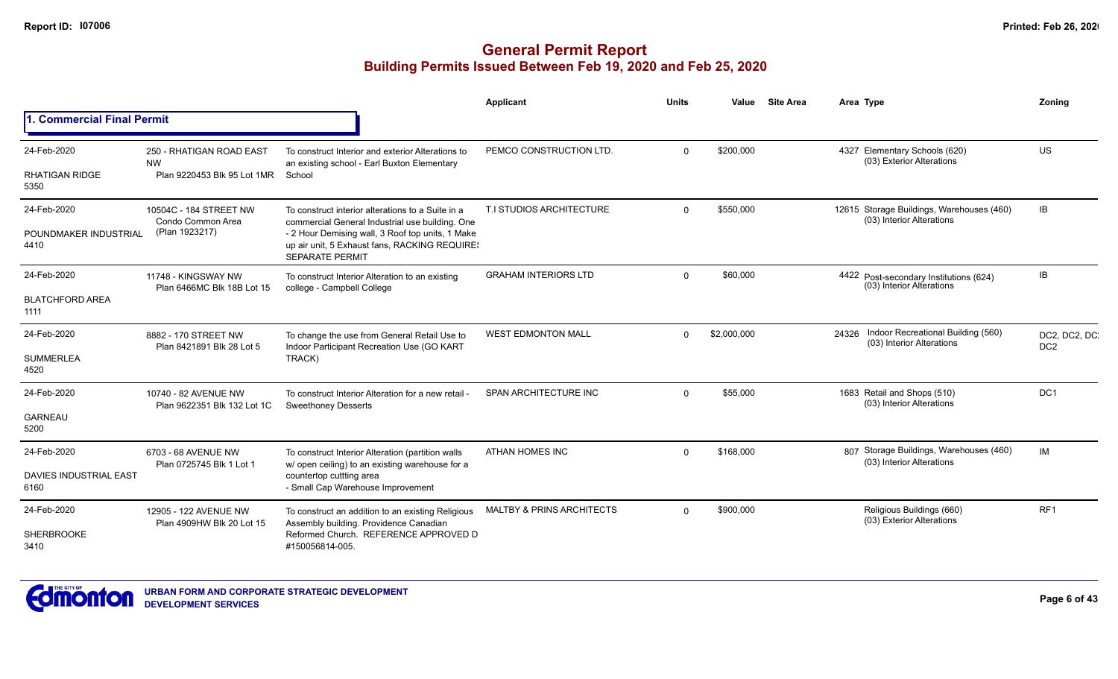|                                       |                                                                      |                                                                                                                             | Applicant                            | <b>Units</b> | Value       | <b>Site Area</b> |       | Area Type                                                              | Zoning                           |
|---------------------------------------|----------------------------------------------------------------------|-----------------------------------------------------------------------------------------------------------------------------|--------------------------------------|--------------|-------------|------------------|-------|------------------------------------------------------------------------|----------------------------------|
| <b>. Commercial Final Permit</b>      |                                                                      |                                                                                                                             |                                      |              |             |                  |       |                                                                        |                                  |
| 24-Feb-2020<br><b>RHATIGAN RIDGE</b>  | 250 - RHATIGAN ROAD EAST<br><b>NW</b><br>Plan 9220453 Blk 95 Lot 1MR | To construct Interior and exterior Alterations to<br>an existing school - Earl Buxton Elementary<br>School                  | PEMCO CONSTRUCTION LTD.              | $\Omega$     | \$200,000   |                  |       | 4327 Elementary Schools (620)<br>(03) Exterior Alterations             | <b>US</b>                        |
| 5350                                  |                                                                      |                                                                                                                             |                                      |              |             |                  |       |                                                                        |                                  |
| 24-Feb-2020                           | 10504C - 184 STREET NW<br>Condo Common Area                          | To construct interior alterations to a Suite in a<br>commercial General Industrial use building. One                        | T.I STUDIOS ARCHITECTURE             | $\Omega$     | \$550,000   |                  |       | 12615 Storage Buildings, Warehouses (460)<br>(03) Interior Alterations | IB                               |
| POUNDMAKER INDUSTRIAL<br>4410         | (Plan 1923217)                                                       | - 2 Hour Demising wall, 3 Roof top units, 1 Make<br>up air unit, 5 Exhaust fans, RACKING REQUIRE!<br><b>SEPARATE PERMIT</b> |                                      |              |             |                  |       |                                                                        |                                  |
| 24-Feb-2020                           | 11748 - KINGSWAY NW<br>Plan 6466MC Blk 18B Lot 15                    | To construct Interior Alteration to an existing<br>college - Campbell College                                               | <b>GRAHAM INTERIORS LTD</b>          | $\Omega$     | \$60,000    |                  |       | 4422 Post-secondary Institutions (624)<br>(03) Interior Alterations    | IB                               |
| <b>BLATCHFORD AREA</b><br>1111        |                                                                      |                                                                                                                             |                                      |              |             |                  |       |                                                                        |                                  |
| 24-Feb-2020                           | 8882 - 170 STREET NW<br>Plan 8421891 Blk 28 Lot 5                    | To change the use from General Retail Use to<br>Indoor Participant Recreation Use (GO KART                                  | <b>WEST EDMONTON MALL</b>            | $\Omega$     | \$2,000,000 |                  | 24326 | Indoor Recreational Building (560)<br>(03) Interior Alterations        | DC2, DC2, DC.<br>DC <sub>2</sub> |
| <b>SUMMERLEA</b><br>4520              |                                                                      | TRACK)                                                                                                                      |                                      |              |             |                  |       |                                                                        |                                  |
| 24-Feb-2020                           | 10740 - 82 AVENUE NW<br>Plan 9622351 Blk 132 Lot 1C                  | To construct Interior Alteration for a new retail -<br><b>Sweethoney Desserts</b>                                           | SPAN ARCHITECTURE INC                | $\Omega$     | \$55,000    |                  |       | 1683 Retail and Shops (510)<br>(03) Interior Alterations               | DC <sub>1</sub>                  |
| <b>GARNEAU</b><br>5200                |                                                                      |                                                                                                                             |                                      |              |             |                  |       |                                                                        |                                  |
| 24-Feb-2020                           | 6703 - 68 AVENUE NW                                                  | To construct Interior Alteration (partition walls<br>w/ open ceiling) to an existing warehouse for a                        | <b>ATHAN HOMES INC</b>               | $\Omega$     | \$168,000   |                  |       | 807 Storage Buildings, Warehouses (460)<br>(03) Interior Alterations   | <b>IM</b>                        |
| <b>DAVIES INDUSTRIAL EAST</b><br>6160 | Plan 0725745 Blk 1 Lot 1                                             | countertop cuttting area<br>- Small Cap Warehouse Improvement                                                               |                                      |              |             |                  |       |                                                                        |                                  |
| 24-Feb-2020                           | 12905 - 122 AVENUE NW<br>Plan 4909HW Blk 20 Lot 15                   | To construct an addition to an existing Religious<br>Assembly building. Providence Canadian                                 | <b>MALTBY &amp; PRINS ARCHITECTS</b> | $\Omega$     | \$900,000   |                  |       | Religious Buildings (660)<br>(03) Exterior Alterations                 | RF <sub>1</sub>                  |
| SHERBROOKE<br>3410                    |                                                                      | Reformed Church. REFERENCE APPROVED D<br>#150056814-005.                                                                    |                                      |              |             |                  |       |                                                                        |                                  |

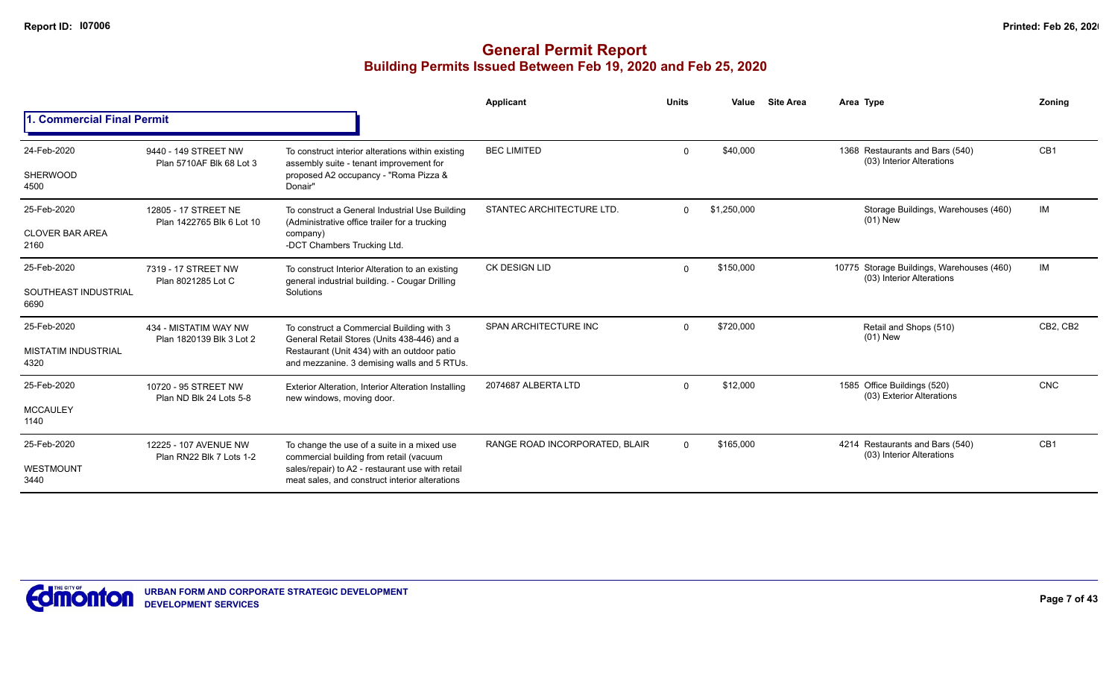|                                    |                                                   |                                                                                                                                               | Applicant                      | <b>Units</b> | Value       | <b>Site Area</b> | Area Type                                                              | Zoning          |
|------------------------------------|---------------------------------------------------|-----------------------------------------------------------------------------------------------------------------------------------------------|--------------------------------|--------------|-------------|------------------|------------------------------------------------------------------------|-----------------|
| 1. Commercial Final Permit         |                                                   |                                                                                                                                               |                                |              |             |                  |                                                                        |                 |
| 24-Feb-2020                        | 9440 - 149 STREET NW<br>Plan 5710AF Blk 68 Lot 3  | To construct interior alterations within existing<br>assembly suite - tenant improvement for                                                  | <b>BEC LIMITED</b>             | $\Omega$     | \$40,000    |                  | 1368 Restaurants and Bars (540)<br>(03) Interior Alterations           | CB <sub>1</sub> |
| <b>SHERWOOD</b><br>4500            |                                                   | proposed A2 occupancy - "Roma Pizza &<br>Donair"                                                                                              |                                |              |             |                  |                                                                        |                 |
| 25-Feb-2020                        | 12805 - 17 STREET NE<br>Plan 1422765 Blk 6 Lot 10 | To construct a General Industrial Use Building<br>(Administrative office trailer for a trucking                                               | STANTEC ARCHITECTURE LTD.      | $\Omega$     | \$1,250,000 |                  | Storage Buildings, Warehouses (460)<br>$(01)$ New                      | IM              |
| <b>CLOVER BAR AREA</b><br>2160     |                                                   | company)<br>-DCT Chambers Trucking Ltd.                                                                                                       |                                |              |             |                  |                                                                        |                 |
| 25-Feb-2020                        | 7319 - 17 STREET NW                               | To construct Interior Alteration to an existing<br>general industrial building. - Cougar Drilling                                             | <b>CK DESIGN LID</b>           | $\Omega$     | \$150,000   |                  | 10775 Storage Buildings, Warehouses (460)<br>(03) Interior Alterations | IM              |
| SOUTHEAST INDUSTRIAL<br>6690       | Plan 8021285 Lot C                                | Solutions                                                                                                                                     |                                |              |             |                  |                                                                        |                 |
| 25-Feb-2020                        | 434 - MISTATIM WAY NW<br>Plan 1820139 Blk 3 Lot 2 | To construct a Commercial Building with 3<br>General Retail Stores (Units 438-446) and a                                                      | SPAN ARCHITECTURE INC          | $\Omega$     | \$720,000   |                  | Retail and Shops (510)<br>$(01)$ New                                   | CB2, CB2        |
| <b>MISTATIM INDUSTRIAL</b><br>4320 |                                                   | Restaurant (Unit 434) with an outdoor patio<br>and mezzanine. 3 demising walls and 5 RTUs.                                                    |                                |              |             |                  |                                                                        |                 |
| 25-Feb-2020                        | 10720 - 95 STREET NW<br>Plan ND Blk 24 Lots 5-8   | Exterior Alteration, Interior Alteration Installing<br>new windows, moving door.                                                              | 2074687 ALBERTA LTD            | $\Omega$     | \$12,000    |                  | 1585 Office Buildings (520)<br>(03) Exterior Alterations               | <b>CNC</b>      |
| <b>MCCAULEY</b><br>1140            |                                                   |                                                                                                                                               |                                |              |             |                  |                                                                        |                 |
| 25-Feb-2020                        | 12225 - 107 AVENUE NW<br>Plan RN22 Blk 7 Lots 1-2 | To change the use of a suite in a mixed use                                                                                                   | RANGE ROAD INCORPORATED, BLAIR | $\Omega$     | \$165,000   |                  | 4214 Restaurants and Bars (540)<br>(03) Interior Alterations           | CB1             |
| WESTMOUNT<br>3440                  |                                                   | commercial building from retail (vacuum<br>sales/repair) to A2 - restaurant use with retail<br>meat sales, and construct interior alterations |                                |              |             |                  |                                                                        |                 |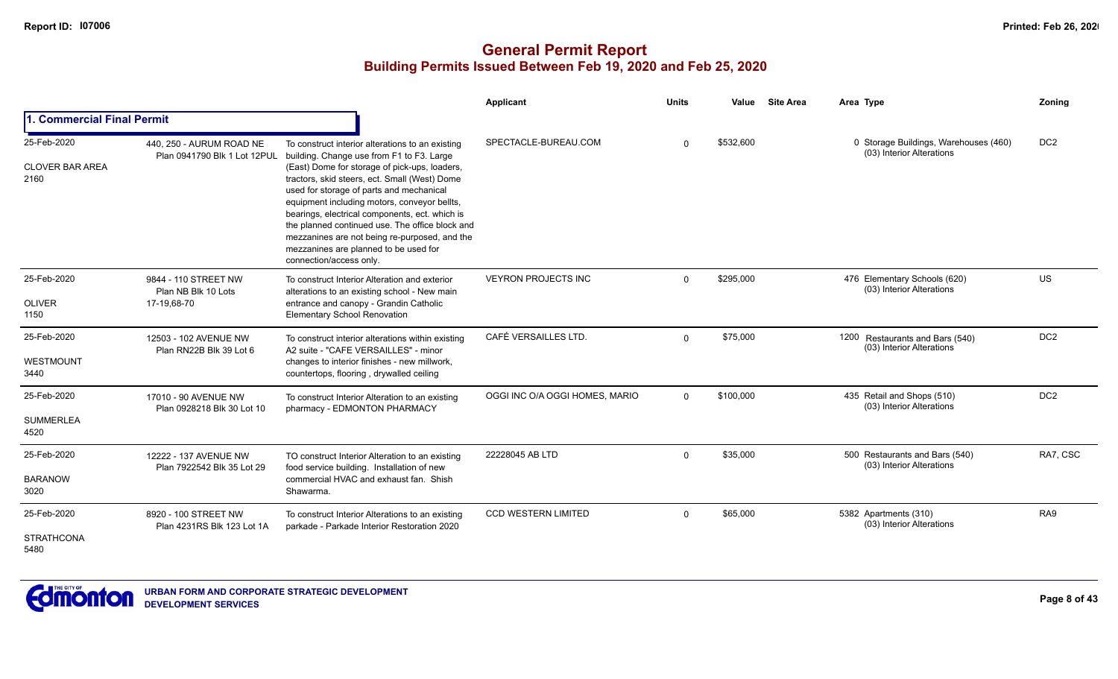|                                         |                                                          |                                                                                                                                                                                                                                                                                                                                                                                                                      | Applicant                      | <b>Units</b> | Value     | <b>Site Area</b> | Area Type                                                          | Zoning          |
|-----------------------------------------|----------------------------------------------------------|----------------------------------------------------------------------------------------------------------------------------------------------------------------------------------------------------------------------------------------------------------------------------------------------------------------------------------------------------------------------------------------------------------------------|--------------------------------|--------------|-----------|------------------|--------------------------------------------------------------------|-----------------|
| 1. Commercial Final Permit              |                                                          |                                                                                                                                                                                                                                                                                                                                                                                                                      |                                |              |           |                  |                                                                    |                 |
| 25-Feb-2020                             | 440, 250 - AURUM ROAD NE<br>Plan 0941790 Blk 1 Lot 12PUL | To construct interior alterations to an existing<br>building. Change use from F1 to F3. Large                                                                                                                                                                                                                                                                                                                        | SPECTACLE-BUREAU.COM           | $\Omega$     | \$532,600 |                  | 0 Storage Buildings, Warehouses (460)<br>(03) Interior Alterations | DC <sub>2</sub> |
| <b>CLOVER BAR AREA</b><br>2160          |                                                          | (East) Dome for storage of pick-ups, loaders,<br>tractors, skid steers, ect. Small (West) Dome<br>used for storage of parts and mechanical<br>equipment including motors, conveyor bellts,<br>bearings, electrical components, ect. which is<br>the planned continued use. The office block and<br>mezzanines are not being re-purposed, and the<br>mezzanines are planned to be used for<br>connection/access only. |                                |              |           |                  |                                                                    |                 |
| 25-Feb-2020                             | 9844 - 110 STREET NW<br>Plan NB Blk 10 Lots              | To construct Interior Alteration and exterior<br>alterations to an existing school - New main                                                                                                                                                                                                                                                                                                                        | <b>VEYRON PROJECTS INC</b>     | $\Omega$     | \$295.000 |                  | 476 Elementary Schools (620)<br>(03) Interior Alterations          | <b>US</b>       |
| <b>OLIVER</b><br>1150                   | 17-19,68-70                                              | entrance and canopy - Grandin Catholic<br><b>Elementary School Renovation</b>                                                                                                                                                                                                                                                                                                                                        |                                |              |           |                  |                                                                    |                 |
| 25-Feb-2020<br><b>WESTMOUNT</b><br>3440 | 12503 - 102 AVENUE NW<br>Plan RN22B Blk 39 Lot 6         | To construct interior alterations within existing<br>A2 suite - "CAFE VERSAILLES" - minor<br>changes to interior finishes - new millwork,<br>countertops, flooring, drywalled ceiling                                                                                                                                                                                                                                | CAFÉ VERSAILLES LTD.           | $\Omega$     | \$75,000  |                  | 1200 Restaurants and Bars (540)<br>(03) Interior Alterations       | DC <sub>2</sub> |
| 25-Feb-2020                             | 17010 - 90 AVENUE NW<br>Plan 0928218 Blk 30 Lot 10       | To construct Interior Alteration to an existing<br>pharmacy - EDMONTON PHARMACY                                                                                                                                                                                                                                                                                                                                      | OGGI INC O/A OGGI HOMES, MARIO | $\Omega$     | \$100,000 |                  | 435 Retail and Shops (510)<br>(03) Interior Alterations            | DC <sub>2</sub> |
| <b>SUMMERLEA</b><br>4520                |                                                          |                                                                                                                                                                                                                                                                                                                                                                                                                      |                                |              |           |                  |                                                                    |                 |
| 25-Feb-2020                             | 12222 - 137 AVENUE NW                                    | TO construct Interior Alteration to an existing<br>food service building. Installation of new                                                                                                                                                                                                                                                                                                                        | 22228045 AB LTD                | $\Omega$     | \$35,000  |                  | 500 Restaurants and Bars (540)<br>(03) Interior Alterations        | RA7, CSC        |
| <b>BARANOW</b><br>3020                  | Plan 7922542 Blk 35 Lot 29                               | commercial HVAC and exhaust fan. Shish<br>Shawarma.                                                                                                                                                                                                                                                                                                                                                                  |                                |              |           |                  |                                                                    |                 |
| 25-Feb-2020                             | 8920 - 100 STREET NW<br>Plan 4231RS Blk 123 Lot 1A       | To construct Interior Alterations to an existing<br>parkade - Parkade Interior Restoration 2020                                                                                                                                                                                                                                                                                                                      | <b>CCD WESTERN LIMITED</b>     | $\Omega$     | \$65,000  |                  | 5382 Apartments (310)<br>(03) Interior Alterations                 | RA9             |
| <b>STRATHCONA</b><br>5480               |                                                          |                                                                                                                                                                                                                                                                                                                                                                                                                      |                                |              |           |                  |                                                                    |                 |

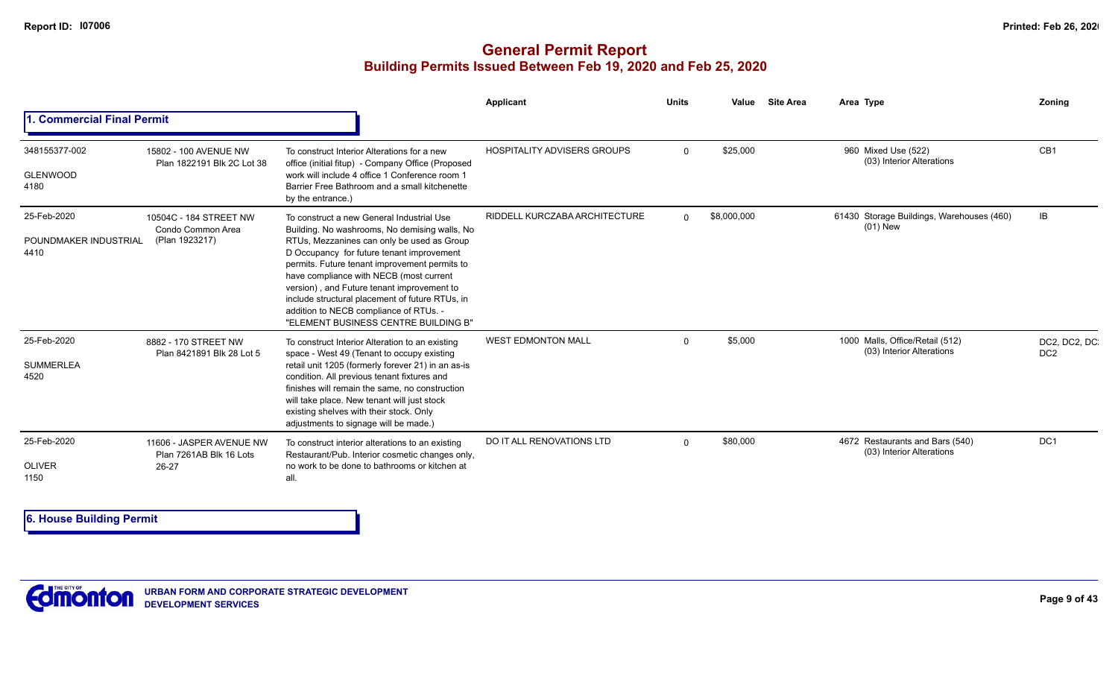### **General Permit Report Building Permits Issued Between Feb 19, 2020 and Feb 25, 2020**

|                                              |                                                               |                                                                                                                                                                                                                                                                                                                                                                                                                                                                      | Applicant                          | <b>Units</b> | Value       | <b>Site Area</b> | Area Type                                                    | Zoning                          |
|----------------------------------------------|---------------------------------------------------------------|----------------------------------------------------------------------------------------------------------------------------------------------------------------------------------------------------------------------------------------------------------------------------------------------------------------------------------------------------------------------------------------------------------------------------------------------------------------------|------------------------------------|--------------|-------------|------------------|--------------------------------------------------------------|---------------------------------|
| 1. Commercial Final Permit                   |                                                               |                                                                                                                                                                                                                                                                                                                                                                                                                                                                      |                                    |              |             |                  |                                                              |                                 |
| 348155377-002<br><b>GLENWOOD</b><br>4180     | 15802 - 100 AVENUE NW<br>Plan 1822191 Blk 2C Lot 38           | To construct Interior Alterations for a new<br>office (initial fitup) - Company Office (Proposed<br>work will include 4 office 1 Conference room 1<br>Barrier Free Bathroom and a small kitchenette<br>by the entrance.)                                                                                                                                                                                                                                             | <b>HOSPITALITY ADVISERS GROUPS</b> | $\Omega$     | \$25,000    |                  | 960 Mixed Use (522)<br>(03) Interior Alterations             | CB1                             |
| 25-Feb-2020<br>POUNDMAKER INDUSTRIAL<br>4410 | 10504C - 184 STREET NW<br>Condo Common Area<br>(Plan 1923217) | To construct a new General Industrial Use<br>Building. No washrooms, No demising walls, No<br>RTUs, Mezzanines can only be used as Group<br>D Occupancy for future tenant improvement<br>permits. Future tenant improvement permits to<br>have compliance with NECB (most current<br>version), and Future tenant improvement to<br>include structural placement of future RTUs, in<br>addition to NECB compliance of RTUs. -<br>"ELEMENT BUSINESS CENTRE BUILDING B" | RIDDELL KURCZABA ARCHITECTURE      | $\Omega$     | \$8,000,000 |                  | 61430 Storage Buildings, Warehouses (460)<br>(01) New        | IB                              |
| 25-Feb-2020<br><b>SUMMERLEA</b><br>4520      | 8882 - 170 STREET NW<br>Plan 8421891 Blk 28 Lot 5             | To construct Interior Alteration to an existing<br>space - West 49 (Tenant to occupy existing<br>retail unit 1205 (formerly forever 21) in an as-is<br>condition. All previous tenant fixtures and<br>finishes will remain the same, no construction<br>will take place. New tenant will just stock<br>existing shelves with their stock. Only<br>adjustments to signage will be made.)                                                                              | <b>WEST EDMONTON MALL</b>          | $\Omega$     | \$5,000     |                  | 1000 Malls, Office/Retail (512)<br>(03) Interior Alterations | DC2, DC2, DC<br>DC <sub>2</sub> |
| 25-Feb-2020<br><b>OLIVER</b><br>1150         | 11606 - JASPER AVENUE NW<br>Plan 7261AB Blk 16 Lots<br>26-27  | To construct interior alterations to an existing<br>Restaurant/Pub. Interior cosmetic changes only,<br>no work to be done to bathrooms or kitchen at<br>all.                                                                                                                                                                                                                                                                                                         | DO IT ALL RENOVATIONS LTD          | $\Omega$     | \$80,000    |                  | 4672 Restaurants and Bars (540)<br>(03) Interior Alterations | DC <sub>1</sub>                 |

**6. House Building Permit**

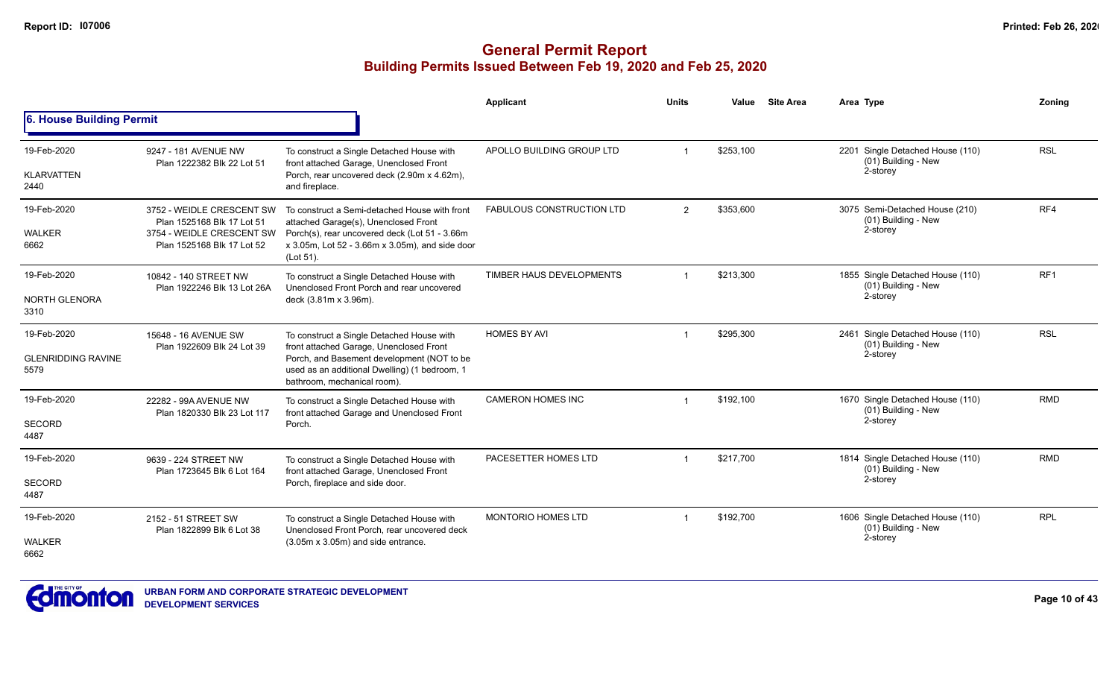|                                   |                                                         |                                                                                                                                     | Applicant                        | <b>Units</b> | Value                                                   | <b>Site Area</b> | Area Type                                                           | Zoning          |
|-----------------------------------|---------------------------------------------------------|-------------------------------------------------------------------------------------------------------------------------------------|----------------------------------|--------------|---------------------------------------------------------|------------------|---------------------------------------------------------------------|-----------------|
| 6. House Building Permit          |                                                         |                                                                                                                                     |                                  |              |                                                         |                  |                                                                     |                 |
| 19-Feb-2020<br><b>KLARVATTEN</b>  | 9247 - 181 AVENUE NW<br>Plan 1222382 Blk 22 Lot 51      | To construct a Single Detached House with<br>front attached Garage, Unenclosed Front<br>Porch, rear uncovered deck (2.90m x 4.62m), | APOLLO BUILDING GROUP LTD        |              | \$253,100                                               |                  | 2201 Single Detached House (110)<br>(01) Building - New<br>2-storey | <b>RSL</b>      |
| 2440                              |                                                         | and fireplace.                                                                                                                      |                                  |              |                                                         |                  |                                                                     |                 |
| 19-Feb-2020                       | 3752 - WEIDLE CRESCENT SW<br>Plan 1525168 Blk 17 Lot 51 | To construct a Semi-detached House with front<br>attached Garage(s), Unenclosed Front                                               | <b>FABULOUS CONSTRUCTION LTD</b> | 2            | \$353,600                                               |                  | 3075 Semi-Detached House (210)<br>(01) Building - New               | RF4             |
| <b>WALKER</b><br>6662             | 3754 - WEIDLE CRESCENT SW<br>Plan 1525168 Blk 17 Lot 52 | Porch(s), rear uncovered deck (Lot 51 - 3.66m<br>x 3.05m, Lot 52 - 3.66m x 3.05m), and side door<br>(Lot 51).                       |                                  |              |                                                         |                  | 2-storey                                                            |                 |
| 19-Feb-2020                       | 10842 - 140 STREET NW<br>Plan 1922246 Blk 13 Lot 26A    | To construct a Single Detached House with<br>Unenclosed Front Porch and rear uncovered                                              | TIMBER HAUS DEVELOPMENTS         |              | \$213,300                                               |                  | 1855 Single Detached House (110)<br>(01) Building - New             | RF <sub>1</sub> |
| NORTH GLENORA<br>3310             |                                                         | deck (3.81m x 3.96m).                                                                                                               |                                  |              |                                                         | 2-storey         |                                                                     |                 |
| 19-Feb-2020                       | 15648 - 16 AVENUE SW<br>Plan 1922609 Blk 24 Lot 39      | To construct a Single Detached House with<br>front attached Garage, Unenclosed Front                                                | <b>HOMES BY AVI</b>              |              | \$295.300                                               |                  | 2461 Single Detached House (110)<br>$(01)$ Building - New           | <b>RSL</b>      |
| <b>GLENRIDDING RAVINE</b><br>5579 |                                                         | Porch, and Basement development (NOT to be<br>used as an additional Dwelling) (1 bedroom, 1<br>bathroom, mechanical room).          |                                  |              |                                                         |                  | 2-storey                                                            |                 |
| 19-Feb-2020                       | 22282 - 99A AVENUE NW<br>Plan 1820330 Blk 23 Lot 117    | To construct a Single Detached House with<br>front attached Garage and Unenclosed Front                                             | <b>CAMERON HOMES INC</b>         |              | \$192,100                                               |                  | 1670 Single Detached House (110)<br>(01) Building - New             | <b>RMD</b>      |
| <b>SECORD</b><br>4487             |                                                         | Porch.                                                                                                                              |                                  |              |                                                         |                  | 2-storey                                                            |                 |
| 19-Feb-2020                       | 9639 - 224 STREET NW<br>Plan 1723645 Blk 6 Lot 164      | To construct a Single Detached House with<br>front attached Garage, Unenclosed Front                                                | PACESETTER HOMES LTD             |              | \$217.700                                               |                  | 1814 Single Detached House (110)<br>(01) Building - New             | <b>RMD</b>      |
| <b>SECORD</b><br>4487             |                                                         | Porch, fireplace and side door.                                                                                                     |                                  |              |                                                         |                  | 2-storey                                                            |                 |
| 19-Feb-2020                       | 2152 - 51 STREET SW<br>Plan 1822899 Blk 6 Lot 38        | <b>MONTORIO HOMES LTD</b><br>To construct a Single Detached House with                                                              | \$192,700                        |              | 1606 Single Detached House (110)<br>(01) Building - New | <b>RPL</b>       |                                                                     |                 |
| <b>WALKER</b><br>6662             |                                                         | Unenclosed Front Porch, rear uncovered deck<br>(3.05m x 3.05m) and side entrance.                                                   |                                  |              |                                                         |                  | 2-storey                                                            |                 |

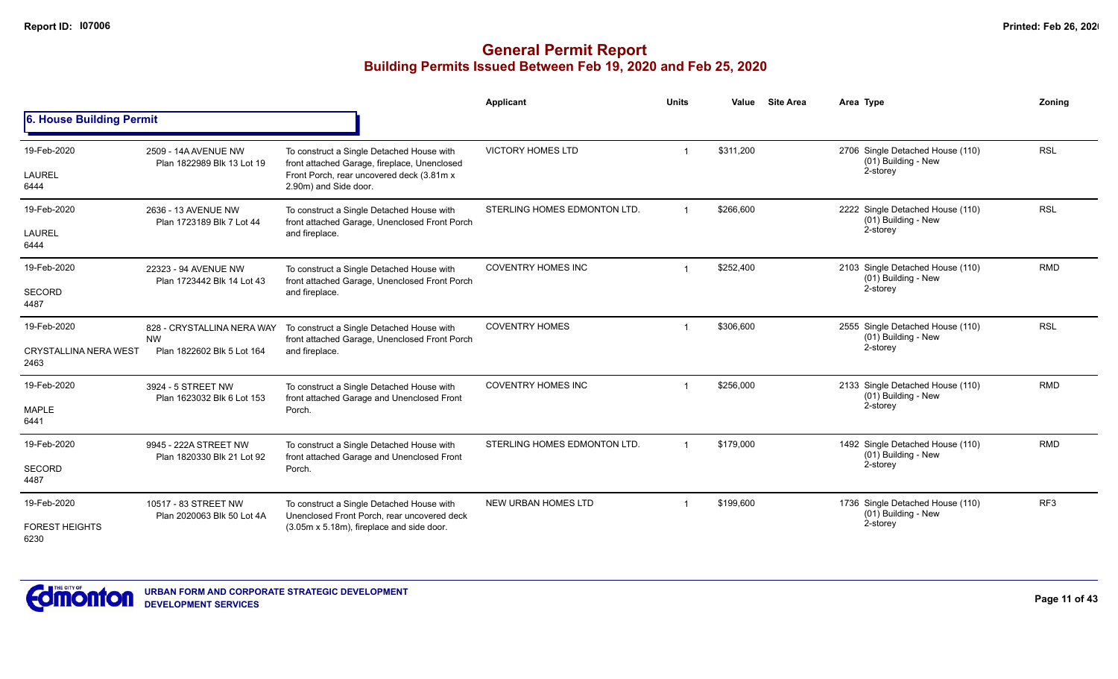|                                                     |                                                                       |                                                                                                                                                                 | Applicant                    | <b>Units</b>   | Value     | <b>Site Area</b> | Area Type                                                           | Zoning          |
|-----------------------------------------------------|-----------------------------------------------------------------------|-----------------------------------------------------------------------------------------------------------------------------------------------------------------|------------------------------|----------------|-----------|------------------|---------------------------------------------------------------------|-----------------|
| 6. House Building Permit                            |                                                                       |                                                                                                                                                                 |                              |                |           |                  |                                                                     |                 |
| 19-Feb-2020<br><b>LAUREL</b><br>6444                | 2509 - 14A AVENUE NW<br>Plan 1822989 Blk 13 Lot 19                    | To construct a Single Detached House with<br>front attached Garage, fireplace, Unenclosed<br>Front Porch, rear uncovered deck (3.81m x<br>2.90m) and Side door. | <b>VICTORY HOMES LTD</b>     |                | \$311,200 |                  | 2706 Single Detached House (110)<br>(01) Building - New<br>2-storey | <b>RSL</b>      |
| 19-Feb-2020<br><b>LAUREL</b><br>6444                | 2636 - 13 AVENUE NW<br>Plan 1723189 Blk 7 Lot 44                      | To construct a Single Detached House with<br>front attached Garage, Unenclosed Front Porch<br>and fireplace.                                                    | STERLING HOMES EDMONTON LTD. | $\overline{1}$ | \$266,600 |                  | 2222 Single Detached House (110)<br>(01) Building - New<br>2-storey | <b>RSL</b>      |
| 19-Feb-2020<br>SECORD<br>4487                       | 22323 - 94 AVENUE NW<br>Plan 1723442 Blk 14 Lot 43                    | To construct a Single Detached House with<br>front attached Garage, Unenclosed Front Porch<br>and fireplace.                                                    | <b>COVENTRY HOMES INC</b>    |                | \$252,400 |                  | 2103 Single Detached House (110)<br>(01) Building - New<br>2-storey | <b>RMD</b>      |
| 19-Feb-2020<br><b>CRYSTALLINA NERA WEST</b><br>2463 | 828 - CRYSTALLINA NERA WAY<br><b>NW</b><br>Plan 1822602 Blk 5 Lot 164 | To construct a Single Detached House with<br>front attached Garage, Unenclosed Front Porch<br>and fireplace.                                                    | <b>COVENTRY HOMES</b>        | $\overline{1}$ | \$306,600 |                  | 2555 Single Detached House (110)<br>(01) Building - New<br>2-storey | <b>RSL</b>      |
| 19-Feb-2020<br><b>MAPLE</b><br>6441                 | 3924 - 5 STREET NW<br>Plan 1623032 Blk 6 Lot 153                      | To construct a Single Detached House with<br>front attached Garage and Unenclosed Front<br>Porch.                                                               | <b>COVENTRY HOMES INC</b>    |                | \$256,000 |                  | 2133 Single Detached House (110)<br>(01) Building - New<br>2-storey | <b>RMD</b>      |
| 19-Feb-2020<br><b>SECORD</b><br>4487                | 9945 - 222A STREET NW<br>Plan 1820330 Blk 21 Lot 92                   | To construct a Single Detached House with<br>front attached Garage and Unenclosed Front<br>Porch.                                                               | STERLING HOMES EDMONTON LTD. | $\overline{1}$ | \$179,000 |                  | 1492 Single Detached House (110)<br>(01) Building - New<br>2-storey | <b>RMD</b>      |
| 19-Feb-2020<br><b>FOREST HEIGHTS</b><br>6230        | 10517 - 83 STREET NW<br>Plan 2020063 Blk 50 Lot 4A                    | To construct a Single Detached House with<br>Unenclosed Front Porch, rear uncovered deck<br>(3.05m x 5.18m), fireplace and side door.                           | <b>NEW URBAN HOMES LTD</b>   |                | \$199,600 |                  | 1736 Single Detached House (110)<br>(01) Building - New<br>2-storey | RF <sub>3</sub> |

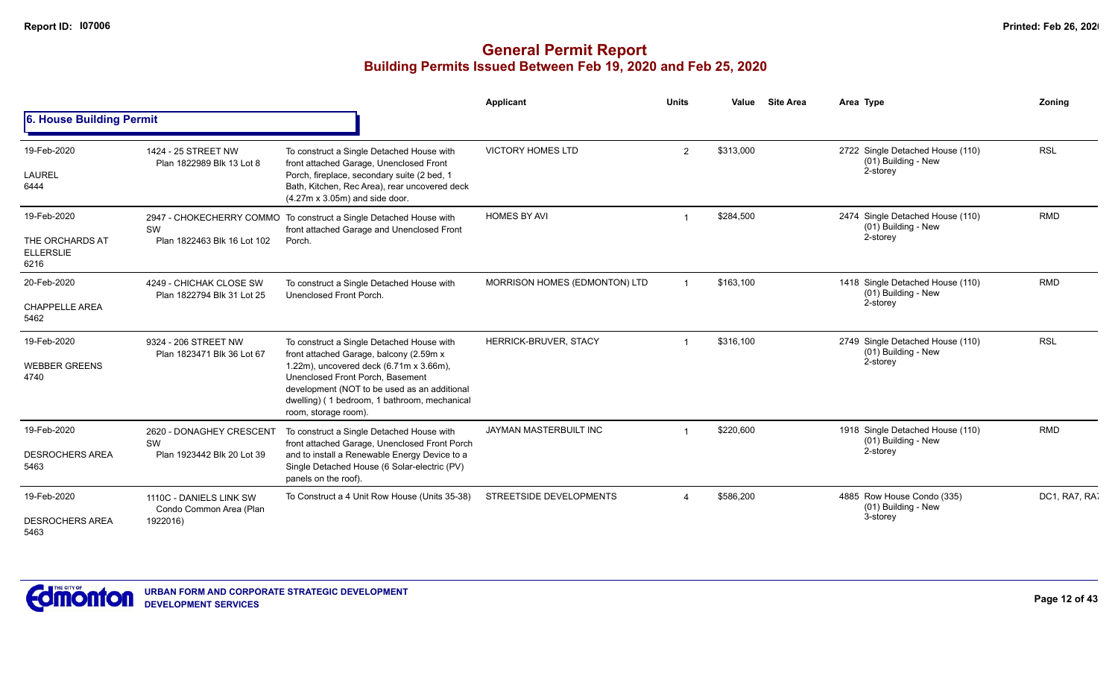|                                                            |                                                                |                                                                                                                                                                                                                                                                                             | <b>Applicant</b>              | <b>Units</b>          | Value     | <b>Site Area</b> | Area Type                                                           | Zoning        |
|------------------------------------------------------------|----------------------------------------------------------------|---------------------------------------------------------------------------------------------------------------------------------------------------------------------------------------------------------------------------------------------------------------------------------------------|-------------------------------|-----------------------|-----------|------------------|---------------------------------------------------------------------|---------------|
| 6. House Building Permit                                   |                                                                |                                                                                                                                                                                                                                                                                             |                               |                       |           |                  |                                                                     |               |
| 19-Feb-2020<br>LAUREL<br>6444                              | 1424 - 25 STREET NW<br>Plan 1822989 Blk 13 Lot 8               | To construct a Single Detached House with<br>front attached Garage, Unenclosed Front<br>Porch, fireplace, secondary suite (2 bed, 1<br>Bath, Kitchen, Rec Area), rear uncovered deck<br>$(4.27m \times 3.05m)$ and side door.                                                               | <b>VICTORY HOMES LTD</b>      | $\overline{2}$        | \$313,000 |                  | 2722 Single Detached House (110)<br>(01) Building - New<br>2-storey | <b>RSL</b>    |
| 19-Feb-2020<br>THE ORCHARDS AT<br><b>ELLERSLIE</b><br>6216 | SW<br>Plan 1822463 Blk 16 Lot 102                              | 2947 - CHOKECHERRY COMMO To construct a Single Detached House with<br>front attached Garage and Unenclosed Front<br>Porch.                                                                                                                                                                  | <b>HOMES BY AVI</b>           |                       | \$284,500 |                  | 2474 Single Detached House (110)<br>(01) Building - New<br>2-storey | <b>RMD</b>    |
| 20-Feb-2020<br><b>CHAPPELLE AREA</b><br>5462               | 4249 - CHICHAK CLOSE SW<br>Plan 1822794 Blk 31 Lot 25          | To construct a Single Detached House with<br>Unenclosed Front Porch.                                                                                                                                                                                                                        | MORRISON HOMES (EDMONTON) LTD |                       | \$163,100 |                  | 1418 Single Detached House (110)<br>(01) Building - New<br>2-storey | <b>RMD</b>    |
| 19-Feb-2020<br><b>WEBBER GREENS</b><br>4740                | 9324 - 206 STREET NW<br>Plan 1823471 Blk 36 Lot 67             | To construct a Single Detached House with<br>front attached Garage, balcony (2.59m x<br>1.22m), uncovered deck (6.71m x 3.66m),<br>Unenclosed Front Porch, Basement<br>development (NOT to be used as an additional<br>dwelling) (1 bedroom, 1 bathroom, mechanical<br>room, storage room). | HERRICK-BRUVER, STACY         |                       | \$316,100 |                  | 2749 Single Detached House (110)<br>(01) Building - New<br>2-storey | <b>RSL</b>    |
| 19-Feb-2020<br><b>DESROCHERS AREA</b><br>5463              | 2620 - DONAGHEY CRESCENT<br>SW<br>Plan 1923442 Blk 20 Lot 39   | To construct a Single Detached House with<br>front attached Garage, Unenclosed Front Porch<br>and to install a Renewable Energy Device to a<br>Single Detached House (6 Solar-electric (PV)<br>panels on the roof).                                                                         | <b>JAYMAN MASTERBUILT INC</b> |                       | \$220,600 |                  | 1918 Single Detached House (110)<br>(01) Building - New<br>2-storey | <b>RMD</b>    |
| 19-Feb-2020<br><b>DESROCHERS AREA</b><br>5463              | 1110C - DANIELS LINK SW<br>Condo Common Area (Plan<br>1922016) | To Construct a 4 Unit Row House (Units 35-38)                                                                                                                                                                                                                                               | STREETSIDE DEVELOPMENTS       | $\boldsymbol{\Delta}$ | \$586,200 |                  | 4885 Row House Condo (335)<br>(01) Building - New<br>3-storey       | DC1, RA7, RA1 |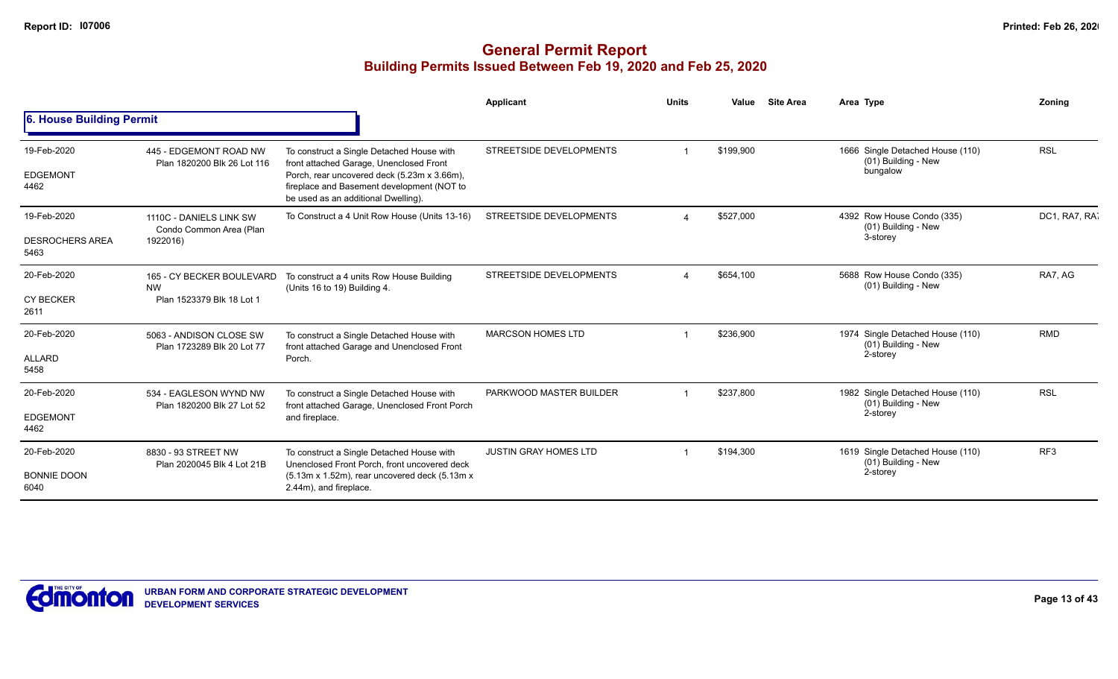|                                               |                                                                     |                                                                                                                                                                                                                          | Applicant                    | <b>Units</b> | Value     | <b>Site Area</b> | Area Type                                                           | Zoning          |
|-----------------------------------------------|---------------------------------------------------------------------|--------------------------------------------------------------------------------------------------------------------------------------------------------------------------------------------------------------------------|------------------------------|--------------|-----------|------------------|---------------------------------------------------------------------|-----------------|
| 6. House Building Permit                      |                                                                     |                                                                                                                                                                                                                          |                              |              |           |                  |                                                                     |                 |
| 19-Feb-2020<br><b>EDGEMONT</b><br>4462        | 445 - EDGEMONT ROAD NW<br>Plan 1820200 Blk 26 Lot 116               | To construct a Single Detached House with<br>front attached Garage, Unenclosed Front<br>Porch, rear uncovered deck (5.23m x 3.66m),<br>fireplace and Basement development (NOT to<br>be used as an additional Dwelling). | STREETSIDE DEVELOPMENTS      |              | \$199,900 |                  | 1666 Single Detached House (110)<br>(01) Building - New<br>bungalow | <b>RSL</b>      |
| 19-Feb-2020<br><b>DESROCHERS AREA</b><br>5463 | 1110C - DANIELS LINK SW<br>Condo Common Area (Plan<br>1922016)      | To Construct a 4 Unit Row House (Units 13-16)                                                                                                                                                                            | STREETSIDE DEVELOPMENTS      |              | \$527,000 |                  | 4392 Row House Condo (335)<br>(01) Building - New<br>3-storey       | DC1, RA7, RA    |
| 20-Feb-2020<br><b>CY BECKER</b><br>2611       | 165 - CY BECKER BOULEVARD<br><b>NW</b><br>Plan 1523379 Blk 18 Lot 1 | To construct a 4 units Row House Building<br>(Units 16 to 19) Building 4.                                                                                                                                                | STREETSIDE DEVELOPMENTS      |              | \$654,100 |                  | 5688 Row House Condo (335)<br>(01) Building - New                   | RA7. AG         |
| 20-Feb-2020<br><b>ALLARD</b><br>5458          | 5063 - ANDISON CLOSE SW<br>Plan 1723289 Blk 20 Lot 77               | To construct a Single Detached House with<br>front attached Garage and Unenclosed Front<br>Porch.                                                                                                                        | <b>MARCSON HOMES LTD</b>     |              | \$236,900 |                  | 1974 Single Detached House (110)<br>(01) Building - New<br>2-storey | <b>RMD</b>      |
| 20-Feb-2020<br><b>EDGEMONT</b><br>4462        | 534 - EAGLESON WYND NW<br>Plan 1820200 Blk 27 Lot 52                | To construct a Single Detached House with<br>front attached Garage, Unenclosed Front Porch<br>and fireplace.                                                                                                             | PARKWOOD MASTER BUILDER      |              | \$237,800 |                  | 1982 Single Detached House (110)<br>(01) Building - New<br>2-storey | <b>RSL</b>      |
| 20-Feb-2020<br><b>BONNIE DOON</b><br>6040     | 8830 - 93 STREET NW<br>Plan 2020045 Blk 4 Lot 21B                   | To construct a Single Detached House with<br>Unenclosed Front Porch, front uncovered deck<br>$(5.13m \times 1.52m)$ , rear uncovered deck $(5.13m \times 1.52m)$<br>2.44m), and fireplace.                               | <b>JUSTIN GRAY HOMES LTD</b> |              | \$194,300 |                  | 1619 Single Detached House (110)<br>(01) Building - New<br>2-storey | RF <sub>3</sub> |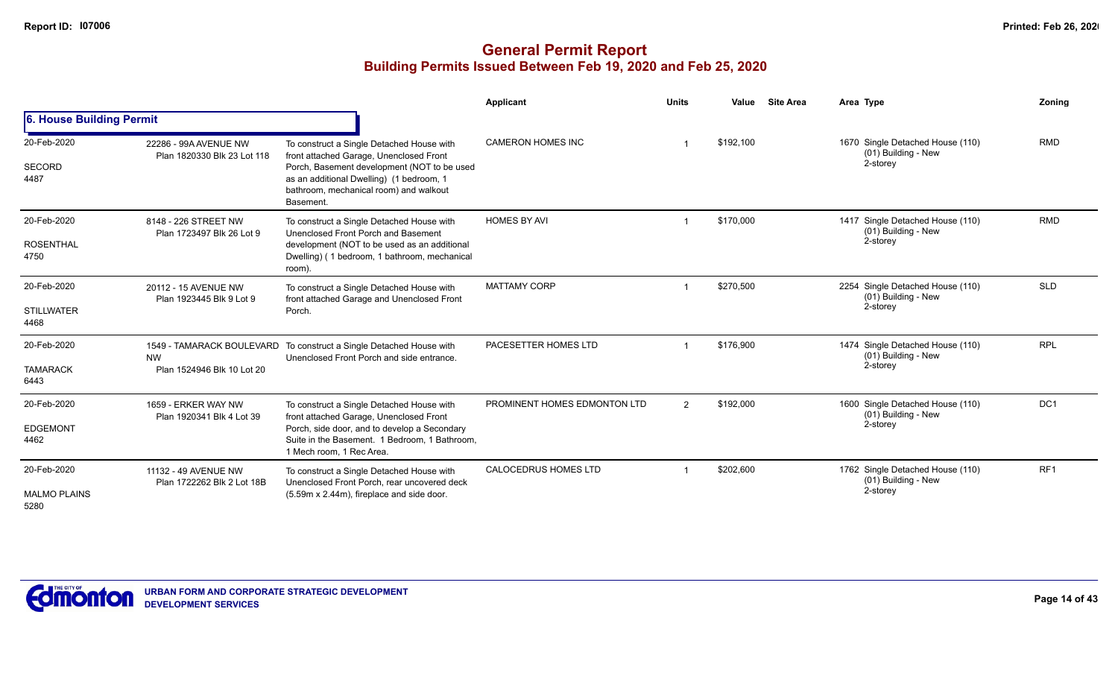|                                            |                                                      |                                                                                                                                                                                                                                        | Applicant                    | <b>Units</b> | Value     | <b>Site Area</b> | Area Type                                                           | Zoning          |
|--------------------------------------------|------------------------------------------------------|----------------------------------------------------------------------------------------------------------------------------------------------------------------------------------------------------------------------------------------|------------------------------|--------------|-----------|------------------|---------------------------------------------------------------------|-----------------|
| 6. House Building Permit                   |                                                      |                                                                                                                                                                                                                                        |                              |              |           |                  |                                                                     |                 |
| 20-Feb-2020<br><b>SECORD</b><br>4487       | 22286 - 99A AVENUE NW<br>Plan 1820330 Blk 23 Lot 118 | To construct a Single Detached House with<br>front attached Garage, Unenclosed Front<br>Porch, Basement development (NOT to be used<br>as an additional Dwelling) (1 bedroom, 1<br>bathroom, mechanical room) and walkout<br>Basement. | <b>CAMERON HOMES INC</b>     |              | \$192,100 |                  | 1670 Single Detached House (110)<br>(01) Building - New<br>2-storey | <b>RMD</b>      |
| 20-Feb-2020<br><b>ROSENTHAL</b><br>4750    | 8148 - 226 STREET NW<br>Plan 1723497 Blk 26 Lot 9    | To construct a Single Detached House with<br>Unenclosed Front Porch and Basement<br>development (NOT to be used as an additional<br>Dwelling) (1 bedroom, 1 bathroom, mechanical<br>room).                                             | <b>HOMES BY AVI</b>          |              | \$170,000 |                  | 1417 Single Detached House (110)<br>(01) Building - New<br>2-storey | <b>RMD</b>      |
| 20-Feb-2020<br><b>STILLWATER</b><br>4468   | 20112 - 15 AVENUE NW<br>Plan 1923445 Blk 9 Lot 9     | To construct a Single Detached House with<br>front attached Garage and Unenclosed Front<br>Porch.                                                                                                                                      | <b>MATTAMY CORP</b>          |              | \$270,500 |                  | 2254 Single Detached House (110)<br>(01) Building - New<br>2-storey | <b>SLD</b>      |
| 20-Feb-2020<br><b>TAMARACK</b><br>6443     | <b>NW</b><br>Plan 1524946 Blk 10 Lot 20              | 1549 - TAMARACK BOULEVARD To construct a Single Detached House with<br>Unenclosed Front Porch and side entrance.                                                                                                                       | PACESETTER HOMES LTD         |              | \$176.900 |                  | 1474 Single Detached House (110)<br>(01) Building - New<br>2-storey | <b>RPL</b>      |
| 20-Feb-2020<br><b>EDGEMONT</b><br>4462     | 1659 - ERKER WAY NW<br>Plan 1920341 Blk 4 Lot 39     | To construct a Single Detached House with<br>front attached Garage, Unenclosed Front<br>Porch, side door, and to develop a Secondary<br>Suite in the Basement. 1 Bedroom, 1 Bathroom,<br>1 Mech room. 1 Rec Area.                      | PROMINENT HOMES EDMONTON LTD | 2            | \$192,000 |                  | 1600 Single Detached House (110)<br>(01) Building - New<br>2-storey | DC <sub>1</sub> |
| 20-Feb-2020<br><b>MALMO PLAINS</b><br>5280 | 11132 - 49 AVENUE NW<br>Plan 1722262 Blk 2 Lot 18B   | To construct a Single Detached House with<br>Unenclosed Front Porch, rear uncovered deck<br>(5.59m x 2.44m), fireplace and side door.                                                                                                  | <b>CALOCEDRUS HOMES LTD</b>  |              | \$202,600 |                  | 1762 Single Detached House (110)<br>(01) Building - New<br>2-storey | RF <sub>1</sub> |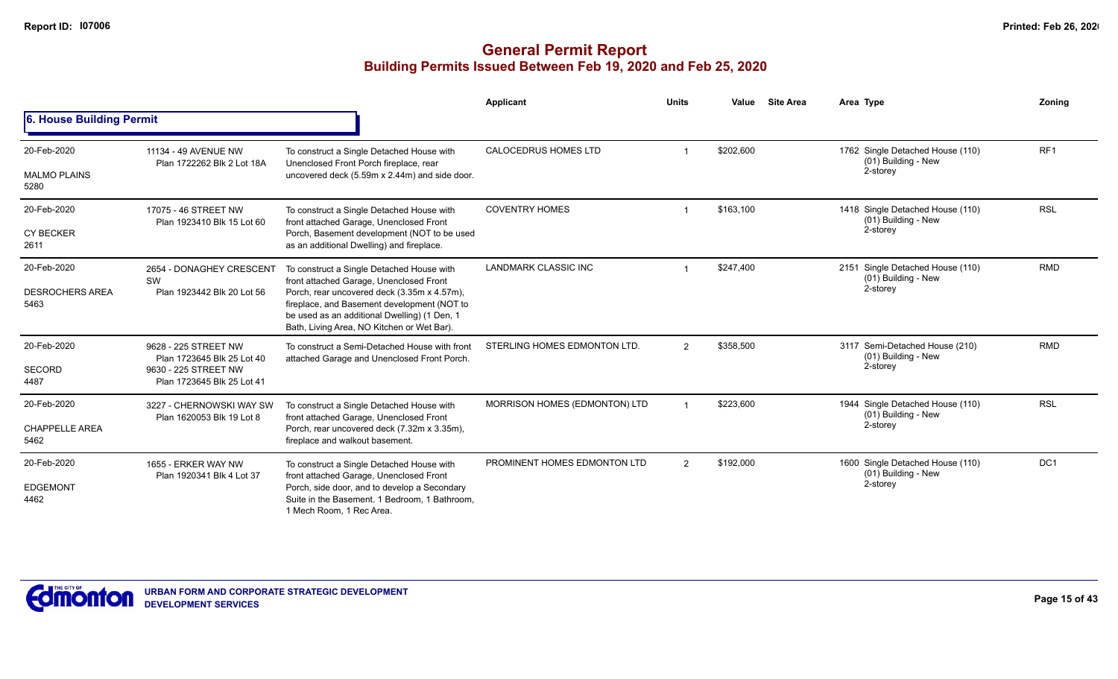|                                |                                                                                                                         |                                                                                                                                                                                          | Applicant                     | <b>Units</b>   | Value     | <b>Site Area</b> | Area Type                                               | Zoning          |
|--------------------------------|-------------------------------------------------------------------------------------------------------------------------|------------------------------------------------------------------------------------------------------------------------------------------------------------------------------------------|-------------------------------|----------------|-----------|------------------|---------------------------------------------------------|-----------------|
| 6. House Building Permit       |                                                                                                                         |                                                                                                                                                                                          |                               |                |           |                  |                                                         |                 |
| 20-Feb-2020                    | 11134 - 49 AVENUE NW<br>Plan 1722262 Blk 2 Lot 18A                                                                      | To construct a Single Detached House with<br>Unenclosed Front Porch fireplace, rear                                                                                                      | <b>CALOCEDRUS HOMES LTD</b>   |                | \$202,600 |                  | 1762 Single Detached House (110)<br>(01) Building - New | RF <sub>1</sub> |
| <b>MALMO PLAINS</b><br>5280    |                                                                                                                         | uncovered deck (5.59m x 2.44m) and side door.                                                                                                                                            |                               |                |           |                  | 2-storey                                                |                 |
| 20-Feb-2020                    | 17075 - 46 STREET NW<br>Plan 1923410 Blk 15 Lot 60                                                                      | To construct a Single Detached House with<br>front attached Garage, Unenclosed Front                                                                                                     | <b>COVENTRY HOMES</b>         |                | \$163,100 |                  | 1418 Single Detached House (110)<br>(01) Building - New | <b>RSL</b>      |
| <b>CY BECKER</b><br>2611       |                                                                                                                         | Porch, Basement development (NOT to be used<br>as an additional Dwelling) and fireplace.                                                                                                 |                               |                |           |                  | 2-storey                                                |                 |
| 20-Feb-2020                    | 2654 - DONAGHEY CRESCENT<br>SW                                                                                          | To construct a Single Detached House with<br>front attached Garage, Unenclosed Front                                                                                                     | <b>LANDMARK CLASSIC INC</b>   |                | \$247,400 |                  | 2151 Single Detached House (110)<br>(01) Building - New | <b>RMD</b>      |
| <b>DESROCHERS AREA</b><br>5463 | Plan 1923442 Blk 20 Lot 56                                                                                              | Porch, rear uncovered deck (3.35m x 4.57m),<br>fireplace, and Basement development (NOT to<br>be used as an additional Dwelling) (1 Den, 1<br>Bath, Living Area, NO Kitchen or Wet Bar). |                               |                |           |                  | 2-storey                                                |                 |
| 20-Feb-2020                    | 9628 - 225 STREET NW<br>Plan 1723645 Blk 25 Lot 40                                                                      | To construct a Semi-Detached House with front<br>attached Garage and Unenclosed Front Porch.                                                                                             | STERLING HOMES EDMONTON LTD.  | 2              | \$358,500 |                  | 3117 Semi-Detached House (210)<br>(01) Building - New   | <b>RMD</b>      |
| <b>SECORD</b><br>4487          | 9630 - 225 STREET NW<br>Plan 1723645 Blk 25 Lot 41                                                                      |                                                                                                                                                                                          |                               |                |           | 2-storey         |                                                         |                 |
| 20-Feb-2020                    | 3227 - CHERNOWSKI WAY SW                                                                                                | To construct a Single Detached House with                                                                                                                                                | MORRISON HOMES (EDMONTON) LTD |                | \$223,600 |                  | 1944 Single Detached House (110)<br>(01) Building - New | <b>RSL</b>      |
| <b>CHAPPELLE AREA</b><br>5462  | front attached Garage, Unenclosed Front<br>Plan 1620053 Blk 19 Lot 8<br>fireplace and walkout basement.                 | Porch, rear uncovered deck (7.32m x 3.35m),                                                                                                                                              |                               |                |           |                  | 2-storey                                                |                 |
| 20-Feb-2020                    | 1655 - ERKER WAY NW<br>Plan 1920341 Blk 4 Lot 37<br>front attached Garage, Unenclosed Front<br>1 Mech Room, 1 Rec Area. | To construct a Single Detached House with                                                                                                                                                | PROMINENT HOMES EDMONTON LTD  | $\overline{2}$ | \$192,000 |                  | 1600 Single Detached House (110)<br>(01) Building - New | DC <sub>1</sub> |
| <b>EDGEMONT</b><br>4462        |                                                                                                                         | Porch, side door, and to develop a Secondary<br>Suite in the Basement. 1 Bedroom, 1 Bathroom,                                                                                            |                               |                |           |                  | 2-storey                                                |                 |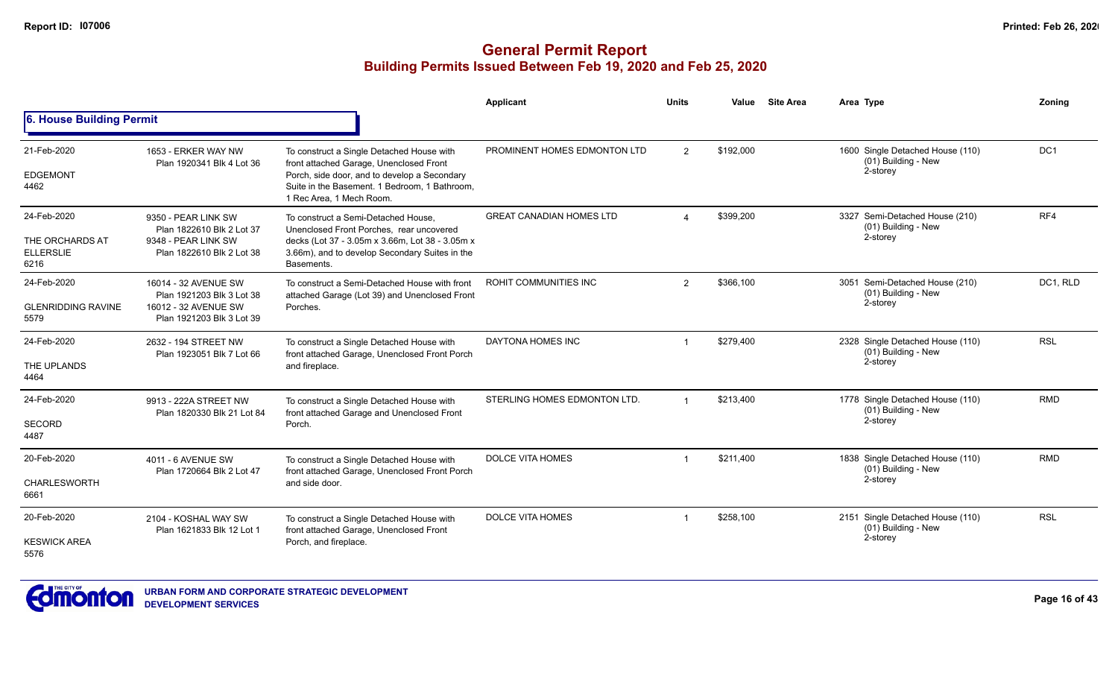|                                                            |                                                                                                        |                                                                                                                                                                                                                   | Applicant                       | <b>Units</b>   | Value     | <b>Site Area</b> | Area Type                                                           | Zoning          |
|------------------------------------------------------------|--------------------------------------------------------------------------------------------------------|-------------------------------------------------------------------------------------------------------------------------------------------------------------------------------------------------------------------|---------------------------------|----------------|-----------|------------------|---------------------------------------------------------------------|-----------------|
| 6. House Building Permit                                   |                                                                                                        |                                                                                                                                                                                                                   |                                 |                |           |                  |                                                                     |                 |
| 21-Feb-2020<br><b>EDGEMONT</b><br>4462                     | 1653 - ERKER WAY NW<br>Plan 1920341 Blk 4 Lot 36                                                       | To construct a Single Detached House with<br>front attached Garage, Unenclosed Front<br>Porch, side door, and to develop a Secondary<br>Suite in the Basement. 1 Bedroom, 1 Bathroom,<br>1 Rec Area, 1 Mech Room. | PROMINENT HOMES EDMONTON LTD    | 2              | \$192,000 |                  | 1600 Single Detached House (110)<br>(01) Building - New<br>2-storey | DC <sub>1</sub> |
| 24-Feb-2020<br>THE ORCHARDS AT<br><b>ELLERSLIE</b><br>6216 | 9350 - PEAR LINK SW<br>Plan 1822610 Blk 2 Lot 37<br>9348 - PEAR LINK SW<br>Plan 1822610 Blk 2 Lot 38   | To construct a Semi-Detached House,<br>Unenclosed Front Porches, rear uncovered<br>decks (Lot 37 - 3.05m x 3.66m, Lot 38 - 3.05m x<br>3.66m), and to develop Secondary Suites in the<br>Basements.                | <b>GREAT CANADIAN HOMES LTD</b> | $\Delta$       | \$399,200 |                  | 3327 Semi-Detached House (210)<br>(01) Building - New<br>2-storey   | RF4             |
| 24-Feb-2020<br><b>GLENRIDDING RAVINE</b><br>5579           | 16014 - 32 AVENUE SW<br>Plan 1921203 Blk 3 Lot 38<br>16012 - 32 AVENUE SW<br>Plan 1921203 Blk 3 Lot 39 | To construct a Semi-Detached House with front<br>attached Garage (Lot 39) and Unenclosed Front<br>Porches.                                                                                                        | ROHIT COMMUNITIES INC           | $\overline{2}$ | \$366,100 |                  | 3051 Semi-Detached House (210)<br>(01) Building - New<br>2-storey   | DC1, RLD        |
| 24-Feb-2020<br>THE UPLANDS<br>4464                         | 2632 - 194 STREET NW<br>Plan 1923051 Blk 7 Lot 66                                                      | To construct a Single Detached House with<br>front attached Garage, Unenclosed Front Porch<br>and fireplace.                                                                                                      | DAYTONA HOMES INC               |                | \$279,400 |                  | 2328 Single Detached House (110)<br>(01) Building - New<br>2-storey | <b>RSL</b>      |
| 24-Feb-2020<br><b>SECORD</b><br>4487                       | 9913 - 222A STREET NW<br>Plan 1820330 Blk 21 Lot 84                                                    | To construct a Single Detached House with<br>front attached Garage and Unenclosed Front<br>Porch.                                                                                                                 | STERLING HOMES EDMONTON LTD.    |                | \$213,400 |                  | 1778 Single Detached House (110)<br>(01) Building - New<br>2-storey | <b>RMD</b>      |
| 20-Feb-2020<br><b>CHARLESWORTH</b><br>6661                 | 4011 - 6 AVENUE SW<br>Plan 1720664 Blk 2 Lot 47                                                        | To construct a Single Detached House with<br>front attached Garage, Unenclosed Front Porch<br>and side door.                                                                                                      | DOLCE VITA HOMES                |                | \$211,400 |                  | 1838 Single Detached House (110)<br>(01) Building - New<br>2-storey | <b>RMD</b>      |
| 20-Feb-2020<br><b>KESWICK AREA</b><br>5576                 | 2104 - KOSHAL WAY SW<br>Plan 1621833 Blk 12 Lot 1                                                      | To construct a Single Detached House with<br>front attached Garage, Unenclosed Front<br>Porch, and fireplace.                                                                                                     | <b>DOLCE VITA HOMES</b>         |                | \$258,100 |                  | 2151 Single Detached House (110)<br>(01) Building - New<br>2-storey | <b>RSL</b>      |

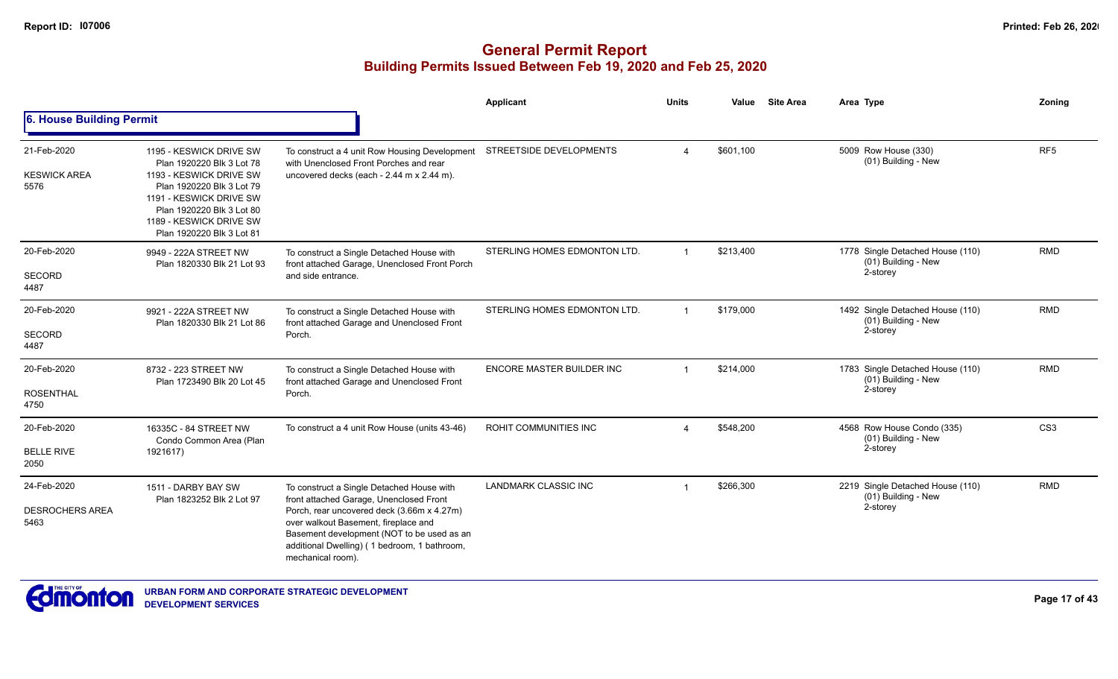|                                               |                                                                                                                                                                                                                              |                                                                                                                                                                                                                                                                                               | Applicant                      | <b>Units</b>            | Value     | <b>Site Area</b> | Area Type                                                           | Zoning          |
|-----------------------------------------------|------------------------------------------------------------------------------------------------------------------------------------------------------------------------------------------------------------------------------|-----------------------------------------------------------------------------------------------------------------------------------------------------------------------------------------------------------------------------------------------------------------------------------------------|--------------------------------|-------------------------|-----------|------------------|---------------------------------------------------------------------|-----------------|
| 6. House Building Permit                      |                                                                                                                                                                                                                              |                                                                                                                                                                                                                                                                                               |                                |                         |           |                  |                                                                     |                 |
| 21-Feb-2020<br><b>KESWICK AREA</b><br>5576    | 1195 - KESWICK DRIVE SW<br>Plan 1920220 Blk 3 Lot 78<br>1193 - KESWICK DRIVE SW<br>Plan 1920220 Blk 3 Lot 79<br>1191 - KESWICK DRIVE SW<br>Plan 1920220 Blk 3 Lot 80<br>1189 - KESWICK DRIVE SW<br>Plan 1920220 Blk 3 Lot 81 | To construct a 4 unit Row Housing Development<br>with Unenclosed Front Porches and rear<br>uncovered decks (each - 2.44 m x 2.44 m).                                                                                                                                                          | <b>STREETSIDE DEVELOPMENTS</b> | $\overline{4}$          | \$601,100 |                  | 5009 Row House (330)<br>(01) Building - New                         | RF <sub>5</sub> |
| 20-Feb-2020<br><b>SECORD</b><br>4487          | 9949 - 222A STREET NW<br>Plan 1820330 Blk 21 Lot 93                                                                                                                                                                          | To construct a Single Detached House with<br>front attached Garage, Unenclosed Front Porch<br>and side entrance.                                                                                                                                                                              | STERLING HOMES EDMONTON LTD.   | $\overline{1}$          | \$213,400 |                  | 1778 Single Detached House (110)<br>(01) Building - New<br>2-storey | <b>RMD</b>      |
| 20-Feb-2020<br><b>SECORD</b><br>4487          | 9921 - 222A STREET NW<br>Plan 1820330 Blk 21 Lot 86                                                                                                                                                                          | To construct a Single Detached House with<br>front attached Garage and Unenclosed Front<br>Porch.                                                                                                                                                                                             | STERLING HOMES EDMONTON LTD.   | $\overline{1}$          | \$179,000 |                  | 1492 Single Detached House (110)<br>(01) Building - New<br>2-storey | <b>RMD</b>      |
| 20-Feb-2020<br><b>ROSENTHAL</b><br>4750       | 8732 - 223 STREET NW<br>Plan 1723490 Blk 20 Lot 45                                                                                                                                                                           | To construct a Single Detached House with<br>front attached Garage and Unenclosed Front<br>Porch.                                                                                                                                                                                             | ENCORE MASTER BUILDER INC      | $\overline{\mathbf{1}}$ | \$214,000 |                  | 1783 Single Detached House (110)<br>(01) Building - New<br>2-storey | <b>RMD</b>      |
| 20-Feb-2020<br><b>BELLE RIVE</b><br>2050      | 16335C - 84 STREET NW<br>Condo Common Area (Plan<br>1921617)                                                                                                                                                                 | To construct a 4 unit Row House (units 43-46)                                                                                                                                                                                                                                                 | ROHIT COMMUNITIES INC          | 4                       | \$548,200 |                  | 4568 Row House Condo (335)<br>(01) Building - New<br>2-storey       | CS <sub>3</sub> |
| 24-Feb-2020<br><b>DESROCHERS AREA</b><br>5463 | 1511 - DARBY BAY SW<br>Plan 1823252 Blk 2 Lot 97                                                                                                                                                                             | To construct a Single Detached House with<br>front attached Garage, Unenclosed Front<br>Porch, rear uncovered deck (3.66m x 4.27m)<br>over walkout Basement, fireplace and<br>Basement development (NOT to be used as an<br>additional Dwelling) (1 bedroom, 1 bathroom,<br>mechanical room). | <b>LANDMARK CLASSIC INC</b>    | $\overline{\mathbf{1}}$ | \$266,300 |                  | 2219 Single Detached House (110)<br>(01) Building - New<br>2-storey | <b>RMD</b>      |

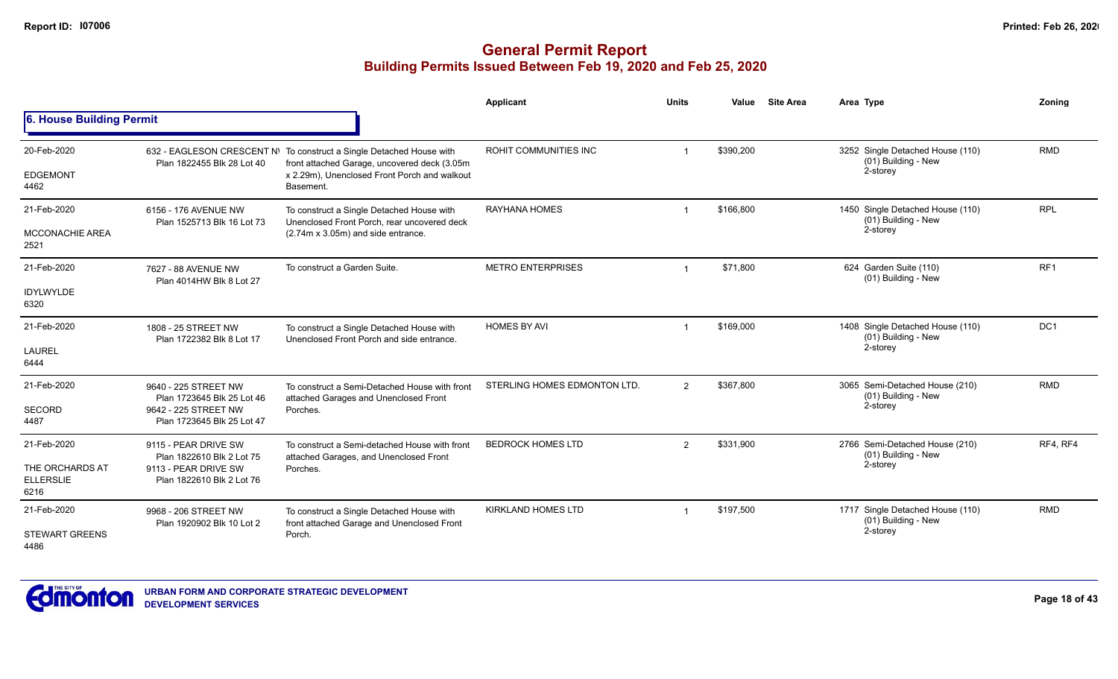|                                                            |                                                                                                          |                                                                                                                                                                                   | <b>Applicant</b>             | <b>Units</b>   | <b>Site Area</b><br>Value | Area Type                                                           | Zoning          |
|------------------------------------------------------------|----------------------------------------------------------------------------------------------------------|-----------------------------------------------------------------------------------------------------------------------------------------------------------------------------------|------------------------------|----------------|---------------------------|---------------------------------------------------------------------|-----------------|
| 6. House Building Permit                                   |                                                                                                          |                                                                                                                                                                                   |                              |                |                           |                                                                     |                 |
| 20-Feb-2020<br><b>EDGEMONT</b><br>4462                     | Plan 1822455 Blk 28 Lot 40                                                                               | 632 - EAGLESON CRESCENT N\ To construct a Single Detached House with<br>front attached Garage, uncovered deck (3.05m<br>x 2.29m), Unenclosed Front Porch and walkout<br>Basement. | ROHIT COMMUNITIES INC        |                | \$390,200                 | 3252 Single Detached House (110)<br>(01) Building - New<br>2-storey | <b>RMD</b>      |
| 21-Feb-2020<br><b>MCCONACHIE AREA</b><br>2521              | 6156 - 176 AVENUE NW<br>Plan 1525713 Blk 16 Lot 73                                                       | To construct a Single Detached House with<br>Unenclosed Front Porch, rear uncovered deck<br>(2.74m x 3.05m) and side entrance.                                                    | <b>RAYHANA HOMES</b>         |                | \$166,800                 | 1450 Single Detached House (110)<br>(01) Building - New<br>2-storey | <b>RPL</b>      |
| 21-Feb-2020<br><b>IDYLWYLDE</b><br>6320                    | 7627 - 88 AVENUE NW<br>Plan 4014HW Blk 8 Lot 27                                                          | To construct a Garden Suite.                                                                                                                                                      | <b>METRO ENTERPRISES</b>     |                | \$71,800                  | 624 Garden Suite (110)<br>(01) Building - New                       | RF <sub>1</sub> |
| 21-Feb-2020<br><b>LAUREL</b><br>6444                       | 1808 - 25 STREET NW<br>Plan 1722382 Blk 8 Lot 17                                                         | To construct a Single Detached House with<br>Unenclosed Front Porch and side entrance.                                                                                            | <b>HOMES BY AVI</b>          |                | \$169,000                 | 1408 Single Detached House (110)<br>(01) Building - New<br>2-storey | DC <sub>1</sub> |
| 21-Feb-2020<br><b>SECORD</b><br>4487                       | 9640 - 225 STREET NW<br>Plan 1723645 Blk 25 Lot 46<br>9642 - 225 STREET NW<br>Plan 1723645 Blk 25 Lot 47 | To construct a Semi-Detached House with front<br>attached Garages and Unenclosed Front<br>Porches.                                                                                | STERLING HOMES EDMONTON LTD. | $\overline{2}$ | \$367,800                 | 3065 Semi-Detached House (210)<br>(01) Building - New<br>2-storey   | <b>RMD</b>      |
| 21-Feb-2020<br>THE ORCHARDS AT<br><b>ELLERSLIE</b><br>6216 | 9115 - PEAR DRIVE SW<br>Plan 1822610 Blk 2 Lot 75<br>9113 - PEAR DRIVE SW<br>Plan 1822610 Blk 2 Lot 76   | To construct a Semi-detached House with front<br>attached Garages, and Unenclosed Front<br>Porches.                                                                               | <b>BEDROCK HOMES LTD</b>     | $\mathfrak{p}$ | \$331,900                 | 2766 Semi-Detached House (210)<br>(01) Building - New<br>2-storey   | RF4, RF4        |
| 21-Feb-2020<br><b>STEWART GREENS</b><br>4486               | 9968 - 206 STREET NW<br>Plan 1920902 Blk 10 Lot 2                                                        | To construct a Single Detached House with<br>front attached Garage and Unenclosed Front<br>Porch.                                                                                 | <b>KIRKLAND HOMES LTD</b>    |                | \$197,500                 | 1717 Single Detached House (110)<br>(01) Building - New<br>2-storey | <b>RMD</b>      |

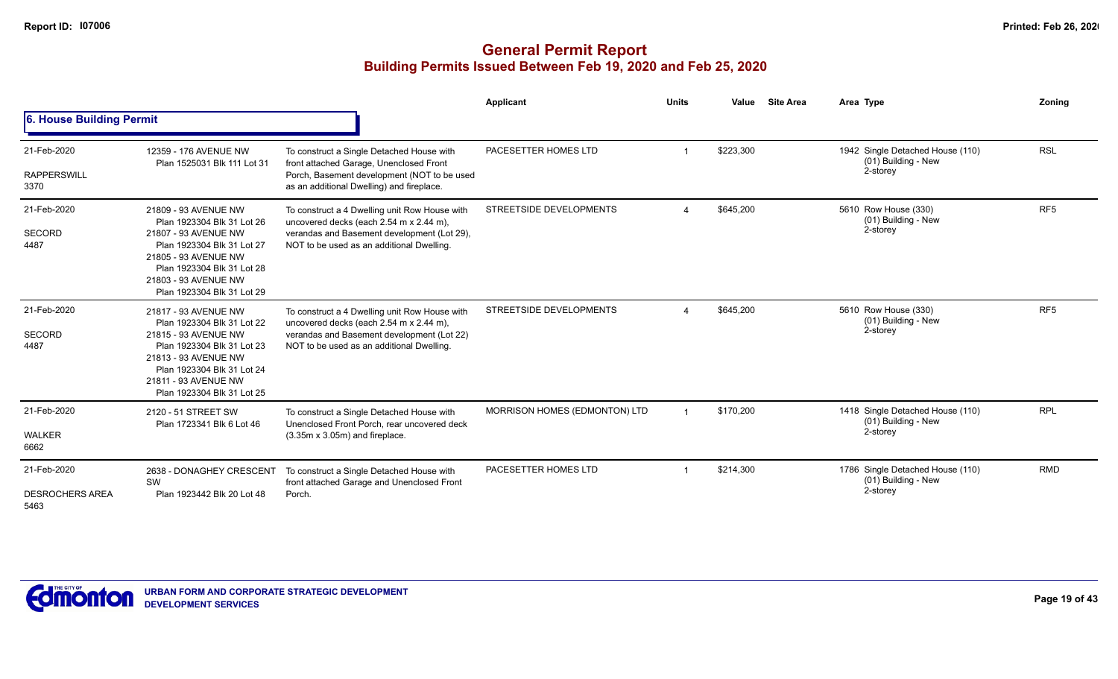|                                               |                                                                                                                                                                                                                      |                                                                                                                                                                                      | Applicant                     | <b>Units</b> | Value     | <b>Site Area</b> | Area Type                                                           | Zoning          |
|-----------------------------------------------|----------------------------------------------------------------------------------------------------------------------------------------------------------------------------------------------------------------------|--------------------------------------------------------------------------------------------------------------------------------------------------------------------------------------|-------------------------------|--------------|-----------|------------------|---------------------------------------------------------------------|-----------------|
| 6. House Building Permit                      |                                                                                                                                                                                                                      |                                                                                                                                                                                      |                               |              |           |                  |                                                                     |                 |
| 21-Feb-2020<br><b>RAPPERSWILL</b><br>3370     | 12359 - 176 AVENUE NW<br>Plan 1525031 Blk 111 Lot 31                                                                                                                                                                 | To construct a Single Detached House with<br>front attached Garage, Unenclosed Front<br>Porch, Basement development (NOT to be used<br>as an additional Dwelling) and fireplace.     | PACESETTER HOMES LTD          |              | \$223,300 |                  | 1942 Single Detached House (110)<br>(01) Building - New<br>2-storey | <b>RSL</b>      |
| 21-Feb-2020<br><b>SECORD</b><br>4487          | 21809 - 93 AVENUE NW<br>Plan 1923304 Blk 31 Lot 26<br>21807 - 93 AVENUE NW<br>Plan 1923304 Blk 31 Lot 27<br>21805 - 93 AVENUE NW<br>Plan 1923304 Blk 31 Lot 28<br>21803 - 93 AVENUE NW<br>Plan 1923304 Blk 31 Lot 29 | To construct a 4 Dwelling unit Row House with<br>uncovered decks (each 2.54 m x 2.44 m),<br>verandas and Basement development (Lot 29),<br>NOT to be used as an additional Dwelling. | STREETSIDE DEVELOPMENTS       |              | \$645,200 |                  | 5610 Row House (330)<br>(01) Building - New<br>2-storey             | RF <sub>5</sub> |
| 21-Feb-2020<br><b>SECORD</b><br>4487          | 21817 - 93 AVENUE NW<br>Plan 1923304 Blk 31 Lot 22<br>21815 - 93 AVENUE NW<br>Plan 1923304 Blk 31 Lot 23<br>21813 - 93 AVENUE NW<br>Plan 1923304 Blk 31 Lot 24<br>21811 - 93 AVENUE NW<br>Plan 1923304 Blk 31 Lot 25 | To construct a 4 Dwelling unit Row House with<br>uncovered decks (each 2.54 m x 2.44 m),<br>verandas and Basement development (Lot 22)<br>NOT to be used as an additional Dwelling.  | STREETSIDE DEVELOPMENTS       |              | \$645,200 |                  | 5610 Row House (330)<br>(01) Building - New<br>2-storey             | RF <sub>5</sub> |
| 21-Feb-2020<br><b>WALKER</b><br>6662          | 2120 - 51 STREET SW<br>Plan 1723341 Blk 6 Lot 46                                                                                                                                                                     | To construct a Single Detached House with<br>Unenclosed Front Porch, rear uncovered deck<br>$(3.35m \times 3.05m)$ and fireplace.                                                    | MORRISON HOMES (EDMONTON) LTD |              | \$170,200 |                  | 1418 Single Detached House (110)<br>(01) Building - New<br>2-storey | <b>RPL</b>      |
| 21-Feb-2020<br><b>DESROCHERS AREA</b><br>5463 | 2638 - DONAGHEY CRESCENT<br><b>SW</b><br>Plan 1923442 Blk 20 Lot 48                                                                                                                                                  | To construct a Single Detached House with<br>front attached Garage and Unenclosed Front<br>Porch.                                                                                    | PACESETTER HOMES LTD          |              | \$214,300 |                  | 1786 Single Detached House (110)<br>(01) Building - New<br>2-storey | <b>RMD</b>      |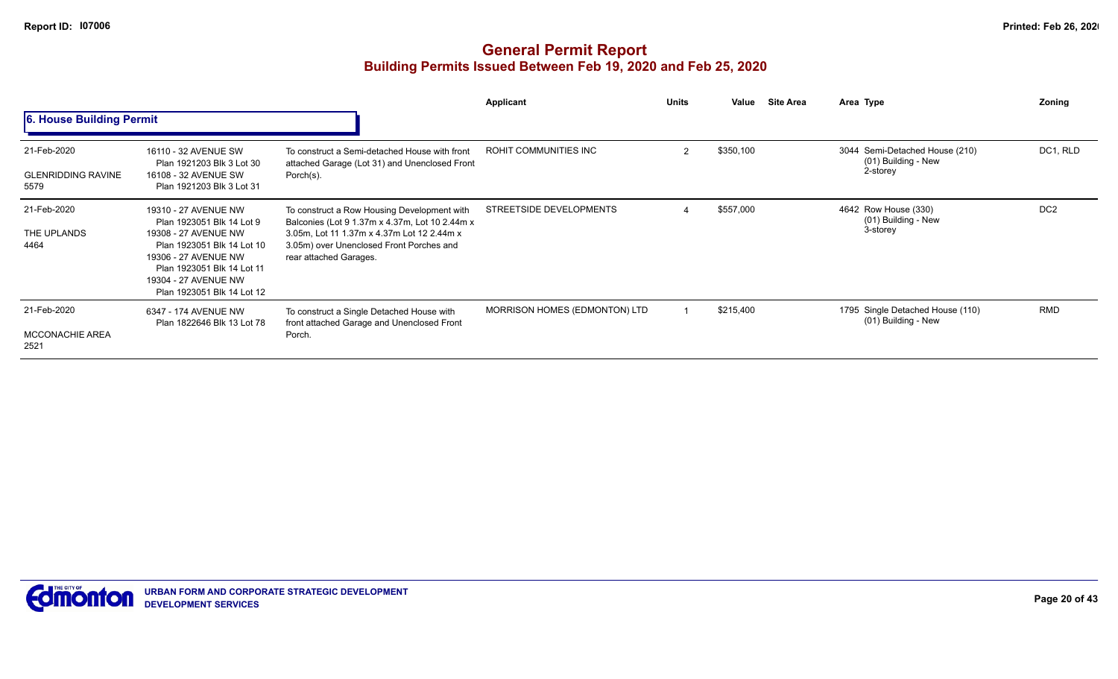|                                                  |                                                                                                                                                                                                                     |                                                                                                                                                                                                                   | <b>Applicant</b>              | <b>Units</b>   | Value     | <b>Site Area</b> | Area Type                                                         | Zoning          |
|--------------------------------------------------|---------------------------------------------------------------------------------------------------------------------------------------------------------------------------------------------------------------------|-------------------------------------------------------------------------------------------------------------------------------------------------------------------------------------------------------------------|-------------------------------|----------------|-----------|------------------|-------------------------------------------------------------------|-----------------|
| 6. House Building Permit                         |                                                                                                                                                                                                                     |                                                                                                                                                                                                                   |                               |                |           |                  |                                                                   |                 |
| 21-Feb-2020<br><b>GLENRIDDING RAVINE</b><br>5579 | 16110 - 32 AVENUE SW<br>Plan 1921203 Blk 3 Lot 30<br>16108 - 32 AVENUE SW<br>Plan 1921203 Blk 3 Lot 31                                                                                                              | To construct a Semi-detached House with front<br>attached Garage (Lot 31) and Unenclosed Front<br>Porch(s).                                                                                                       | ROHIT COMMUNITIES INC         | $\mathfrak{p}$ | \$350,100 |                  | 3044 Semi-Detached House (210)<br>(01) Building - New<br>2-storey | DC1, RLD        |
| 21-Feb-2020<br>THE UPLANDS<br>4464               | 19310 - 27 AVENUE NW<br>Plan 1923051 Blk 14 Lot 9<br>19308 - 27 AVENUE NW<br>Plan 1923051 Blk 14 Lot 10<br>19306 - 27 AVENUE NW<br>Plan 1923051 Blk 14 Lot 11<br>19304 - 27 AVENUE NW<br>Plan 1923051 Blk 14 Lot 12 | To construct a Row Housing Development with<br>Balconies (Lot 9 1.37m x 4.37m, Lot 10 2.44m x<br>3.05m, Lot 11 1.37m x 4.37m Lot 12 2.44m x<br>3.05m) over Unenclosed Front Porches and<br>rear attached Garages. | STREETSIDE DEVELOPMENTS       |                | \$557,000 |                  | 4642 Row House (330)<br>(01) Building - New<br>3-storey           | DC <sub>2</sub> |
| 21-Feb-2020<br><b>MCCONACHIE AREA</b><br>2521    | 6347 - 174 AVENUE NW<br>Plan 1822646 Blk 13 Lot 78                                                                                                                                                                  | To construct a Single Detached House with<br>front attached Garage and Unenclosed Front<br>Porch.                                                                                                                 | MORRISON HOMES (EDMONTON) LTD |                | \$215,400 |                  | 1795 Single Detached House (110)<br>(01) Building - New           | <b>RMD</b>      |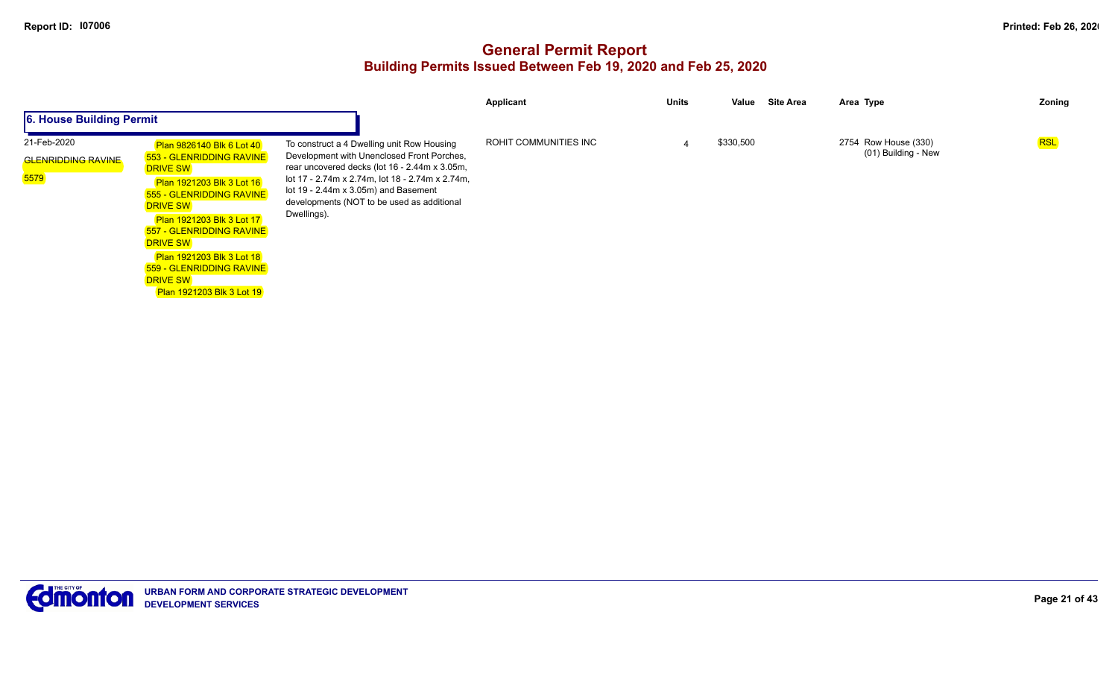|                                                  |                                                                                                                                                                                                                                                                                                                                                                              |                                                                                                                                                                                                                                                                                                           | Applicant             | <b>Units</b> | Value     | Site Area | Area Type                                   | Zoning |
|--------------------------------------------------|------------------------------------------------------------------------------------------------------------------------------------------------------------------------------------------------------------------------------------------------------------------------------------------------------------------------------------------------------------------------------|-----------------------------------------------------------------------------------------------------------------------------------------------------------------------------------------------------------------------------------------------------------------------------------------------------------|-----------------------|--------------|-----------|-----------|---------------------------------------------|--------|
| 6. House Building Permit                         |                                                                                                                                                                                                                                                                                                                                                                              |                                                                                                                                                                                                                                                                                                           |                       |              |           |           |                                             |        |
| 21-Feb-2020<br><b>GLENRIDDING RAVINE</b><br>5579 | Plan 9826140 Blk 6 Lot 40<br>553 - GLENRIDDING RAVINE<br><b>DRIVE SW</b><br><b>Plan 1921203 Blk 3 Lot 16</b><br>555 - GLENRIDDING RAVINE<br><b>DRIVE SW</b><br><b>Plan 1921203 Blk 3 Lot 17</b><br><b>557 - GLENRIDDING RAVINE</b><br><b>DRIVE SW</b><br><b>Plan 1921203 Blk 3 Lot 18</b><br><b>559 - GLENRIDDING RAVINE</b><br><b>DRIVE SW</b><br>Plan 1921203 Blk 3 Lot 19 | To construct a 4 Dwelling unit Row Housing<br>Development with Unenclosed Front Porches,<br>rear uncovered decks (lot 16 - 2.44m x 3.05m,<br>lot 17 - 2.74m x 2.74m, lot 18 - 2.74m x 2.74m,<br>lot $19 - 2.44m \times 3.05m$ ) and Basement<br>developments (NOT to be used as additional<br>Dwellings). | ROHIT COMMUNITIES INC |              | \$330,500 |           | 2754 Row House (330)<br>(01) Building - New | RSL    |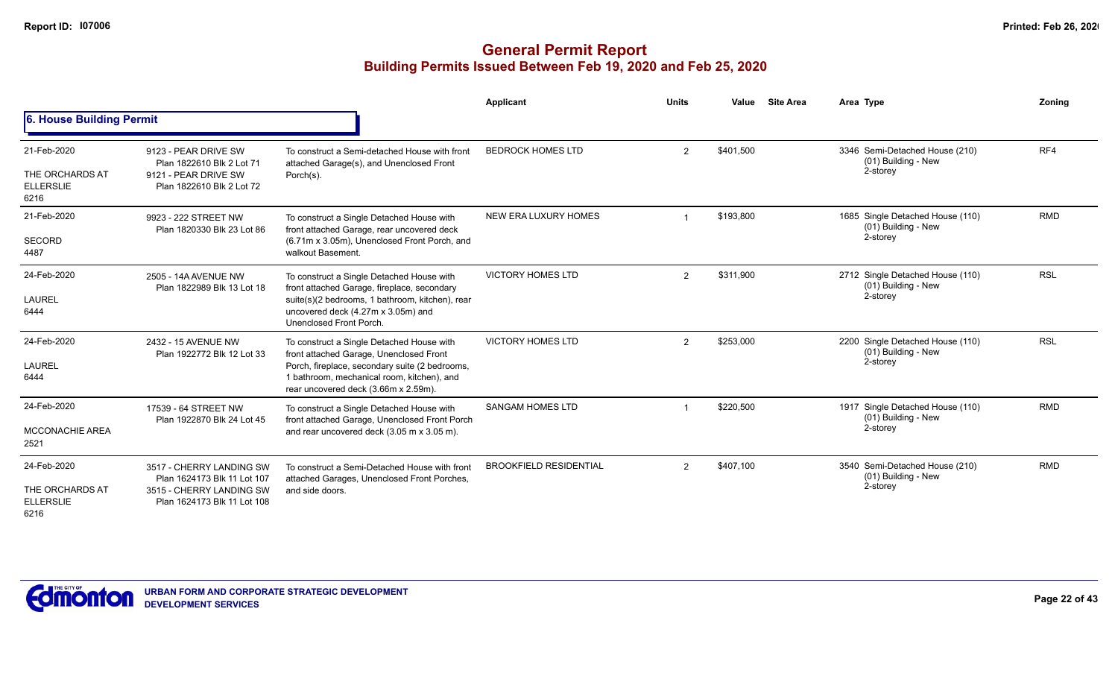|                                                            |                                                                                                                    |                                                                                                                                                                                                                              | Applicant                     | <b>Units</b> | Value     | <b>Site Area</b> | Area Type                                                             | Zoning     |
|------------------------------------------------------------|--------------------------------------------------------------------------------------------------------------------|------------------------------------------------------------------------------------------------------------------------------------------------------------------------------------------------------------------------------|-------------------------------|--------------|-----------|------------------|-----------------------------------------------------------------------|------------|
| 6. House Building Permit                                   |                                                                                                                    |                                                                                                                                                                                                                              |                               |              |           |                  |                                                                       |            |
| 21-Feb-2020<br>THE ORCHARDS AT<br><b>ELLERSLIE</b><br>6216 | 9123 - PEAR DRIVE SW<br>Plan 1822610 Blk 2 Lot 71<br>9121 - PEAR DRIVE SW<br>Plan 1822610 Blk 2 Lot 72             | To construct a Semi-detached House with front<br>attached Garage(s), and Unenclosed Front<br>Porch(s).                                                                                                                       | <b>BEDROCK HOMES LTD</b>      | 2            | \$401,500 |                  | 3346 Semi-Detached House (210)<br>(01) Building - New<br>2-storey     | RF4        |
| 21-Feb-2020<br><b>SECORD</b><br>4487                       | 9923 - 222 STREET NW<br>Plan 1820330 Blk 23 Lot 86                                                                 | To construct a Single Detached House with<br>front attached Garage, rear uncovered deck<br>(6.71m x 3.05m), Unenclosed Front Porch, and<br>walkout Basement.                                                                 | NEW ERA LUXURY HOMES          |              | \$193,800 |                  | 1685 Single Detached House (110)<br>(01) Building - New<br>2-storey   | <b>RMD</b> |
| 24-Feb-2020<br>LAUREL<br>6444                              | 2505 - 14A AVENUE NW<br>Plan 1822989 Blk 13 Lot 18                                                                 | To construct a Single Detached House with<br>front attached Garage, fireplace, secondary<br>suite(s)(2 bedrooms, 1 bathroom, kitchen), rear<br>uncovered deck (4.27m x 3.05m) and<br>Unenclosed Front Porch.                 | <b>VICTORY HOMES LTD</b>      | 2            | \$311,900 |                  | 2712 Single Detached House (110)<br>(01) Building - New<br>2-storey   | <b>RSL</b> |
| 24-Feb-2020<br>LAUREL<br>6444                              | 2432 - 15 AVENUE NW<br>Plan 1922772 Blk 12 Lot 33                                                                  | To construct a Single Detached House with<br>front attached Garage, Unenclosed Front<br>Porch, fireplace, secondary suite (2 bedrooms,<br>1 bathroom, mechanical room, kitchen), and<br>rear uncovered deck (3.66m x 2.59m). | <b>VICTORY HOMES LTD</b>      | 2            | \$253,000 |                  | 2200 Single Detached House (110)<br>(01) Building - New<br>2-storey   | <b>RSL</b> |
| 24-Feb-2020<br><b>MCCONACHIE AREA</b><br>2521              | 17539 - 64 STREET NW<br>Plan 1922870 Blk 24 Lot 45                                                                 | To construct a Single Detached House with<br>front attached Garage, Unenclosed Front Porch<br>and rear uncovered deck (3.05 m x 3.05 m).                                                                                     | <b>SANGAM HOMES LTD</b>       |              | \$220,500 |                  | 1917 Single Detached House (110)<br>$(01)$ Building - New<br>2-storey | <b>RMD</b> |
| 24-Feb-2020<br>THE ORCHARDS AT<br><b>ELLERSLIE</b><br>6216 | 3517 - CHERRY LANDING SW<br>Plan 1624173 Blk 11 Lot 107<br>3515 - CHERRY LANDING SW<br>Plan 1624173 Blk 11 Lot 108 | To construct a Semi-Detached House with front<br>attached Garages, Unenclosed Front Porches,<br>and side doors.                                                                                                              | <b>BROOKFIELD RESIDENTIAL</b> | 2            | \$407,100 |                  | 3540 Semi-Detached House (210)<br>(01) Building - New<br>2-storey     | <b>RMD</b> |

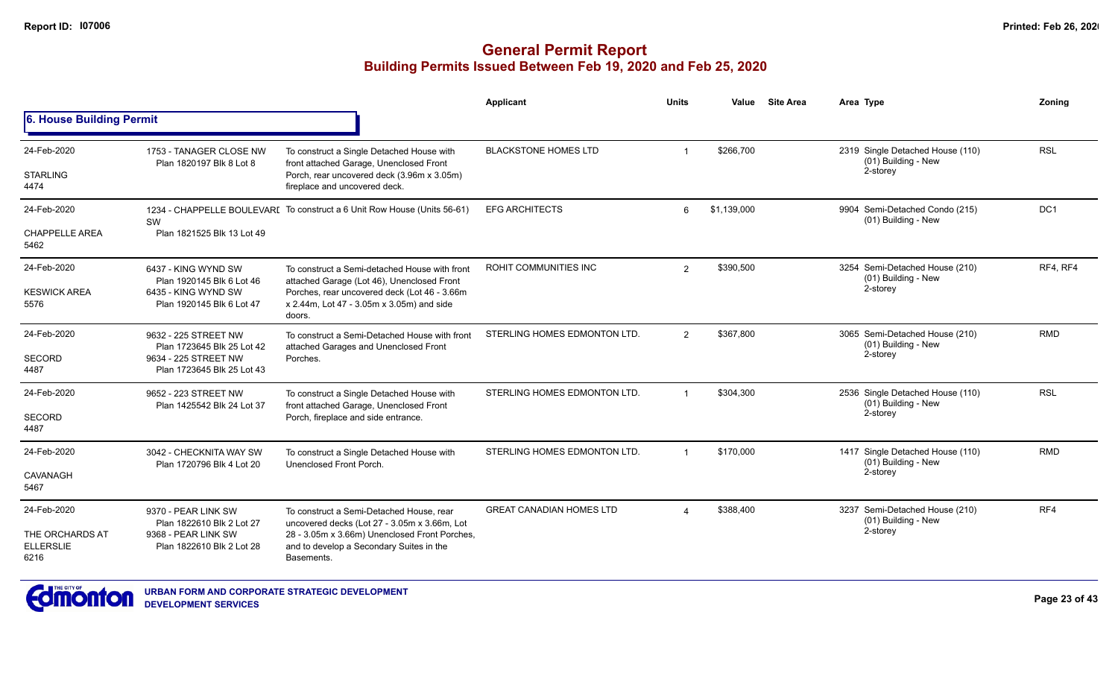#### **General Permit Report Building Permits Issued Between Feb 19, 2020 and Feb 25, 2020**

|                                             |                                                                               |                                                                                                                                                         | <b>Applicant</b>                | <b>Units</b>           | Value       | <b>Site Area</b> | Area Type                                               | Zonina          |
|---------------------------------------------|-------------------------------------------------------------------------------|---------------------------------------------------------------------------------------------------------------------------------------------------------|---------------------------------|------------------------|-------------|------------------|---------------------------------------------------------|-----------------|
| 6. House Building Permit                    |                                                                               |                                                                                                                                                         |                                 |                        |             |                  |                                                         |                 |
| 24-Feb-2020                                 | 1753 - TANAGER CLOSE NW<br>Plan 1820197 Blk 8 Lot 8                           | To construct a Single Detached House with<br>front attached Garage, Unenclosed Front                                                                    | <b>BLACKSTONE HOMES LTD</b>     |                        | \$266,700   |                  | 2319 Single Detached House (110)<br>(01) Building - New | <b>RSL</b>      |
| <b>STARLING</b><br>4474                     |                                                                               | Porch, rear uncovered deck (3.96m x 3.05m)<br>fireplace and uncovered deck.                                                                             |                                 |                        |             |                  | 2-storey                                                |                 |
| 24-Feb-2020                                 | SW                                                                            | 1234 - CHAPPELLE BOULEVARI To construct a 6 Unit Row House (Units 56-61)                                                                                | <b>EFG ARCHITECTS</b>           | 6                      | \$1,139,000 |                  | 9904 Semi-Detached Condo (215)<br>(01) Building - New   | DC <sub>1</sub> |
| <b>CHAPPELLE AREA</b><br>5462               | Plan 1821525 Blk 13 Lot 49                                                    |                                                                                                                                                         |                                 |                        |             |                  |                                                         |                 |
| 24-Feb-2020                                 | 6437 - KING WYND SW<br>Plan 1920145 Blk 6 Lot 46                              | To construct a Semi-detached House with front                                                                                                           | ROHIT COMMUNITIES INC           | $\overline{2}$         | \$390,500   |                  | 3254 Semi-Detached House (210)<br>(01) Building - New   | RF4, RF4        |
| <b>KESWICK AREA</b><br>5576                 | 6435 - KING WYND SW<br>Plan 1920145 Blk 6 Lot 47                              | attached Garage (Lot 46), Unenclosed Front<br>Porches, rear uncovered deck (Lot 46 - 3.66m<br>x 2.44m, Lot 47 - 3.05m x 3.05m) and side<br>doors.       |                                 |                        |             |                  | 2-storey                                                |                 |
| 24-Feb-2020                                 | 9632 - 225 STREET NW<br>Plan 1723645 Blk 25 Lot 42                            | To construct a Semi-Detached House with front                                                                                                           | STERLING HOMES EDMONTON LTD.    | $\overline{2}$         | \$367,800   |                  | 3065 Semi-Detached House (210)<br>(01) Building - New   | <b>RMD</b>      |
| <b>SECORD</b><br>4487                       | 9634 - 225 STREET NW<br>Plan 1723645 Blk 25 Lot 43                            | attached Garages and Unenclosed Front<br>Porches.                                                                                                       |                                 |                        |             |                  | 2-storey                                                |                 |
| 24-Feb-2020                                 | 9652 - 223 STREET NW<br>Plan 1425542 Blk 24 Lot 37                            | To construct a Single Detached House with<br>front attached Garage, Unenclosed Front                                                                    | STERLING HOMES EDMONTON LTD.    |                        | \$304,300   |                  | 2536 Single Detached House (110)<br>(01) Building - New | <b>RSL</b>      |
| SECORD<br>4487                              |                                                                               | Porch, fireplace and side entrance.                                                                                                                     |                                 |                        |             |                  | 2-storey                                                |                 |
| 24-Feb-2020                                 | 3042 - CHECKNITA WAY SW<br>Plan 1720796 Blk 4 Lot 20                          | To construct a Single Detached House with<br>Unenclosed Front Porch.                                                                                    | STERLING HOMES EDMONTON LTD.    |                        | \$170,000   |                  | 1417 Single Detached House (110)<br>(01) Building - New | <b>RMD</b>      |
| <b>CAVANAGH</b><br>5467                     |                                                                               |                                                                                                                                                         |                                 |                        |             |                  | 2-storey                                                |                 |
| 24-Feb-2020                                 | 9370 - PEAR LINK SW                                                           | To construct a Semi-Detached House, rear                                                                                                                | <b>GREAT CANADIAN HOMES LTD</b> | $\boldsymbol{\Lambda}$ | \$388,400   |                  | 3237 Semi-Detached House (210)<br>(01) Building - New   | RF4             |
| THE ORCHARDS AT<br><b>ELLERSLIE</b><br>6216 | Plan 1822610 Blk 2 Lot 27<br>9368 - PEAR LINK SW<br>Plan 1822610 Blk 2 Lot 28 | uncovered decks (Lot 27 - 3.05m x 3.66m, Lot<br>28 - 3.05m x 3.66m) Unenclosed Front Porches,<br>and to develop a Secondary Suites in the<br>Basements. |                                 |                        |             |                  | 2-storey                                                |                 |



**URBAN FORM AND CORPORATE STRATEGIC DEVELOPMENT DEVELOPMENT SERVICES**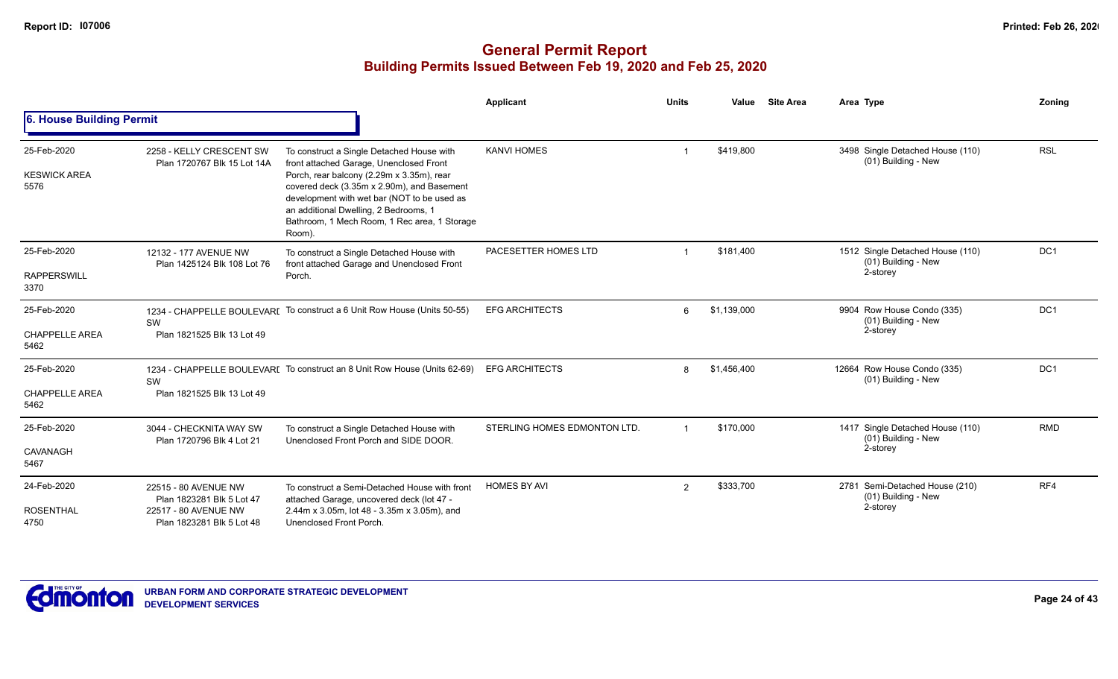|                                              |                                                                                                        |                                                                                                                                                                                                                                                                                                                                   | Applicant                    | <b>Units</b>   | Value       | <b>Site Area</b> | Area Type                                                           | Zonina          |
|----------------------------------------------|--------------------------------------------------------------------------------------------------------|-----------------------------------------------------------------------------------------------------------------------------------------------------------------------------------------------------------------------------------------------------------------------------------------------------------------------------------|------------------------------|----------------|-------------|------------------|---------------------------------------------------------------------|-----------------|
| 6. House Building Permit                     |                                                                                                        |                                                                                                                                                                                                                                                                                                                                   |                              |                |             |                  |                                                                     |                 |
| 25-Feb-2020<br><b>KESWICK AREA</b><br>5576   | 2258 - KELLY CRESCENT SW<br>Plan 1720767 Blk 15 Lot 14A                                                | To construct a Single Detached House with<br>front attached Garage, Unenclosed Front<br>Porch, rear balcony (2.29m x 3.35m), rear<br>covered deck (3.35m x 2.90m), and Basement<br>development with wet bar (NOT to be used as<br>an additional Dwelling, 2 Bedrooms, 1<br>Bathroom, 1 Mech Room, 1 Rec area, 1 Storage<br>Room). | <b>KANVI HOMES</b>           |                | \$419,800   |                  | 3498 Single Detached House (110)<br>(01) Building - New             | <b>RSL</b>      |
| 25-Feb-2020<br><b>RAPPERSWILL</b><br>3370    | 12132 - 177 AVENUE NW<br>Plan 1425124 Blk 108 Lot 76                                                   | To construct a Single Detached House with<br>front attached Garage and Unenclosed Front<br>Porch.                                                                                                                                                                                                                                 | PACESETTER HOMES LTD         |                | \$181,400   |                  | 1512 Single Detached House (110)<br>(01) Building - New<br>2-storey | DC1             |
| 25-Feb-2020<br><b>CHAPPELLE AREA</b><br>5462 | SW<br>Plan 1821525 Blk 13 Lot 49                                                                       | 1234 - CHAPPELLE BOULEVARI To construct a 6 Unit Row House (Units 50-55)                                                                                                                                                                                                                                                          | <b>EFG ARCHITECTS</b>        | 6              | \$1,139,000 |                  | 9904 Row House Condo (335)<br>(01) Building - New<br>2-storey       | DC1             |
| 25-Feb-2020<br><b>CHAPPELLE AREA</b><br>5462 | SW<br>Plan 1821525 Blk 13 Lot 49                                                                       | 1234 - CHAPPELLE BOULEVARI To construct an 8 Unit Row House (Units 62-69)                                                                                                                                                                                                                                                         | <b>EFG ARCHITECTS</b>        | 8              | \$1,456,400 |                  | 12664 Row House Condo (335)<br>(01) Building - New                  | DC <sub>1</sub> |
| 25-Feb-2020<br>CAVANAGH<br>5467              | 3044 - CHECKNITA WAY SW<br>Plan 1720796 Blk 4 Lot 21                                                   | To construct a Single Detached House with<br>Unenclosed Front Porch and SIDE DOOR.                                                                                                                                                                                                                                                | STERLING HOMES EDMONTON LTD. | $\overline{1}$ | \$170,000   |                  | 1417 Single Detached House (110)<br>(01) Building - New<br>2-storey | <b>RMD</b>      |
| 24-Feb-2020<br><b>ROSENTHAL</b><br>4750      | 22515 - 80 AVENUE NW<br>Plan 1823281 Blk 5 Lot 47<br>22517 - 80 AVENUE NW<br>Plan 1823281 Blk 5 Lot 48 | To construct a Semi-Detached House with front<br>attached Garage, uncovered deck (lot 47 -<br>2.44m x 3.05m, lot 48 - 3.35m x 3.05m), and<br>Unenclosed Front Porch.                                                                                                                                                              | <b>HOMES BY AVI</b>          | $\overline{2}$ | \$333,700   |                  | 2781 Semi-Detached House (210)<br>(01) Building - New<br>2-storey   | RF4             |

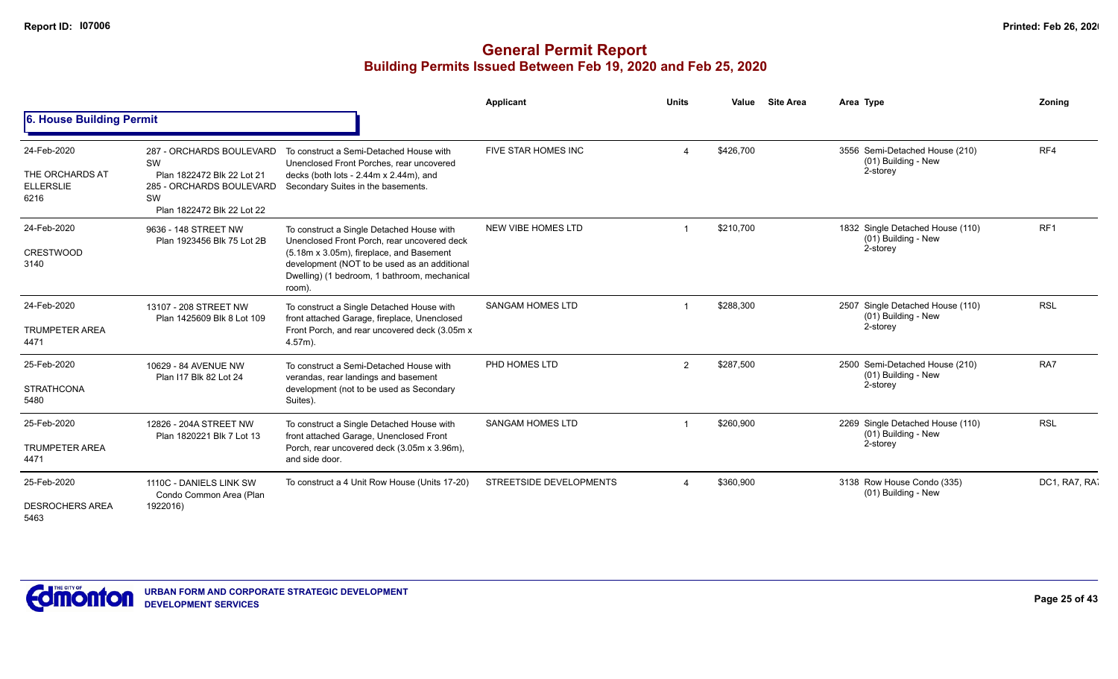|                                                            |                                                                                                                                     |                                                                                                                                                                                                                                                | <b>Applicant</b>        | <b>Units</b>   | Value     | <b>Site Area</b> | Area Type                                                           | Zoning          |
|------------------------------------------------------------|-------------------------------------------------------------------------------------------------------------------------------------|------------------------------------------------------------------------------------------------------------------------------------------------------------------------------------------------------------------------------------------------|-------------------------|----------------|-----------|------------------|---------------------------------------------------------------------|-----------------|
| 6. House Building Permit                                   |                                                                                                                                     |                                                                                                                                                                                                                                                |                         |                |           |                  |                                                                     |                 |
| 24-Feb-2020<br>THE ORCHARDS AT<br><b>ELLERSLIE</b><br>6216 | 287 - ORCHARDS BOULEVARD<br><b>SW</b><br>Plan 1822472 Blk 22 Lot 21<br>285 - ORCHARDS BOULEVARD<br>SW<br>Plan 1822472 Blk 22 Lot 22 | To construct a Semi-Detached House with<br>Unenclosed Front Porches, rear uncovered<br>decks (both lots - 2.44m x 2.44m), and<br>Secondary Suites in the basements.                                                                            | FIVE STAR HOMES INC     |                | \$426,700 |                  | 3556 Semi-Detached House (210)<br>(01) Building - New<br>2-storey   | RF4             |
| 24-Feb-2020<br><b>CRESTWOOD</b><br>3140                    | 9636 - 148 STREET NW<br>Plan 1923456 Blk 75 Lot 2B                                                                                  | To construct a Single Detached House with<br>Unenclosed Front Porch, rear uncovered deck<br>(5.18m x 3.05m), fireplace, and Basement<br>development (NOT to be used as an additional<br>Dwelling) (1 bedroom, 1 bathroom, mechanical<br>room). | NEW VIBE HOMES LTD      |                | \$210,700 |                  | 1832 Single Detached House (110)<br>(01) Building - New<br>2-storey | RF <sub>1</sub> |
| 24-Feb-2020<br><b>TRUMPETER AREA</b><br>4471               | 13107 - 208 STREET NW<br>Plan 1425609 Blk 8 Lot 109                                                                                 | To construct a Single Detached House with<br>front attached Garage, fireplace, Unenclosed<br>Front Porch, and rear uncovered deck (3.05m x<br>$4.57m$ ).                                                                                       | <b>SANGAM HOMES LTD</b> |                | \$288,300 |                  | 2507 Single Detached House (110)<br>(01) Building - New<br>2-storey | <b>RSL</b>      |
| 25-Feb-2020<br><b>STRATHCONA</b><br>5480                   | 10629 - 84 AVENUE NW<br>Plan I17 Blk 82 Lot 24                                                                                      | To construct a Semi-Detached House with<br>verandas, rear landings and basement<br>development (not to be used as Secondary<br>Suites).                                                                                                        | PHD HOMES LTD           | $\overline{2}$ | \$287,500 |                  | 2500 Semi-Detached House (210)<br>(01) Building - New<br>2-storey   | RA7             |
| 25-Feb-2020<br><b>TRUMPETER AREA</b><br>4471               | 12826 - 204A STREET NW<br>Plan 1820221 Blk 7 Lot 13                                                                                 | To construct a Single Detached House with<br>front attached Garage, Unenclosed Front<br>Porch, rear uncovered deck (3.05m x 3.96m),<br>and side door.                                                                                          | <b>SANGAM HOMES LTD</b> |                | \$260,900 |                  | 2269 Single Detached House (110)<br>(01) Building - New<br>2-storey | <b>RSL</b>      |
| 25-Feb-2020<br><b>DESROCHERS AREA</b><br>5463              | 1110C - DANIELS LINK SW<br>Condo Common Area (Plan<br>1922016)                                                                      | To construct a 4 Unit Row House (Units 17-20)                                                                                                                                                                                                  | STREETSIDE DEVELOPMENTS |                | \$360,900 |                  | 3138 Row House Condo (335)<br>(01) Building - New                   | DC1, RA7, RA7   |

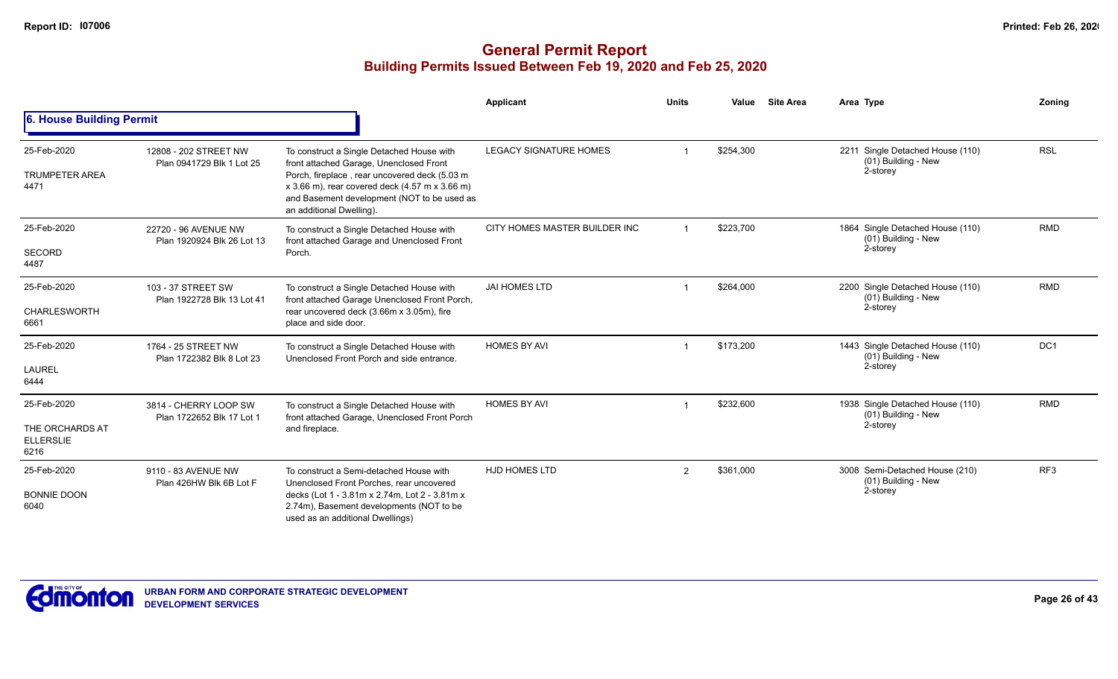|                                                            |                                                    |                                                                                                                                                                                                                                                                        | Applicant                     | <b>Units</b>   | Value     | <b>Site Area</b> | Area Type                                                             | Zoning          |
|------------------------------------------------------------|----------------------------------------------------|------------------------------------------------------------------------------------------------------------------------------------------------------------------------------------------------------------------------------------------------------------------------|-------------------------------|----------------|-----------|------------------|-----------------------------------------------------------------------|-----------------|
| 6. House Building Permit                                   |                                                    |                                                                                                                                                                                                                                                                        |                               |                |           |                  |                                                                       |                 |
| 25-Feb-2020<br><b>TRUMPETER AREA</b><br>4471               | 12808 - 202 STREET NW<br>Plan 0941729 Blk 1 Lot 25 | To construct a Single Detached House with<br>front attached Garage, Unenclosed Front<br>Porch, fireplace, rear uncovered deck (5.03 m<br>$x$ 3.66 m), rear covered deck (4.57 m $x$ 3.66 m)<br>and Basement development (NOT to be used as<br>an additional Dwelling). | <b>LEGACY SIGNATURE HOMES</b> |                | \$254,300 |                  | 2211 Single Detached House (110)<br>(01) Building - New<br>2-storey   | <b>RSL</b>      |
| 25-Feb-2020<br><b>SECORD</b><br>4487                       | 22720 - 96 AVENUE NW<br>Plan 1920924 Blk 26 Lot 13 | To construct a Single Detached House with<br>front attached Garage and Unenclosed Front<br>Porch.                                                                                                                                                                      | CITY HOMES MASTER BUILDER INC |                | \$223,700 |                  | 1864 Single Detached House (110)<br>(01) Building - New<br>2-storey   | <b>RMD</b>      |
| 25-Feb-2020<br>CHARLESWORTH<br>6661                        | 103 - 37 STREET SW<br>Plan 1922728 Blk 13 Lot 41   | To construct a Single Detached House with<br>front attached Garage Unenclosed Front Porch,<br>rear uncovered deck (3.66m x 3.05m), fire<br>place and side door.                                                                                                        | <b>JAI HOMES LTD</b>          |                | \$264,000 |                  | 2200 Single Detached House (110)<br>$(01)$ Building - New<br>2-storey | <b>RMD</b>      |
| 25-Feb-2020<br>LAUREL<br>6444                              | 1764 - 25 STREET NW<br>Plan 1722382 Blk 8 Lot 23   | To construct a Single Detached House with<br>Unenclosed Front Porch and side entrance.                                                                                                                                                                                 | <b>HOMES BY AVI</b>           |                | \$173,200 |                  | 1443 Single Detached House (110)<br>(01) Building - New<br>2-storey   | DC1             |
| 25-Feb-2020<br>THE ORCHARDS AT<br><b>ELLERSLIE</b><br>6216 | 3814 - CHERRY LOOP SW<br>Plan 1722652 Blk 17 Lot 1 | To construct a Single Detached House with<br>front attached Garage, Unenclosed Front Porch<br>and fireplace.                                                                                                                                                           | <b>HOMES BY AVI</b>           |                | \$232,600 |                  | 1938 Single Detached House (110)<br>(01) Building - New<br>2-storey   | <b>RMD</b>      |
| 25-Feb-2020<br><b>BONNIE DOON</b><br>6040                  | 9110 - 83 AVENUE NW<br>Plan 426HW Blk 6B Lot F     | To construct a Semi-detached House with<br>Unenclosed Front Porches, rear uncovered<br>decks (Lot 1 - 3.81m x 2.74m, Lot 2 - 3.81m x<br>2.74m), Basement developments (NOT to be<br>used as an additional Dwellings)                                                   | <b>HJD HOMES LTD</b>          | $\overline{2}$ | \$361,000 |                  | 3008 Semi-Detached House (210)<br>(01) Building - New<br>2-storey     | RF <sub>3</sub> |

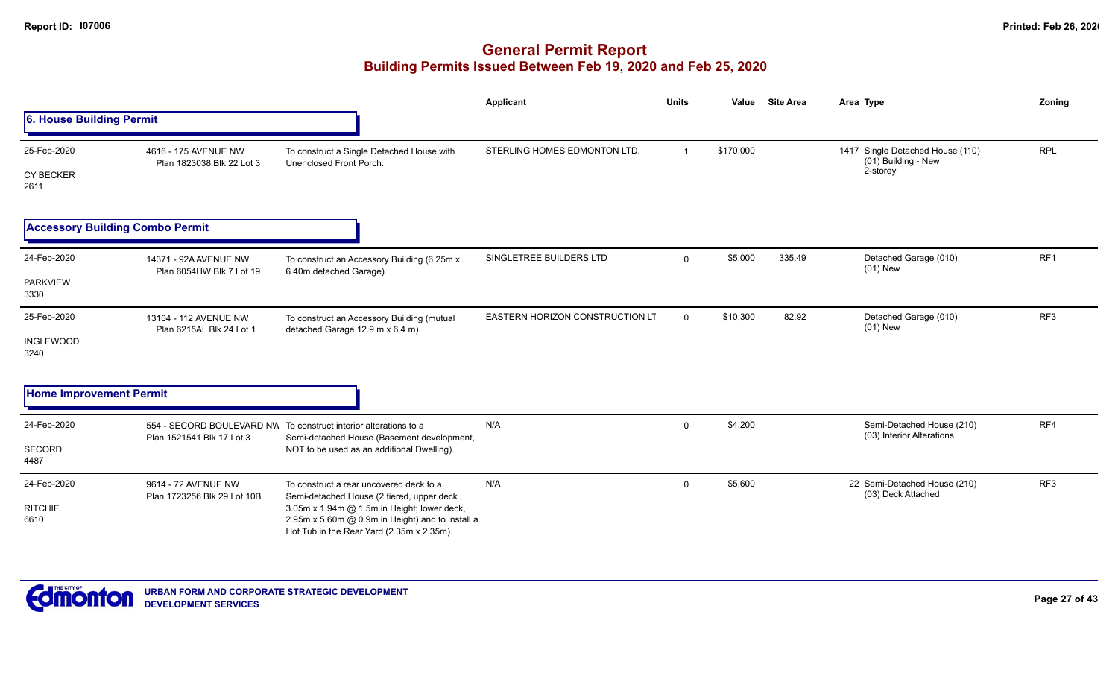|                                         |                                                    |                                                                                                                                                                                                                                       | Applicant                              | <b>Units</b>   | Value     | <b>Site Area</b> | Area Type                                                           | Zoning          |
|-----------------------------------------|----------------------------------------------------|---------------------------------------------------------------------------------------------------------------------------------------------------------------------------------------------------------------------------------------|----------------------------------------|----------------|-----------|------------------|---------------------------------------------------------------------|-----------------|
| 6. House Building Permit                |                                                    |                                                                                                                                                                                                                                       |                                        |                |           |                  |                                                                     |                 |
| 25-Feb-2020<br><b>CY BECKER</b><br>2611 | 4616 - 175 AVENUE NW<br>Plan 1823038 Blk 22 Lot 3  | To construct a Single Detached House with<br>Unenclosed Front Porch.                                                                                                                                                                  | STERLING HOMES EDMONTON LTD.           | $\overline{1}$ | \$170,000 |                  | 1417 Single Detached House (110)<br>(01) Building - New<br>2-storey | <b>RPL</b>      |
|                                         | <b>Accessory Building Combo Permit</b>             |                                                                                                                                                                                                                                       |                                        |                |           |                  |                                                                     |                 |
| 24-Feb-2020<br><b>PARKVIEW</b><br>3330  | 14371 - 92A AVENUE NW<br>Plan 6054HW Blk 7 Lot 19  | To construct an Accessory Building (6.25m x<br>6.40m detached Garage).                                                                                                                                                                | SINGLETREE BUILDERS LTD                | $\mathbf 0$    | \$5,000   | 335.49           | Detached Garage (010)<br>$(01)$ New                                 | RF1             |
| 25-Feb-2020<br><b>INGLEWOOD</b><br>3240 | 13104 - 112 AVENUE NW<br>Plan 6215AL Blk 24 Lot 1  | To construct an Accessory Building (mutual<br>detached Garage 12.9 m x 6.4 m)                                                                                                                                                         | <b>EASTERN HORIZON CONSTRUCTION LT</b> | $\overline{0}$ | \$10,300  | 82.92            | Detached Garage (010)<br>$(01)$ New                                 | RF <sub>3</sub> |
| <b>Home Improvement Permit</b>          |                                                    |                                                                                                                                                                                                                                       |                                        |                |           |                  |                                                                     |                 |
| 24-Feb-2020<br>SECORD<br>4487           | Plan 1521541 Blk 17 Lot 3                          | 554 - SECORD BOULEVARD NW To construct interior alterations to a<br>Semi-detached House (Basement development,<br>NOT to be used as an additional Dwelling).                                                                          | N/A                                    | $\mathbf 0$    | \$4,200   |                  | Semi-Detached House (210)<br>(03) Interior Alterations              | RF4             |
| 24-Feb-2020<br><b>RITCHIE</b><br>6610   | 9614 - 72 AVENUE NW<br>Plan 1723256 Blk 29 Lot 10B | To construct a rear uncovered deck to a<br>Semi-detached House (2 tiered, upper deck,<br>3.05m x 1.94m @ 1.5m in Height; lower deck,<br>2.95m x 5.60m @ 0.9m in Height) and to install a<br>Hot Tub in the Rear Yard (2.35m x 2.35m). | N/A                                    | $\mathbf 0$    | \$5,600   |                  | 22 Semi-Detached House (210)<br>(03) Deck Attached                  | RF <sub>3</sub> |

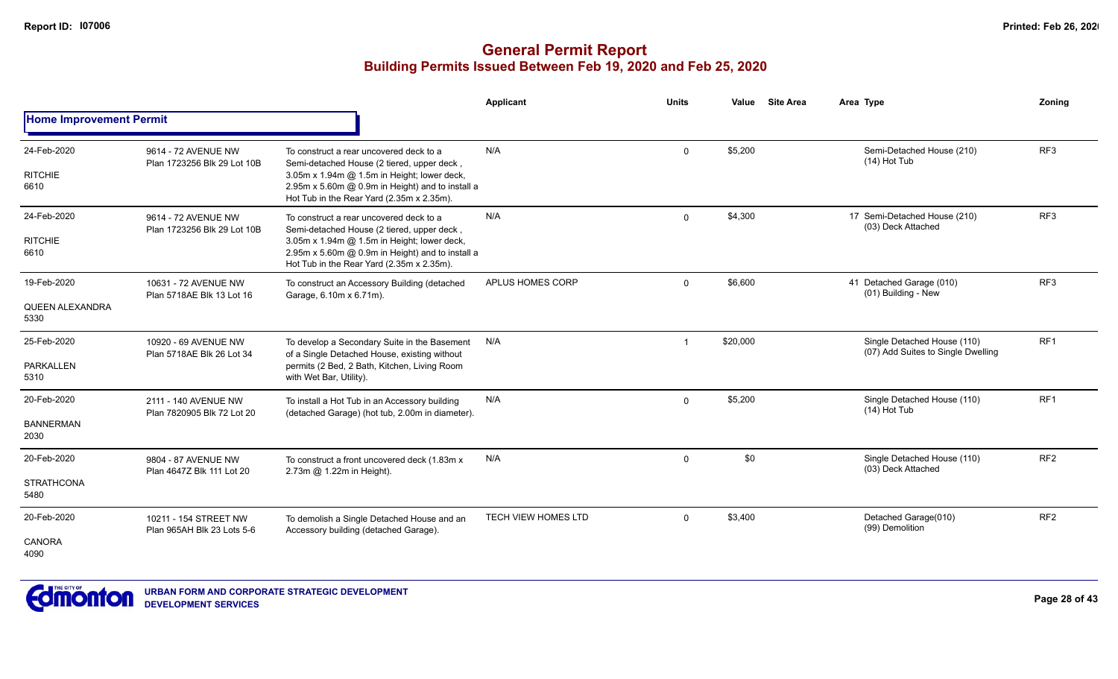|                                          |                                                     |                                                                                                                                                                                                                                       | Applicant                  | <b>Units</b>   | Value    | <b>Site Area</b> | Area Type                                                         | Zoning          |
|------------------------------------------|-----------------------------------------------------|---------------------------------------------------------------------------------------------------------------------------------------------------------------------------------------------------------------------------------------|----------------------------|----------------|----------|------------------|-------------------------------------------------------------------|-----------------|
| <b>Home Improvement Permit</b>           |                                                     |                                                                                                                                                                                                                                       |                            |                |          |                  |                                                                   |                 |
| 24-Feb-2020<br><b>RITCHIE</b><br>6610    | 9614 - 72 AVENUE NW<br>Plan 1723256 Blk 29 Lot 10B  | To construct a rear uncovered deck to a<br>Semi-detached House (2 tiered, upper deck,<br>3.05m x 1.94m @ 1.5m in Height; lower deck,<br>2.95m x 5.60m @ 0.9m in Height) and to install a<br>Hot Tub in the Rear Yard (2.35m x 2.35m). | N/A                        | $\Omega$       | \$5,200  |                  | Semi-Detached House (210)<br>(14) Hot Tub                         | RF <sub>3</sub> |
| 24-Feb-2020<br><b>RITCHIE</b><br>6610    | 9614 - 72 AVENUE NW<br>Plan 1723256 Blk 29 Lot 10B  | To construct a rear uncovered deck to a<br>Semi-detached House (2 tiered, upper deck,<br>3.05m x 1.94m @ 1.5m in Height; lower deck,<br>2.95m x 5.60m @ 0.9m in Height) and to install a<br>Hot Tub in the Rear Yard (2.35m x 2.35m). | N/A                        | $\Omega$       | \$4,300  |                  | 17 Semi-Detached House (210)<br>(03) Deck Attached                | RF <sub>3</sub> |
| 19-Feb-2020<br>QUEEN ALEXANDRA<br>5330   | 10631 - 72 AVENUE NW<br>Plan 5718AE Blk 13 Lot 16   | To construct an Accessory Building (detached<br>Garage, 6.10m x 6.71m).                                                                                                                                                               | APLUS HOMES CORP           | $\mathbf{0}$   | \$6,600  |                  | 41 Detached Garage (010)<br>(01) Building - New                   | RF <sub>3</sub> |
| 25-Feb-2020<br><b>PARKALLEN</b><br>5310  | 10920 - 69 AVENUE NW<br>Plan 5718AE Blk 26 Lot 34   | To develop a Secondary Suite in the Basement<br>of a Single Detached House, existing without<br>permits (2 Bed, 2 Bath, Kitchen, Living Room<br>with Wet Bar, Utility).                                                               | N/A                        | $\overline{1}$ | \$20,000 |                  | Single Detached House (110)<br>(07) Add Suites to Single Dwelling | RF <sub>1</sub> |
| 20-Feb-2020<br><b>BANNERMAN</b><br>2030  | 2111 - 140 AVENUE NW<br>Plan 7820905 Blk 72 Lot 20  | To install a Hot Tub in an Accessory building<br>(detached Garage) (hot tub, 2.00m in diameter).                                                                                                                                      | N/A                        | $\mathbf 0$    | \$5,200  |                  | Single Detached House (110)<br>(14) Hot Tub                       | RF <sub>1</sub> |
| 20-Feb-2020<br><b>STRATHCONA</b><br>5480 | 9804 - 87 AVENUE NW<br>Plan 4647Z Blk 111 Lot 20    | To construct a front uncovered deck (1.83m x)<br>2.73m @ 1.22m in Height).                                                                                                                                                            | N/A                        | $\mathbf 0$    | \$0      |                  | Single Detached House (110)<br>(03) Deck Attached                 | RF <sub>2</sub> |
| 20-Feb-2020<br><b>CANORA</b><br>4090     | 10211 - 154 STREET NW<br>Plan 965AH Blk 23 Lots 5-6 | To demolish a Single Detached House and an<br>Accessory building (detached Garage).                                                                                                                                                   | <b>TECH VIEW HOMES LTD</b> | 0              | \$3,400  |                  | Detached Garage(010)<br>(99) Demolition                           | RF <sub>2</sub> |

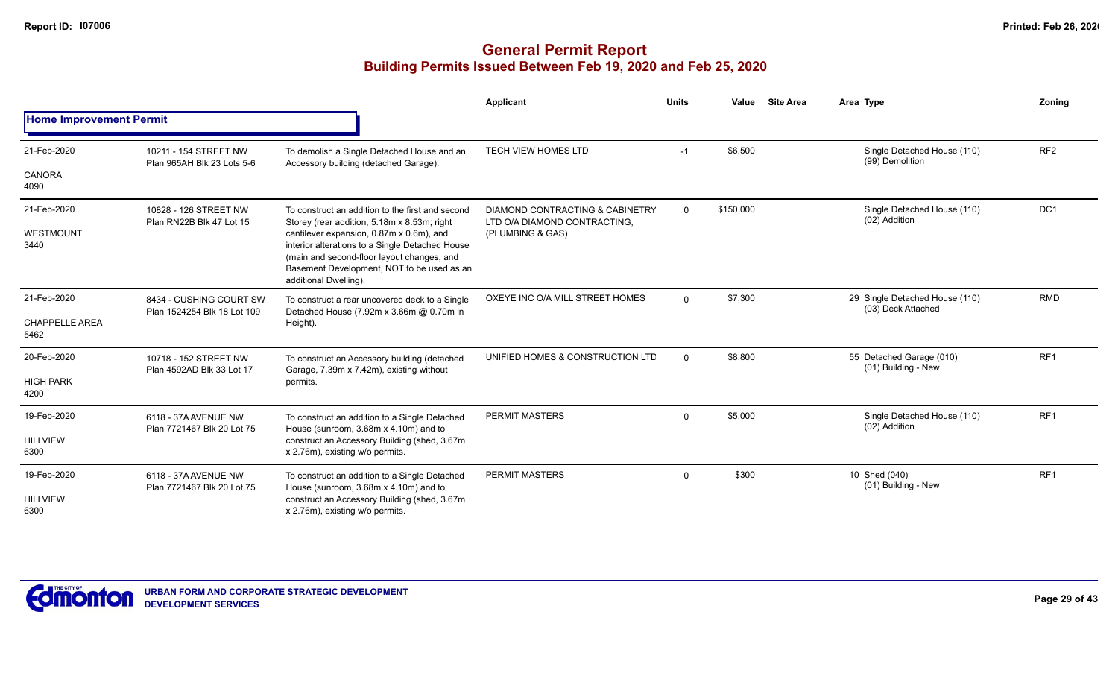|                                              |                                                        |                                                                                                                                                                                                                                                                                                                     | Applicant                                                                           | <b>Units</b> | Value     | <b>Site Area</b> | Area Type                                            | Zoning          |
|----------------------------------------------|--------------------------------------------------------|---------------------------------------------------------------------------------------------------------------------------------------------------------------------------------------------------------------------------------------------------------------------------------------------------------------------|-------------------------------------------------------------------------------------|--------------|-----------|------------------|------------------------------------------------------|-----------------|
| <b>Home Improvement Permit</b>               |                                                        |                                                                                                                                                                                                                                                                                                                     |                                                                                     |              |           |                  |                                                      |                 |
| 21-Feb-2020<br><b>CANORA</b><br>4090         | 10211 - 154 STREET NW<br>Plan 965AH Blk 23 Lots 5-6    | To demolish a Single Detached House and an<br>Accessory building (detached Garage).                                                                                                                                                                                                                                 | <b>TECH VIEW HOMES LTD</b>                                                          | $-1$         | \$6,500   |                  | Single Detached House (110)<br>(99) Demolition       | RF <sub>2</sub> |
| 21-Feb-2020<br>WESTMOUNT<br>3440             | 10828 - 126 STREET NW<br>Plan RN22B Blk 47 Lot 15      | To construct an addition to the first and second<br>Storey (rear addition, 5.18m x 8.53m; right<br>cantilever expansion, 0.87m x 0.6m), and<br>interior alterations to a Single Detached House<br>(main and second-floor layout changes, and<br>Basement Development, NOT to be used as an<br>additional Dwelling). | DIAMOND CONTRACTING & CABINETRY<br>LTD O/A DIAMOND CONTRACTING.<br>(PLUMBING & GAS) | 0            | \$150,000 |                  | Single Detached House (110)<br>(02) Addition         | DC1             |
| 21-Feb-2020<br><b>CHAPPELLE AREA</b><br>5462 | 8434 - CUSHING COURT SW<br>Plan 1524254 Blk 18 Lot 109 | To construct a rear uncovered deck to a Single<br>Detached House (7.92m x 3.66m @ 0.70m in<br>Height).                                                                                                                                                                                                              | OXEYE INC O/A MILL STREET HOMES                                                     | $\mathbf{0}$ | \$7,300   |                  | 29 Single Detached House (110)<br>(03) Deck Attached | <b>RMD</b>      |
| 20-Feb-2020<br><b>HIGH PARK</b><br>4200      | 10718 - 152 STREET NW<br>Plan 4592AD Blk 33 Lot 17     | To construct an Accessory building (detached<br>Garage, 7.39m x 7.42m), existing without<br>permits.                                                                                                                                                                                                                | UNIFIED HOMES & CONSTRUCTION LTD                                                    | $\mathbf{0}$ | \$8,800   |                  | 55 Detached Garage (010)<br>(01) Building - New      | RF <sub>1</sub> |
| 19-Feb-2020<br><b>HILLVIEW</b><br>6300       | 6118 - 37A AVENUE NW<br>Plan 7721467 Blk 20 Lot 75     | To construct an addition to a Single Detached<br>House (sunroom, 3.68m x 4.10m) and to<br>construct an Accessory Building (shed, 3.67m<br>x 2.76m), existing w/o permits.                                                                                                                                           | PERMIT MASTERS                                                                      | $\mathbf{0}$ | \$5,000   |                  | Single Detached House (110)<br>(02) Addition         | RF <sub>1</sub> |
| 19-Feb-2020<br><b>HILLVIEW</b><br>6300       | 6118 - 37A AVENUE NW<br>Plan 7721467 Blk 20 Lot 75     | To construct an addition to a Single Detached<br>House (sunroom, 3.68m x 4.10m) and to<br>construct an Accessory Building (shed, 3.67m<br>x 2.76m), existing w/o permits.                                                                                                                                           | <b>PERMIT MASTERS</b>                                                               | $\Omega$     | \$300     |                  | 10 Shed (040)<br>(01) Building - New                 | RF <sub>1</sub> |

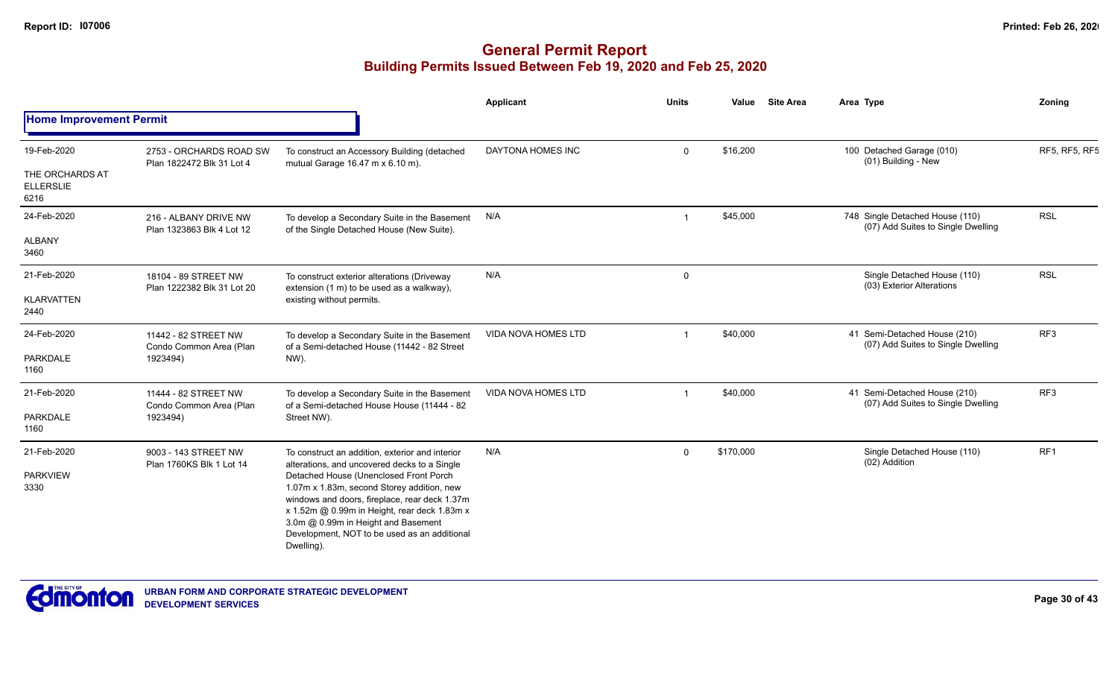|                                |                                                      |                                                                                                                                                                                                                                                                                            | <b>Applicant</b>           | <b>Units</b>   | Value     | <b>Site Area</b> | Area Type                                                             | Zoning          |
|--------------------------------|------------------------------------------------------|--------------------------------------------------------------------------------------------------------------------------------------------------------------------------------------------------------------------------------------------------------------------------------------------|----------------------------|----------------|-----------|------------------|-----------------------------------------------------------------------|-----------------|
| <b>Home Improvement Permit</b> |                                                      |                                                                                                                                                                                                                                                                                            |                            |                |           |                  |                                                                       |                 |
| 19-Feb-2020<br>THE ORCHARDS AT | 2753 - ORCHARDS ROAD SW<br>Plan 1822472 Blk 31 Lot 4 | To construct an Accessory Building (detached<br>mutual Garage 16.47 m x 6.10 m).                                                                                                                                                                                                           | DAYTONA HOMES INC          | $\mathbf{0}$   | \$16,200  |                  | 100 Detached Garage (010)<br>(01) Building - New                      | RF5, RF5, RF5   |
| <b>ELLERSLIE</b><br>6216       |                                                      |                                                                                                                                                                                                                                                                                            |                            |                |           |                  |                                                                       |                 |
| 24-Feb-2020                    | 216 - ALBANY DRIVE NW<br>Plan 1323863 Blk 4 Lot 12   | To develop a Secondary Suite in the Basement<br>of the Single Detached House (New Suite).                                                                                                                                                                                                  | N/A                        | $\overline{1}$ | \$45,000  |                  | 748 Single Detached House (110)<br>(07) Add Suites to Single Dwelling | <b>RSL</b>      |
| <b>ALBANY</b><br>3460          |                                                      |                                                                                                                                                                                                                                                                                            |                            |                |           |                  |                                                                       |                 |
| 21-Feb-2020                    | 18104 - 89 STREET NW<br>Plan 1222382 Blk 31 Lot 20   | To construct exterior alterations (Driveway<br>extension (1 m) to be used as a walkway),                                                                                                                                                                                                   | N/A                        | $\mathbf 0$    |           |                  | Single Detached House (110)<br>(03) Exterior Alterations              | <b>RSL</b>      |
| <b>KLARVATTEN</b><br>2440      |                                                      | existing without permits.                                                                                                                                                                                                                                                                  |                            |                |           |                  | 41 Semi-Detached House (210)<br>(07) Add Suites to Single Dwelling    |                 |
| 24-Feb-2020                    | 11442 - 82 STREET NW<br>Condo Common Area (Plan      | To develop a Secondary Suite in the Basement<br>of a Semi-detached House (11442 - 82 Street                                                                                                                                                                                                | <b>VIDA NOVA HOMES LTD</b> | -1             | \$40,000  |                  |                                                                       | RF <sub>3</sub> |
| <b>PARKDALE</b><br>1160        | 1923494)                                             | NW).                                                                                                                                                                                                                                                                                       |                            |                |           |                  |                                                                       |                 |
| 21-Feb-2020                    | 11444 - 82 STREET NW<br>Condo Common Area (Plan      | To develop a Secondary Suite in the Basement<br>of a Semi-detached House House (11444 - 82                                                                                                                                                                                                 | <b>VIDA NOVA HOMES LTD</b> | $\overline{1}$ | \$40,000  |                  | 41 Semi-Detached House (210)<br>(07) Add Suites to Single Dwelling    | RF <sub>3</sub> |
| <b>PARKDALE</b><br>1160        | 1923494)                                             | Street NW).                                                                                                                                                                                                                                                                                |                            |                |           |                  |                                                                       |                 |
| 21-Feb-2020                    | 9003 - 143 STREET NW<br>Plan 1760KS Blk 1 Lot 14     | To construct an addition, exterior and interior<br>alterations, and uncovered decks to a Single                                                                                                                                                                                            | N/A                        | $\Omega$       | \$170,000 |                  | Single Detached House (110)<br>(02) Addition                          | RF <sub>1</sub> |
| <b>PARKVIEW</b><br>3330        |                                                      | Detached House (Unenclosed Front Porch<br>1.07m x 1.83m, second Storey addition, new<br>windows and doors, fireplace, rear deck 1.37m<br>x 1.52m @ 0.99m in Height, rear deck 1.83m x<br>3.0m @ 0.99m in Height and Basement<br>Development, NOT to be used as an additional<br>Dwelling). |                            |                |           |                  |                                                                       |                 |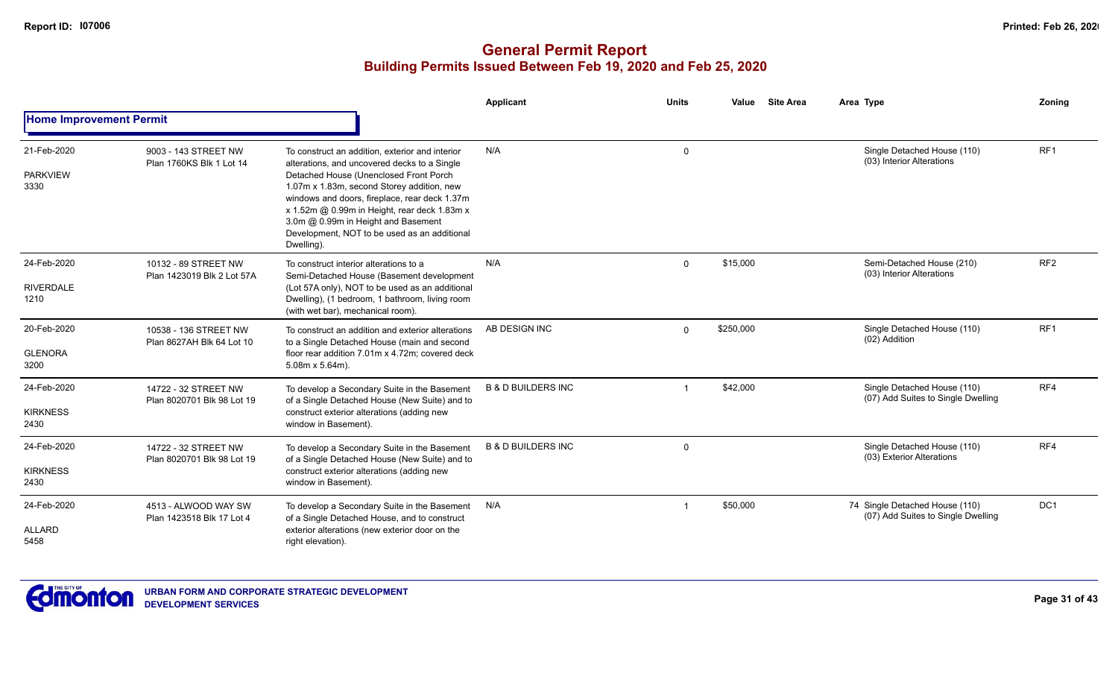|                                         |                                                    |                                                                                                                                                                                                                                                                                                                                                                                              | Applicant                     | <b>Units</b> | <b>Site Area</b><br>Value | Area Type                                                            | Zoning          |
|-----------------------------------------|----------------------------------------------------|----------------------------------------------------------------------------------------------------------------------------------------------------------------------------------------------------------------------------------------------------------------------------------------------------------------------------------------------------------------------------------------------|-------------------------------|--------------|---------------------------|----------------------------------------------------------------------|-----------------|
| <b>Home Improvement Permit</b>          |                                                    |                                                                                                                                                                                                                                                                                                                                                                                              |                               |              |                           |                                                                      |                 |
| 21-Feb-2020<br><b>PARKVIEW</b><br>3330  | 9003 - 143 STREET NW<br>Plan 1760KS Blk 1 Lot 14   | To construct an addition, exterior and interior<br>alterations, and uncovered decks to a Single<br>Detached House (Unenclosed Front Porch<br>1.07m x 1.83m, second Storey addition, new<br>windows and doors, fireplace, rear deck 1.37m<br>x 1.52m @ 0.99m in Height, rear deck 1.83m x<br>3.0m @ 0.99m in Height and Basement<br>Development, NOT to be used as an additional<br>Dwelling) | N/A                           | $\Omega$     |                           | Single Detached House (110)<br>(03) Interior Alterations             | RF <sub>1</sub> |
| 24-Feb-2020<br><b>RIVERDALE</b><br>1210 | 10132 - 89 STREET NW<br>Plan 1423019 Blk 2 Lot 57A | To construct interior alterations to a<br>Semi-Detached House (Basement development<br>(Lot 57A only), NOT to be used as an additional<br>Dwelling), (1 bedroom, 1 bathroom, living room<br>(with wet bar), mechanical room).                                                                                                                                                                | N/A                           | $\Omega$     | \$15,000                  | Semi-Detached House (210)<br>(03) Interior Alterations               | RF <sub>2</sub> |
| 20-Feb-2020<br><b>GLENORA</b><br>3200   | 10538 - 136 STREET NW<br>Plan 8627AH Blk 64 Lot 10 | To construct an addition and exterior alterations<br>to a Single Detached House (main and second<br>floor rear addition 7.01m x 4.72m; covered deck<br>$5.08m \times 5.64m$ ).                                                                                                                                                                                                               | AB DESIGN INC                 | $\Omega$     | \$250,000                 | Single Detached House (110)<br>(02) Addition                         | RF <sub>1</sub> |
| 24-Feb-2020<br><b>KIRKNESS</b><br>2430  | 14722 - 32 STREET NW<br>Plan 8020701 Blk 98 Lot 19 | To develop a Secondary Suite in the Basement<br>of a Single Detached House (New Suite) and to<br>construct exterior alterations (adding new<br>window in Basement).                                                                                                                                                                                                                          | <b>B &amp; D BUILDERS INC</b> |              | \$42,000                  | Single Detached House (110)<br>(07) Add Suites to Single Dwelling    | RF4             |
| 24-Feb-2020<br><b>KIRKNESS</b><br>2430  | 14722 - 32 STREET NW<br>Plan 8020701 Blk 98 Lot 19 | To develop a Secondary Suite in the Basement<br>of a Single Detached House (New Suite) and to<br>construct exterior alterations (adding new<br>window in Basement).                                                                                                                                                                                                                          | <b>B &amp; D BUILDERS INC</b> | $\mathbf{0}$ |                           | Single Detached House (110)<br>(03) Exterior Alterations             | RF4             |
| 24-Feb-2020<br>ALLARD<br>5458           | 4513 - ALWOOD WAY SW<br>Plan 1423518 Blk 17 Lot 4  | To develop a Secondary Suite in the Basement<br>of a Single Detached House, and to construct<br>exterior alterations (new exterior door on the<br>right elevation).                                                                                                                                                                                                                          | N/A                           |              | \$50,000                  | 74 Single Detached House (110)<br>(07) Add Suites to Single Dwelling | DC <sub>1</sub> |

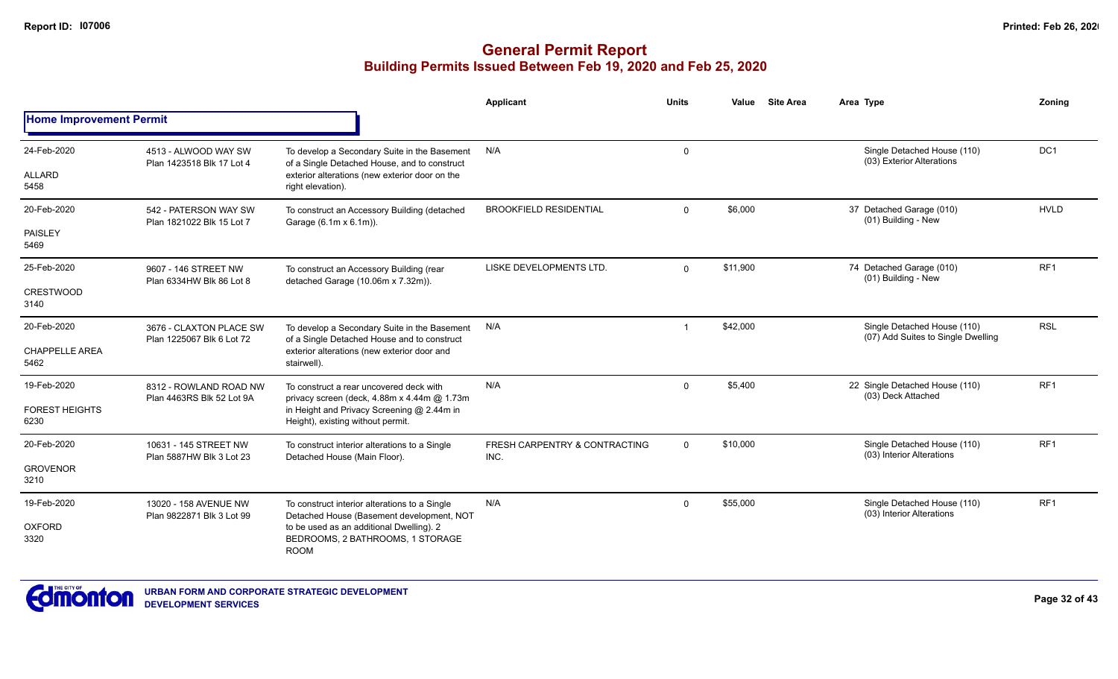|                                |                                                      |                                                                                              | Applicant                             | <b>Units</b> | Value    | <b>Site Area</b> | Area Type                                                         | Zoning          |
|--------------------------------|------------------------------------------------------|----------------------------------------------------------------------------------------------|---------------------------------------|--------------|----------|------------------|-------------------------------------------------------------------|-----------------|
| <b>Home Improvement Permit</b> |                                                      |                                                                                              |                                       |              |          |                  |                                                                   |                 |
| 24-Feb-2020                    | 4513 - ALWOOD WAY SW<br>Plan 1423518 Blk 17 Lot 4    | To develop a Secondary Suite in the Basement<br>of a Single Detached House, and to construct | N/A                                   | 0            |          |                  | Single Detached House (110)<br>(03) Exterior Alterations          | DC <sub>1</sub> |
| ALLARD<br>5458                 |                                                      | exterior alterations (new exterior door on the<br>right elevation).                          |                                       |              |          |                  |                                                                   |                 |
| 20-Feb-2020                    | 542 - PATERSON WAY SW<br>Plan 1821022 Blk 15 Lot 7   | To construct an Accessory Building (detached<br>Garage (6.1m x 6.1m)).                       | <b>BROOKFIELD RESIDENTIAL</b>         | $\Omega$     | \$6,000  |                  | 37 Detached Garage (010)<br>(01) Building - New                   | <b>HVLD</b>     |
| PAISLEY<br>5469                |                                                      |                                                                                              |                                       |              |          |                  |                                                                   |                 |
| 25-Feb-2020                    | 9607 - 146 STREET NW<br>Plan 6334HW Blk 86 Lot 8     | To construct an Accessory Building (rear<br>detached Garage (10.06m x 7.32m)).               | LISKE DEVELOPMENTS LTD.               | $\Omega$     | \$11,900 |                  | 74 Detached Garage (010)<br>(01) Building - New                   | RF <sub>1</sub> |
| <b>CRESTWOOD</b><br>3140       |                                                      |                                                                                              |                                       |              |          |                  |                                                                   |                 |
| 20-Feb-2020                    | 3676 - CLAXTON PLACE SW<br>Plan 1225067 Blk 6 Lot 72 | To develop a Secondary Suite in the Basement<br>of a Single Detached House and to construct  | N/A                                   |              | \$42,000 |                  | Single Detached House (110)<br>(07) Add Suites to Single Dwelling | <b>RSL</b>      |
| <b>CHAPPELLE AREA</b><br>5462  |                                                      | exterior alterations (new exterior door and<br>stairwell).                                   |                                       |              |          |                  |                                                                   |                 |
| 19-Feb-2020                    | 8312 - ROWLAND ROAD NW<br>Plan 4463RS Blk 52 Lot 9A  | To construct a rear uncovered deck with<br>privacy screen (deck, 4.88m x 4.44m @ 1.73m       | N/A                                   | 0            | \$5,400  |                  | 22 Single Detached House (110)<br>(03) Deck Attached              | RF <sub>1</sub> |
| <b>FOREST HEIGHTS</b><br>6230  |                                                      | in Height and Privacy Screening @ 2.44m in<br>Height), existing without permit.              |                                       |              |          |                  | Single Detached House (110)                                       |                 |
| 20-Feb-2020                    | 10631 - 145 STREET NW                                | To construct interior alterations to a Single<br>Detached House (Main Floor).                | FRESH CARPENTRY & CONTRACTING<br>INC. | $\mathbf 0$  | \$10,000 |                  | (03) Interior Alterations                                         | RF <sub>1</sub> |
| <b>GROVENOR</b><br>3210        | Plan 5887HW Blk 3 Lot 23                             |                                                                                              |                                       |              |          |                  |                                                                   |                 |
| 19-Feb-2020                    | 13020 - 158 AVENUE NW<br>Plan 9822871 Blk 3 Lot 99   | To construct interior alterations to a Single<br>Detached House (Basement development, NOT   | N/A                                   | $\Omega$     | \$55,000 |                  | Single Detached House (110)<br>(03) Interior Alterations          | RF <sub>1</sub> |
| <b>OXFORD</b><br>3320          |                                                      | to be used as an additional Dwelling). 2<br>BEDROOMS, 2 BATHROOMS, 1 STORAGE<br><b>ROOM</b>  |                                       |              |          |                  |                                                                   |                 |

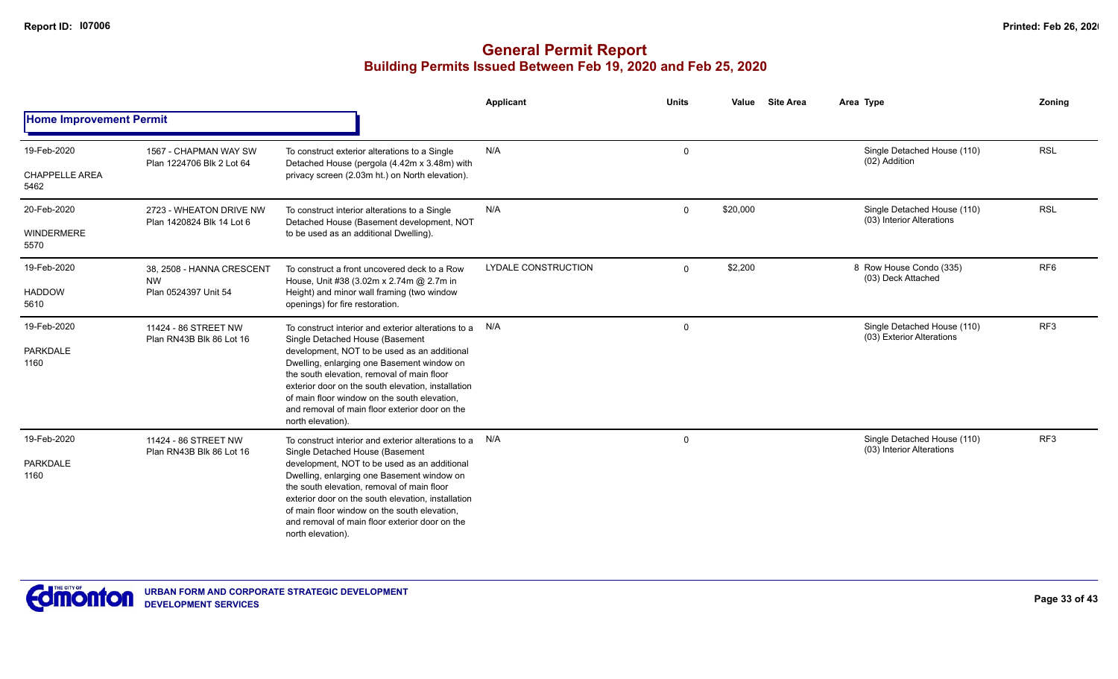|                                              |                                                                |                                                                                                                                                                                                                                                                                                                                                                                                                     | <b>Applicant</b>           | <b>Units</b> | <b>Site Area</b><br>Value | Area Type                                                | Zoning          |
|----------------------------------------------|----------------------------------------------------------------|---------------------------------------------------------------------------------------------------------------------------------------------------------------------------------------------------------------------------------------------------------------------------------------------------------------------------------------------------------------------------------------------------------------------|----------------------------|--------------|---------------------------|----------------------------------------------------------|-----------------|
| <b>Home Improvement Permit</b>               |                                                                |                                                                                                                                                                                                                                                                                                                                                                                                                     |                            |              |                           |                                                          |                 |
| 19-Feb-2020<br><b>CHAPPELLE AREA</b><br>5462 | 1567 - CHAPMAN WAY SW<br>Plan 1224706 Blk 2 Lot 64             | To construct exterior alterations to a Single<br>Detached House (pergola (4.42m x 3.48m) with<br>privacy screen (2.03m ht.) on North elevation).                                                                                                                                                                                                                                                                    | N/A                        | $\mathbf 0$  |                           | Single Detached House (110)<br>(02) Addition             | <b>RSL</b>      |
| 20-Feb-2020<br><b>WINDERMERE</b><br>5570     | 2723 - WHEATON DRIVE NW<br>Plan 1420824 Blk 14 Lot 6           | To construct interior alterations to a Single<br>Detached House (Basement development, NOT<br>to be used as an additional Dwelling).                                                                                                                                                                                                                                                                                | N/A                        | $\Omega$     | \$20,000                  | Single Detached House (110)<br>(03) Interior Alterations | <b>RSL</b>      |
| 19-Feb-2020<br><b>HADDOW</b><br>5610         | 38. 2508 - HANNA CRESCENT<br><b>NW</b><br>Plan 0524397 Unit 54 | To construct a front uncovered deck to a Row<br>House, Unit #38 (3.02m x 2.74m @ 2.7m in<br>Height) and minor wall framing (two window<br>openings) for fire restoration.                                                                                                                                                                                                                                           | <b>LYDALE CONSTRUCTION</b> | $\Omega$     | \$2,200                   | 8 Row House Condo (335)<br>(03) Deck Attached            | RF <sub>6</sub> |
| 19-Feb-2020<br><b>PARKDALE</b><br>1160       | 11424 - 86 STREET NW<br>Plan RN43B Blk 86 Lot 16               | To construct interior and exterior alterations to a N/A<br>Single Detached House (Basement<br>development, NOT to be used as an additional<br>Dwelling, enlarging one Basement window on<br>the south elevation, removal of main floor<br>exterior door on the south elevation, installation<br>of main floor window on the south elevation.<br>and removal of main floor exterior door on the<br>north elevation). |                            | $\mathbf 0$  |                           | Single Detached House (110)<br>(03) Exterior Alterations | RF3             |
| 19-Feb-2020<br><b>PARKDALE</b><br>1160       | 11424 - 86 STREET NW<br>Plan RN43B Blk 86 Lot 16               | To construct interior and exterior alterations to a N/A<br>Single Detached House (Basement<br>development, NOT to be used as an additional<br>Dwelling, enlarging one Basement window on<br>the south elevation, removal of main floor<br>exterior door on the south elevation, installation<br>of main floor window on the south elevation,<br>and removal of main floor exterior door on the<br>north elevation). |                            | $\mathbf 0$  |                           | Single Detached House (110)<br>(03) Interior Alterations | RF3             |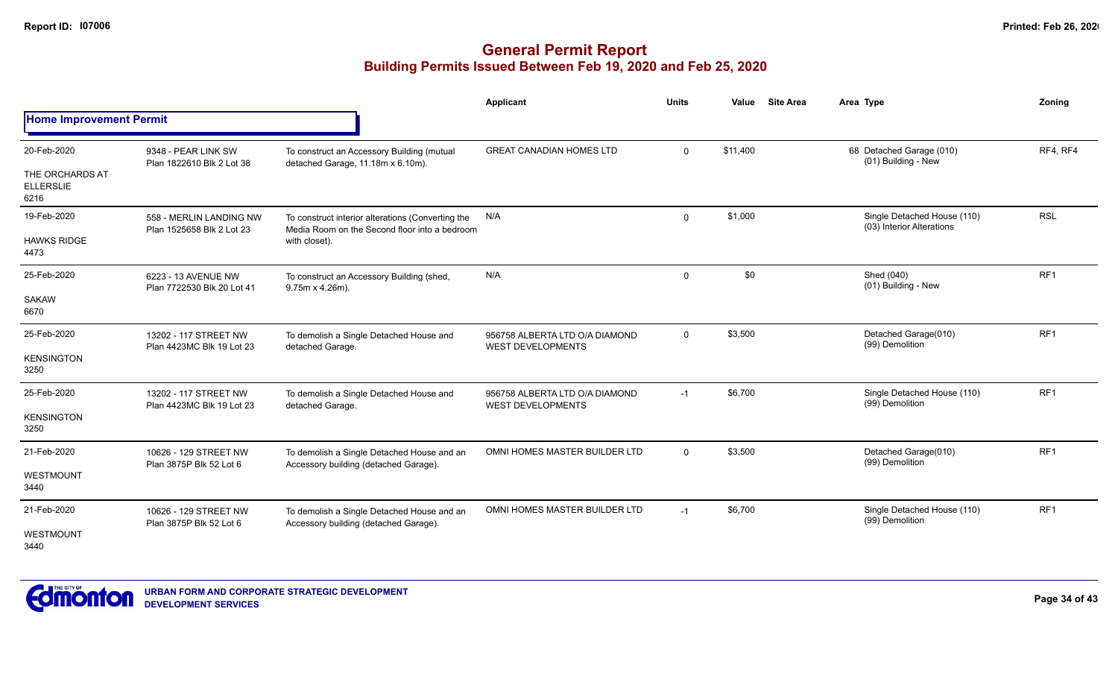|                                                            |                                                      |                                                                                                                     | Applicant                                                  | <b>Units</b> | Value    | <b>Site Area</b><br>Area Type                            | Zoning          |
|------------------------------------------------------------|------------------------------------------------------|---------------------------------------------------------------------------------------------------------------------|------------------------------------------------------------|--------------|----------|----------------------------------------------------------|-----------------|
| <b>Home Improvement Permit</b>                             |                                                      |                                                                                                                     |                                                            |              |          |                                                          |                 |
| 20-Feb-2020<br>THE ORCHARDS AT<br><b>ELLERSLIE</b><br>6216 | 9348 - PEAR LINK SW<br>Plan 1822610 Blk 2 Lot 38     | To construct an Accessory Building (mutual<br>detached Garage, 11.18m x 6.10m).                                     | <b>GREAT CANADIAN HOMES LTD</b>                            | $\Omega$     | \$11,400 | 68 Detached Garage (010)<br>(01) Building - New          | RF4, RF4        |
| 19-Feb-2020<br><b>HAWKS RIDGE</b><br>4473                  | 558 - MERLIN LANDING NW<br>Plan 1525658 Blk 2 Lot 23 | To construct interior alterations (Converting the<br>Media Room on the Second floor into a bedroom<br>with closet). | N/A                                                        | $\Omega$     | \$1,000  | Single Detached House (110)<br>(03) Interior Alterations | <b>RSL</b>      |
| 25-Feb-2020<br><b>SAKAW</b><br>6670                        | 6223 - 13 AVENUE NW<br>Plan 7722530 Blk 20 Lot 41    | To construct an Accessory Building (shed,<br>9.75m x 4.26m).                                                        | N/A                                                        | $\Omega$     | \$0      | Shed (040)<br>(01) Building - New                        | RF1             |
| 25-Feb-2020<br><b>KENSINGTON</b><br>3250                   | 13202 - 117 STREET NW<br>Plan 4423MC Blk 19 Lot 23   | To demolish a Single Detached House and<br>detached Garage.                                                         | 956758 ALBERTA LTD O/A DIAMOND<br><b>WEST DEVELOPMENTS</b> | $\Omega$     | \$3,500  | Detached Garage(010)<br>(99) Demolition                  | RF <sub>1</sub> |
| 25-Feb-2020<br><b>KENSINGTON</b><br>3250                   | 13202 - 117 STREET NW<br>Plan 4423MC Blk 19 Lot 23   | To demolish a Single Detached House and<br>detached Garage.                                                         | 956758 ALBERTA LTD O/A DIAMOND<br><b>WEST DEVELOPMENTS</b> | $-1$         | \$6,700  | Single Detached House (110)<br>(99) Demolition           | RF1             |
| 21-Feb-2020<br>WESTMOUNT<br>3440                           | 10626 - 129 STREET NW<br>Plan 3875P Blk 52 Lot 6     | To demolish a Single Detached House and an<br>Accessory building (detached Garage).                                 | OMNI HOMES MASTER BUILDER LTD                              | $\Omega$     | \$3,500  | Detached Garage(010)<br>(99) Demolition                  | RF1             |
| 21-Feb-2020<br>WESTMOUNT<br>3440                           | 10626 - 129 STREET NW<br>Plan 3875P Blk 52 Lot 6     | To demolish a Single Detached House and an<br>Accessory building (detached Garage).                                 | OMNI HOMES MASTER BUILDER LTD                              | $-1$         | \$6,700  | Single Detached House (110)<br>(99) Demolition           | RF <sub>1</sub> |

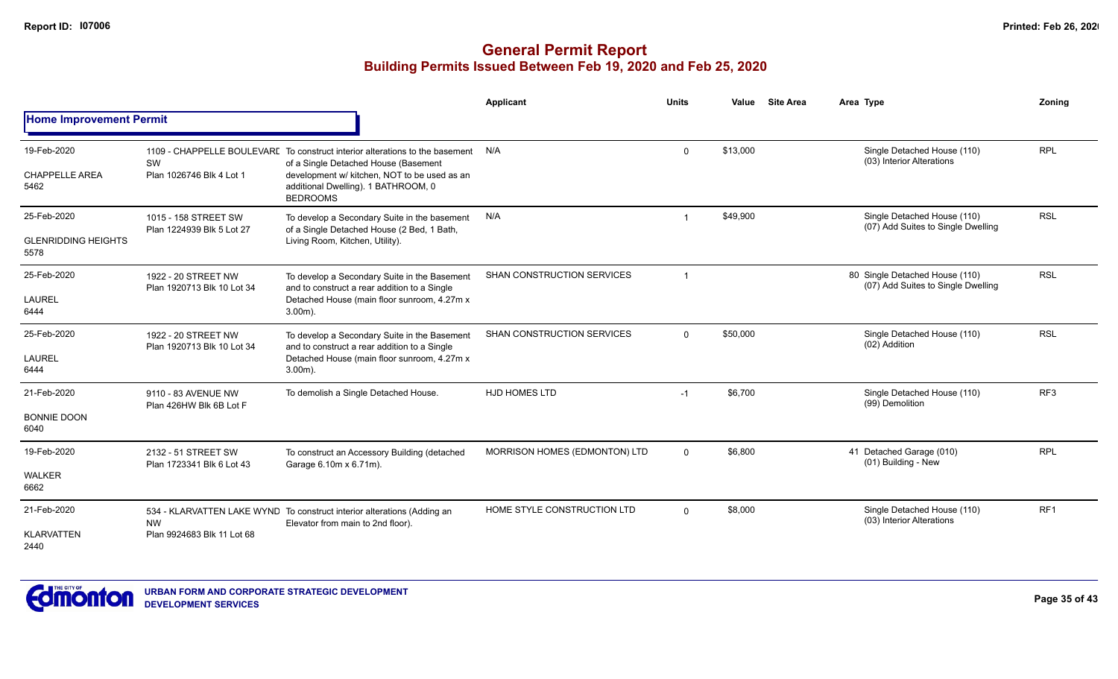|                                                   |                                                   |                                                                                                                                                                                                                                | <b>Applicant</b>                  | <b>Units</b> | Value    | <b>Site Area</b> | Area Type                                                            | Zoning          |
|---------------------------------------------------|---------------------------------------------------|--------------------------------------------------------------------------------------------------------------------------------------------------------------------------------------------------------------------------------|-----------------------------------|--------------|----------|------------------|----------------------------------------------------------------------|-----------------|
| <b>Home Improvement Permit</b>                    |                                                   |                                                                                                                                                                                                                                |                                   |              |          |                  |                                                                      |                 |
| 19-Feb-2020<br><b>CHAPPELLE AREA</b><br>5462      | <b>SW</b><br>Plan 1026746 Blk 4 Lot 1             | 1109 - CHAPPELLE BOULEVARE To construct interior alterations to the basement<br>of a Single Detached House (Basement<br>development w/ kitchen, NOT to be used as an<br>additional Dwelling). 1 BATHROOM, 0<br><b>BEDROOMS</b> | N/A                               | $\Omega$     | \$13,000 |                  | Single Detached House (110)<br>(03) Interior Alterations             | <b>RPL</b>      |
| 25-Feb-2020<br><b>GLENRIDDING HEIGHTS</b><br>5578 | 1015 - 158 STREET SW<br>Plan 1224939 Blk 5 Lot 27 | To develop a Secondary Suite in the basement<br>of a Single Detached House (2 Bed, 1 Bath,<br>Living Room, Kitchen, Utility).                                                                                                  | N/A                               |              | \$49,900 |                  | Single Detached House (110)<br>(07) Add Suites to Single Dwelling    | <b>RSL</b>      |
| 25-Feb-2020<br><b>LAUREL</b><br>6444              | 1922 - 20 STREET NW<br>Plan 1920713 Blk 10 Lot 34 | To develop a Secondary Suite in the Basement<br>and to construct a rear addition to a Single<br>Detached House (main floor sunroom, 4.27m x<br>$3.00m$ ).                                                                      | <b>SHAN CONSTRUCTION SERVICES</b> |              |          |                  | 80 Single Detached House (110)<br>(07) Add Suites to Single Dwelling | <b>RSL</b>      |
| 25-Feb-2020<br><b>LAUREL</b><br>6444              | 1922 - 20 STREET NW<br>Plan 1920713 Blk 10 Lot 34 | To develop a Secondary Suite in the Basement<br>and to construct a rear addition to a Single<br>Detached House (main floor sunroom, 4.27m x<br>$3.00m$ ).                                                                      | SHAN CONSTRUCTION SERVICES        | $\Omega$     | \$50,000 |                  | Single Detached House (110)<br>(02) Addition                         | <b>RSL</b>      |
| 21-Feb-2020<br><b>BONNIE DOON</b><br>6040         | 9110 - 83 AVENUE NW<br>Plan 426HW Blk 6B Lot F    | To demolish a Single Detached House.                                                                                                                                                                                           | <b>HJD HOMES LTD</b>              | $-1$         | \$6,700  |                  | Single Detached House (110)<br>(99) Demolition                       | RF <sub>3</sub> |
| 19-Feb-2020<br><b>WALKER</b><br>6662              | 2132 - 51 STREET SW<br>Plan 1723341 Blk 6 Lot 43  | To construct an Accessory Building (detached<br>Garage 6.10m x 6.71m).                                                                                                                                                         | MORRISON HOMES (EDMONTON) LTD     | $\Omega$     | \$6,800  |                  | 41 Detached Garage (010)<br>(01) Building - New                      | <b>RPL</b>      |
| 21-Feb-2020<br><b>KLARVATTEN</b><br>2440          | <b>NW</b><br>Plan 9924683 Blk 11 Lot 68           | 534 - KLARVATTEN LAKE WYND To construct interior alterations (Adding an<br>Elevator from main to 2nd floor).                                                                                                                   | HOME STYLE CONSTRUCTION LTD       | $\Omega$     | \$8,000  |                  | Single Detached House (110)<br>(03) Interior Alterations             | RF1             |

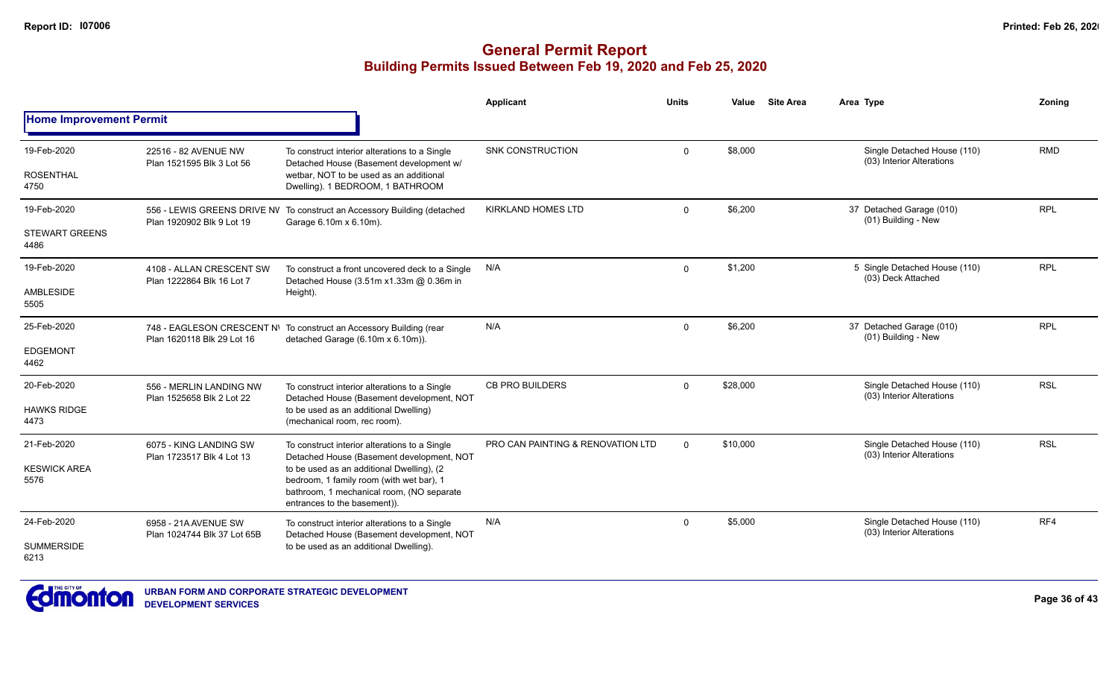|                                |                                                       |                                                                                                                                                                    | Applicant                         | <b>Units</b> | Value    | <b>Site Area</b> | Area Type                                                | Zonina     |
|--------------------------------|-------------------------------------------------------|--------------------------------------------------------------------------------------------------------------------------------------------------------------------|-----------------------------------|--------------|----------|------------------|----------------------------------------------------------|------------|
| <b>Home Improvement Permit</b> |                                                       |                                                                                                                                                                    |                                   |              |          |                  |                                                          |            |
| 19-Feb-2020                    | 22516 - 82 AVENUE NW                                  | To construct interior alterations to a Single                                                                                                                      | <b>SNK CONSTRUCTION</b>           | $\Omega$     | \$8,000  |                  | Single Detached House (110)<br>(03) Interior Alterations | <b>RMD</b> |
| <b>ROSENTHAL</b><br>4750       | Plan 1521595 Blk 3 Lot 56                             | Detached House (Basement development w/<br>wetbar. NOT to be used as an additional<br>Dwelling). 1 BEDROOM, 1 BATHROOM                                             |                                   |              |          |                  |                                                          |            |
| 19-Feb-2020                    | Plan 1920902 Blk 9 Lot 19                             | 556 - LEWIS GREENS DRIVE NV To construct an Accessory Building (detached<br>Garage 6.10m x 6.10m).                                                                 | <b>KIRKLAND HOMES LTD</b>         | $\Omega$     | \$6,200  |                  | 37 Detached Garage (010)<br>(01) Building - New          | <b>RPL</b> |
| <b>STEWART GREENS</b><br>4486  |                                                       |                                                                                                                                                                    |                                   |              |          |                  |                                                          |            |
| 19-Feb-2020                    | 4108 - ALLAN CRESCENT SW<br>Plan 1222864 Blk 16 Lot 7 | To construct a front uncovered deck to a Single<br>Detached House (3.51m x1.33m @ 0.36m in                                                                         | N/A                               | $\Omega$     | \$1,200  |                  | 5 Single Detached House (110)<br>(03) Deck Attached      | <b>RPL</b> |
| AMBLESIDE<br>5505              |                                                       | Height).                                                                                                                                                           |                                   |              |          |                  |                                                          |            |
| 25-Feb-2020                    |                                                       | 748 - EAGLESON CRESCENT N\ To construct an Accessory Building (rear<br>detached Garage (6.10m x 6.10m)).                                                           | N/A                               | $\Omega$     | \$6,200  |                  | 37 Detached Garage (010)<br>(01) Building - New          | <b>RPL</b> |
| <b>EDGEMONT</b><br>4462        | Plan 1620118 Blk 29 Lot 16                            |                                                                                                                                                                    |                                   |              |          |                  |                                                          |            |
| 20-Feb-2020                    | 556 - MERLIN LANDING NW<br>Plan 1525658 Blk 2 Lot 22  | To construct interior alterations to a Single<br>Detached House (Basement development, NOT                                                                         | <b>CB PRO BUILDERS</b>            | $\Omega$     | \$28,000 |                  | Single Detached House (110)<br>(03) Interior Alterations | <b>RSL</b> |
| <b>HAWKS RIDGE</b><br>4473     |                                                       | to be used as an additional Dwelling)<br>(mechanical room, rec room).                                                                                              |                                   |              |          |                  |                                                          |            |
| 21-Feb-2020                    | 6075 - KING LANDING SW                                | To construct interior alterations to a Single<br>Detached House (Basement development, NOT                                                                         | PRO CAN PAINTING & RENOVATION LTD | $\Omega$     | \$10,000 |                  | Single Detached House (110)<br>(03) Interior Alterations | <b>RSL</b> |
| <b>KESWICK AREA</b><br>5576    | Plan 1723517 Blk 4 Lot 13                             | to be used as an additional Dwelling), (2<br>bedroom, 1 family room (with wet bar), 1<br>bathroom, 1 mechanical room, (NO separate<br>entrances to the basement)). |                                   |              |          |                  |                                                          |            |
| 24-Feb-2020                    | 6958 - 21A AVENUE SW<br>Plan 1024744 Blk 37 Lot 65B   | To construct interior alterations to a Single<br>Detached House (Basement development, NOT                                                                         | N/A                               | $\Omega$     | \$5,000  |                  | Single Detached House (110)<br>(03) Interior Alterations | RF4        |
| <b>SUMMERSIDE</b><br>6213      |                                                       | to be used as an additional Dwelling).                                                                                                                             |                                   |              |          |                  |                                                          |            |

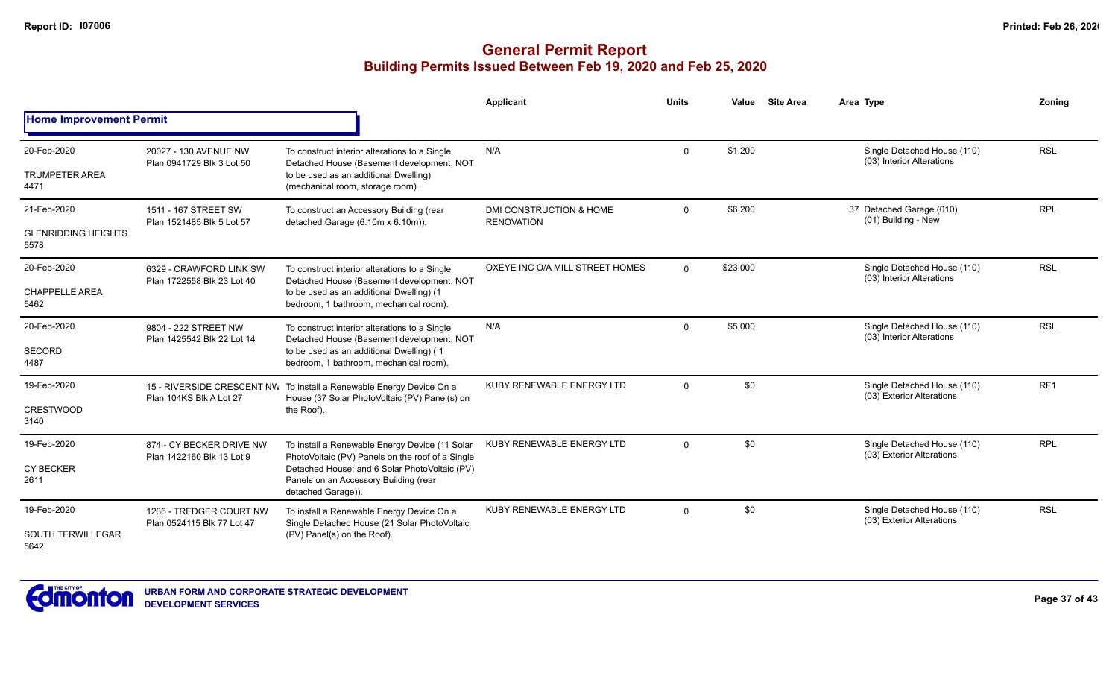|                                                   |                                                       |                                                                                                                                                                                                                    | Applicant                                               | <b>Units</b> | Value    | <b>Site Area</b> | Area Type                                                | Zoning          |
|---------------------------------------------------|-------------------------------------------------------|--------------------------------------------------------------------------------------------------------------------------------------------------------------------------------------------------------------------|---------------------------------------------------------|--------------|----------|------------------|----------------------------------------------------------|-----------------|
| <b>Home Improvement Permit</b>                    |                                                       |                                                                                                                                                                                                                    |                                                         |              |          |                  |                                                          |                 |
| 20-Feb-2020<br><b>TRUMPETER AREA</b><br>4471      | 20027 - 130 AVENUE NW<br>Plan 0941729 Blk 3 Lot 50    | To construct interior alterations to a Single<br>Detached House (Basement development, NOT<br>to be used as an additional Dwelling)<br>(mechanical room, storage room).                                            | N/A                                                     | $\Omega$     | \$1,200  |                  | Single Detached House (110)<br>(03) Interior Alterations | <b>RSL</b>      |
| 21-Feb-2020<br><b>GLENRIDDING HEIGHTS</b><br>5578 | 1511 - 167 STREET SW<br>Plan 1521485 Blk 5 Lot 57     | To construct an Accessory Building (rear<br>detached Garage (6.10m x 6.10m)).                                                                                                                                      | <b>DMI CONSTRUCTION &amp; HOME</b><br><b>RENOVATION</b> | $\mathbf 0$  | \$6,200  |                  | 37 Detached Garage (010)<br>(01) Building - New          | <b>RPL</b>      |
| 20-Feb-2020<br><b>CHAPPELLE AREA</b><br>5462      | 6329 - CRAWFORD LINK SW<br>Plan 1722558 Blk 23 Lot 40 | To construct interior alterations to a Single<br>Detached House (Basement development, NOT<br>to be used as an additional Dwelling) (1<br>bedroom, 1 bathroom, mechanical room).                                   | OXEYE INC O/A MILL STREET HOMES                         | $\Omega$     | \$23,000 |                  | Single Detached House (110)<br>(03) Interior Alterations | <b>RSL</b>      |
| 20-Feb-2020<br>SECORD<br>4487                     | 9804 - 222 STREET NW<br>Plan 1425542 Blk 22 Lot 14    | To construct interior alterations to a Single<br>Detached House (Basement development, NOT<br>to be used as an additional Dwelling) (1<br>bedroom, 1 bathroom, mechanical room).                                   | N/A                                                     | $\Omega$     | \$5,000  |                  | Single Detached House (110)<br>(03) Interior Alterations | <b>RSL</b>      |
| 19-Feb-2020<br><b>CRESTWOOD</b><br>3140           | Plan 104KS Blk A Lot 27                               | 15 - RIVERSIDE CRESCENT NW To install a Renewable Energy Device On a<br>House (37 Solar PhotoVoltaic (PV) Panel(s) on<br>the Roof).                                                                                | KUBY RENEWABLE ENERGY LTD                               | $\Omega$     | \$0      |                  | Single Detached House (110)<br>(03) Exterior Alterations | RF <sub>1</sub> |
| 19-Feb-2020<br><b>CY BECKER</b><br>2611           | 874 - CY BECKER DRIVE NW<br>Plan 1422160 Blk 13 Lot 9 | To install a Renewable Energy Device (11 Solar<br>PhotoVoltaic (PV) Panels on the roof of a Single<br>Detached House; and 6 Solar PhotoVoltaic (PV)<br>Panels on an Accessory Building (rear<br>detached Garage)). | KUBY RENEWABLE ENERGY LTD                               | $\Omega$     | \$0      |                  | Single Detached House (110)<br>(03) Exterior Alterations | <b>RPL</b>      |
| 19-Feb-2020<br>SOUTH TERWILLEGAR<br>5642          | 1236 - TREDGER COURT NW<br>Plan 0524115 Blk 77 Lot 47 | To install a Renewable Energy Device On a<br>Single Detached House (21 Solar PhotoVoltaic<br>(PV) Panel(s) on the Roof).                                                                                           | KUBY RENEWABLE ENERGY LTD                               | $\Omega$     | \$0      |                  | Single Detached House (110)<br>(03) Exterior Alterations | <b>RSL</b>      |

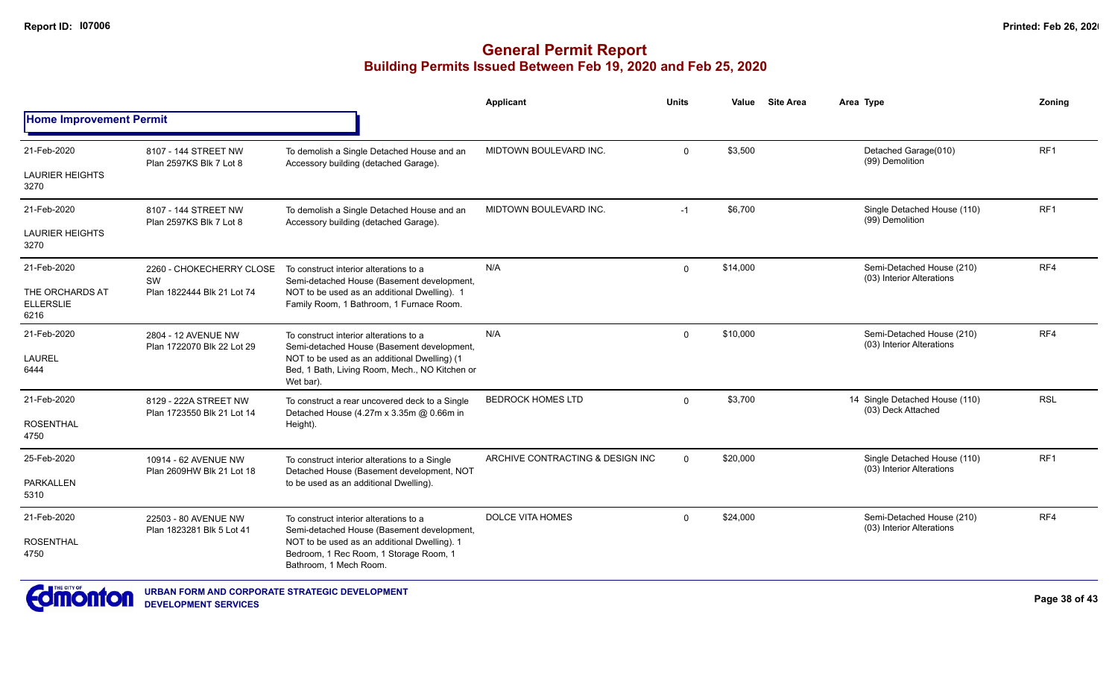|                                             |                                                     |                                                                                                                                                                                                     | <b>Applicant</b>                 | <b>Units</b> | Value    | <b>Site Area</b> | Area Type                                                | Zoning          |
|---------------------------------------------|-----------------------------------------------------|-----------------------------------------------------------------------------------------------------------------------------------------------------------------------------------------------------|----------------------------------|--------------|----------|------------------|----------------------------------------------------------|-----------------|
| <b>Home Improvement Permit</b>              |                                                     |                                                                                                                                                                                                     |                                  |              |          |                  |                                                          |                 |
| 21-Feb-2020                                 | 8107 - 144 STREET NW<br>Plan 2597KS Blk 7 Lot 8     | To demolish a Single Detached House and an<br>Accessory building (detached Garage).                                                                                                                 | MIDTOWN BOULEVARD INC.           | $\mathbf 0$  | \$3,500  |                  | Detached Garage(010)<br>(99) Demolition                  | RF <sub>1</sub> |
| <b>LAURIER HEIGHTS</b><br>3270              |                                                     |                                                                                                                                                                                                     |                                  |              |          |                  |                                                          |                 |
| 21-Feb-2020                                 | 8107 - 144 STREET NW<br>Plan 2597KS Blk 7 Lot 8     | To demolish a Single Detached House and an<br>Accessory building (detached Garage).                                                                                                                 | MIDTOWN BOULEVARD INC.           | $-1$         | \$6,700  |                  | Single Detached House (110)<br>(99) Demolition           | RF <sub>1</sub> |
| <b>LAURIER HEIGHTS</b><br>3270              |                                                     |                                                                                                                                                                                                     |                                  |              |          |                  |                                                          |                 |
| 21-Feb-2020                                 | 2260 - CHOKECHERRY CLOSE<br><b>SW</b>               | To construct interior alterations to a<br>Semi-detached House (Basement development,                                                                                                                | N/A                              | $\Omega$     | \$14,000 |                  | Semi-Detached House (210)<br>(03) Interior Alterations   | RF4             |
| THE ORCHARDS AT<br><b>ELLERSLIE</b><br>6216 | Plan 1822444 Blk 21 Lot 74                          | NOT to be used as an additional Dwelling). 1<br>Family Room, 1 Bathroom, 1 Furnace Room.                                                                                                            |                                  |              |          |                  |                                                          |                 |
| 21-Feb-2020                                 | 2804 - 12 AVENUE NW<br>Plan 1722070 Blk 22 Lot 29   | To construct interior alterations to a<br>Semi-detached House (Basement development,<br>NOT to be used as an additional Dwelling) (1<br>Bed, 1 Bath, Living Room, Mech., NO Kitchen or<br>Wet bar). | N/A                              | $\Omega$     | \$10,000 |                  | Semi-Detached House (210)<br>(03) Interior Alterations   | RF4             |
| <b>LAUREL</b><br>6444                       |                                                     |                                                                                                                                                                                                     |                                  |              |          |                  |                                                          |                 |
| 21-Feb-2020                                 | 8129 - 222A STREET NW<br>Plan 1723550 Blk 21 Lot 14 | To construct a rear uncovered deck to a Single<br>Detached House (4.27m x 3.35m @ 0.66m in                                                                                                          | <b>BEDROCK HOMES LTD</b>         | $\Omega$     | \$3,700  |                  | 14 Single Detached House (110)<br>(03) Deck Attached     | <b>RSL</b>      |
| <b>ROSENTHAL</b><br>4750                    |                                                     | Height).                                                                                                                                                                                            |                                  |              |          |                  |                                                          |                 |
| 25-Feb-2020                                 | 10914 - 62 AVENUE NW<br>Plan 2609HW Blk 21 Lot 18   | To construct interior alterations to a Single<br>Detached House (Basement development, NOT                                                                                                          | ARCHIVE CONTRACTING & DESIGN INC | $\Omega$     | \$20,000 |                  | Single Detached House (110)<br>(03) Interior Alterations | RF <sub>1</sub> |
| <b>PARKALLEN</b><br>5310                    |                                                     | to be used as an additional Dwelling).                                                                                                                                                              |                                  |              |          |                  |                                                          |                 |
| 21-Feb-2020                                 | 22503 - 80 AVENUE NW<br>Plan 1823281 Blk 5 Lot 41   | To construct interior alterations to a<br>Semi-detached House (Basement development,                                                                                                                | <b>DOLCE VITA HOMES</b>          | $\Omega$     | \$24,000 |                  | Semi-Detached House (210)<br>(03) Interior Alterations   | RF4             |
| <b>ROSENTHAL</b><br>4750                    |                                                     | NOT to be used as an additional Dwelling). 1<br>Bedroom, 1 Rec Room, 1 Storage Room, 1<br>Bathroom. 1 Mech Room.                                                                                    |                                  |              |          |                  |                                                          |                 |

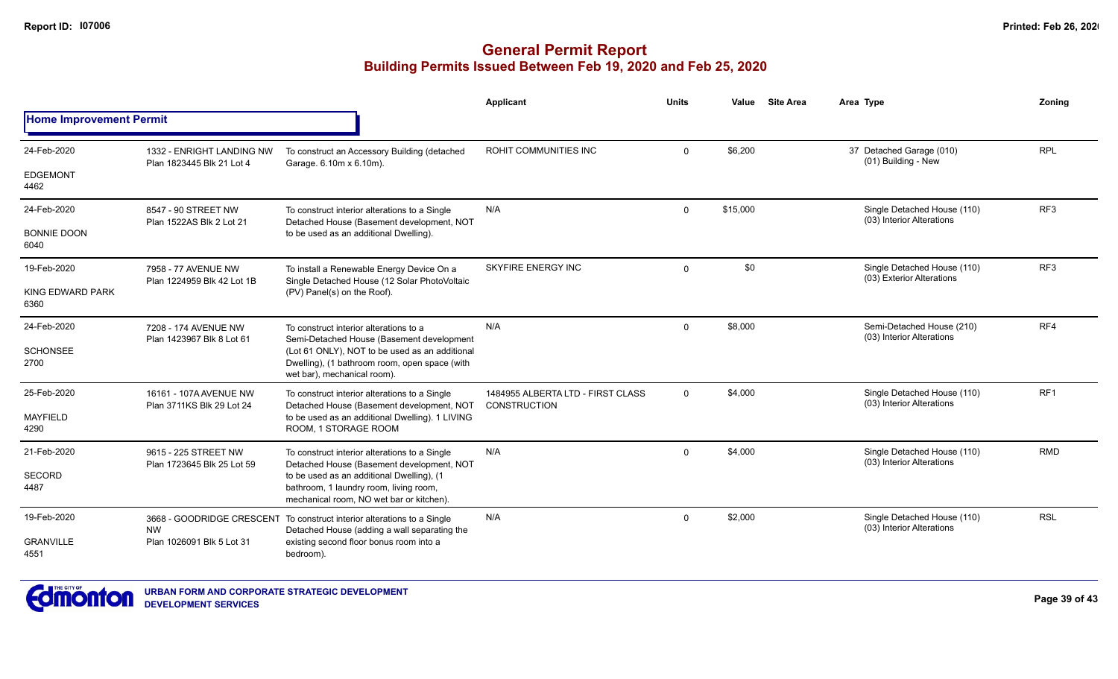|                                |                                                        |                                                                                                                                 | Applicant                                                | <b>Units</b> | Value    | <b>Site Area</b> | Area Type                                                | Zoning          |
|--------------------------------|--------------------------------------------------------|---------------------------------------------------------------------------------------------------------------------------------|----------------------------------------------------------|--------------|----------|------------------|----------------------------------------------------------|-----------------|
| <b>Home Improvement Permit</b> |                                                        |                                                                                                                                 |                                                          |              |          |                  |                                                          |                 |
| 24-Feb-2020                    | 1332 - ENRIGHT LANDING NW<br>Plan 1823445 Blk 21 Lot 4 | To construct an Accessory Building (detached<br>Garage. 6.10m x 6.10m).                                                         | ROHIT COMMUNITIES INC                                    | $\Omega$     | \$6,200  |                  | 37 Detached Garage (010)<br>(01) Building - New          | <b>RPL</b>      |
| <b>EDGEMONT</b><br>4462        |                                                        |                                                                                                                                 |                                                          |              |          |                  |                                                          |                 |
| 24-Feb-2020                    | 8547 - 90 STREET NW<br>Plan 1522AS Blk 2 Lot 21        | To construct interior alterations to a Single<br>Detached House (Basement development, NOT                                      | N/A                                                      | $\Omega$     | \$15,000 |                  | Single Detached House (110)<br>(03) Interior Alterations | RF3             |
| <b>BONNIE DOON</b><br>6040     |                                                        | to be used as an additional Dwelling).                                                                                          |                                                          |              |          |                  |                                                          |                 |
| 19-Feb-2020                    | 7958 - 77 AVENUE NW<br>Plan 1224959 Blk 42 Lot 1B      | To install a Renewable Energy Device On a<br>Single Detached House (12 Solar PhotoVoltaic                                       | SKYFIRE ENERGY INC                                       | $\Omega$     | \$0      |                  | Single Detached House (110)<br>(03) Exterior Alterations | RF3             |
| KING EDWARD PARK<br>6360       |                                                        | (PV) Panel(s) on the Roof).                                                                                                     |                                                          |              |          |                  |                                                          |                 |
| 24-Feb-2020                    | 7208 - 174 AVENUE NW<br>Plan 1423967 Blk 8 Lot 61      | To construct interior alterations to a<br>Semi-Detached House (Basement development                                             | N/A                                                      | $\mathbf 0$  | \$8,000  |                  | Semi-Detached House (210)<br>(03) Interior Alterations   | RF4             |
| <b>SCHONSEE</b><br>2700        |                                                        | (Lot 61 ONLY), NOT to be used as an additional<br>Dwelling), (1 bathroom room, open space (with<br>wet bar), mechanical room).  |                                                          |              |          |                  |                                                          |                 |
| 25-Feb-2020                    | 16161 - 107A AVENUE NW<br>Plan 3711KS Blk 29 Lot 24    | To construct interior alterations to a Single<br>Detached House (Basement development, NOT                                      | 1484955 ALBERTA LTD - FIRST CLASS<br><b>CONSTRUCTION</b> | $\mathbf 0$  | \$4,000  |                  | Single Detached House (110)<br>(03) Interior Alterations | RF <sub>1</sub> |
| <b>MAYFIELD</b><br>4290        |                                                        | to be used as an additional Dwelling). 1 LIVING<br>ROOM, 1 STORAGE ROOM                                                         |                                                          |              |          |                  |                                                          |                 |
| 21-Feb-2020                    | 9615 - 225 STREET NW<br>Plan 1723645 Blk 25 Lot 59     | To construct interior alterations to a Single<br>Detached House (Basement development, NOT                                      | N/A                                                      | $\Omega$     | \$4,000  |                  | Single Detached House (110)<br>(03) Interior Alterations | <b>RMD</b>      |
| SECORD<br>4487                 |                                                        | to be used as an additional Dwelling), (1<br>bathroom, 1 laundry room, living room,<br>mechanical room, NO wet bar or kitchen). |                                                          |              |          |                  |                                                          |                 |
| 19-Feb-2020                    | <b>NW</b>                                              | 3668 - GOODRIDGE CRESCENT To construct interior alterations to a Single<br>Detached House (adding a wall separating the         | N/A                                                      | $\Omega$     | \$2,000  |                  | Single Detached House (110)<br>(03) Interior Alterations | <b>RSL</b>      |
| <b>GRANVILLE</b><br>4551       | Plan 1026091 Blk 5 Lot 31                              | existing second floor bonus room into a<br>bedroom).                                                                            |                                                          |              |          |                  |                                                          |                 |

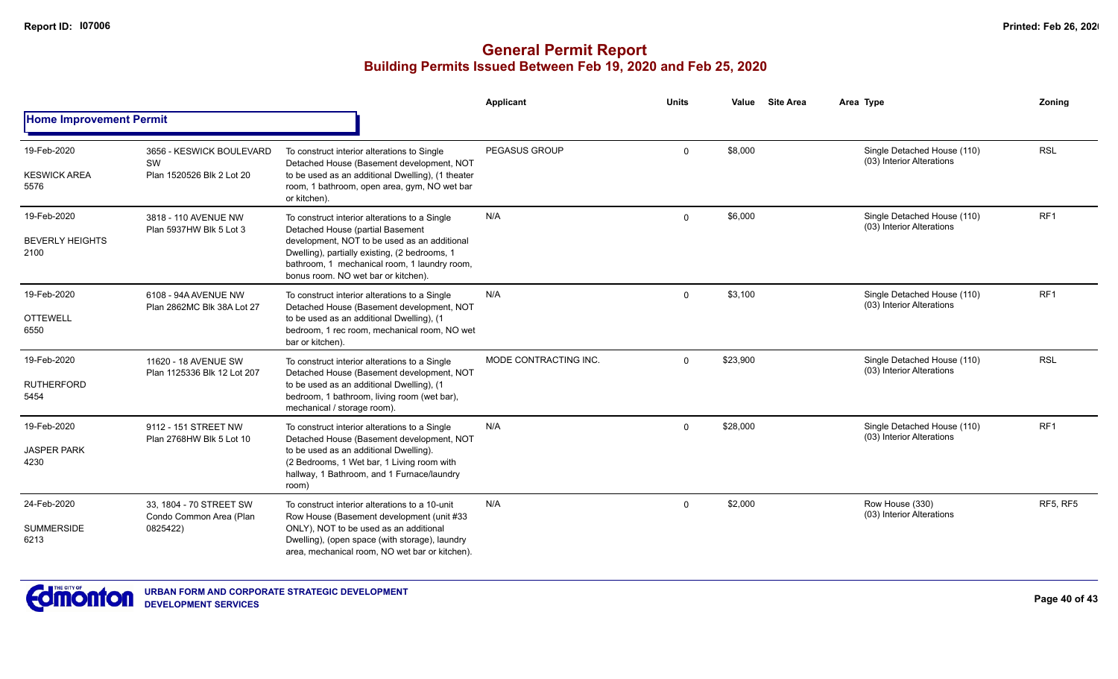|                                               |                                                                |                                                                                                                                                                                                                                                                           | Applicant             | <b>Units</b> | Value    | <b>Site Area</b> | Area Type                                                | Zoning          |
|-----------------------------------------------|----------------------------------------------------------------|---------------------------------------------------------------------------------------------------------------------------------------------------------------------------------------------------------------------------------------------------------------------------|-----------------------|--------------|----------|------------------|----------------------------------------------------------|-----------------|
| <b>Home Improvement Permit</b>                |                                                                |                                                                                                                                                                                                                                                                           |                       |              |          |                  |                                                          |                 |
| 19-Feb-2020<br><b>KESWICK AREA</b><br>5576    | 3656 - KESWICK BOULEVARD<br>SW<br>Plan 1520526 Blk 2 Lot 20    | To construct interior alterations to Single<br>Detached House (Basement development, NOT<br>to be used as an additional Dwelling), (1 theater<br>room, 1 bathroom, open area, gym, NO wet bar<br>or kitchen).                                                             | <b>PEGASUS GROUP</b>  | $\mathbf{0}$ | \$8,000  |                  | Single Detached House (110)<br>(03) Interior Alterations | <b>RSL</b>      |
| 19-Feb-2020<br><b>BEVERLY HEIGHTS</b><br>2100 | 3818 - 110 AVENUE NW<br>Plan 5937HW Blk 5 Lot 3                | To construct interior alterations to a Single<br>Detached House (partial Basement<br>development, NOT to be used as an additional<br>Dwelling), partially existing, (2 bedrooms, 1<br>bathroom, 1 mechanical room, 1 laundry room,<br>bonus room. NO wet bar or kitchen). | N/A                   | $\Omega$     | \$6,000  |                  | Single Detached House (110)<br>(03) Interior Alterations | RF <sub>1</sub> |
| 19-Feb-2020<br><b>OTTEWELL</b><br>6550        | 6108 - 94A AVENUE NW<br>Plan 2862MC Blk 38A Lot 27             | To construct interior alterations to a Single<br>Detached House (Basement development, NOT<br>to be used as an additional Dwelling), (1<br>bedroom, 1 rec room, mechanical room, NO wet<br>bar or kitchen).                                                               | N/A                   | $\Omega$     | \$3,100  |                  | Single Detached House (110)<br>(03) Interior Alterations | RF <sub>1</sub> |
| 19-Feb-2020<br><b>RUTHERFORD</b><br>5454      | 11620 - 18 AVENUE SW<br>Plan 1125336 Blk 12 Lot 207            | To construct interior alterations to a Single<br>Detached House (Basement development, NOT<br>to be used as an additional Dwelling), (1<br>bedroom, 1 bathroom, living room (wet bar),<br>mechanical / storage room).                                                     | MODE CONTRACTING INC. | $\mathbf{0}$ | \$23,900 |                  | Single Detached House (110)<br>(03) Interior Alterations | <b>RSL</b>      |
| 19-Feb-2020<br><b>JASPER PARK</b><br>4230     | 9112 - 151 STREET NW<br>Plan 2768HW Blk 5 Lot 10               | To construct interior alterations to a Single<br>Detached House (Basement development, NOT<br>to be used as an additional Dwelling).<br>(2 Bedrooms, 1 Wet bar, 1 Living room with<br>hallway, 1 Bathroom, and 1 Furnace/laundry<br>room)                                 | N/A                   | $\Omega$     | \$28,000 |                  | Single Detached House (110)<br>(03) Interior Alterations | RF <sub>1</sub> |
| 24-Feb-2020<br><b>SUMMERSIDE</b><br>6213      | 33, 1804 - 70 STREET SW<br>Condo Common Area (Plan<br>0825422) | To construct interior alterations to a 10-unit<br>Row House (Basement development (unit #33)<br>ONLY), NOT to be used as an additional<br>Dwelling), (open space (with storage), laundry<br>area, mechanical room, NO wet bar or kitchen).                                | N/A                   | $\mathbf{0}$ | \$2,000  |                  | Row House (330)<br>(03) Interior Alterations             | <b>RF5, RF5</b> |

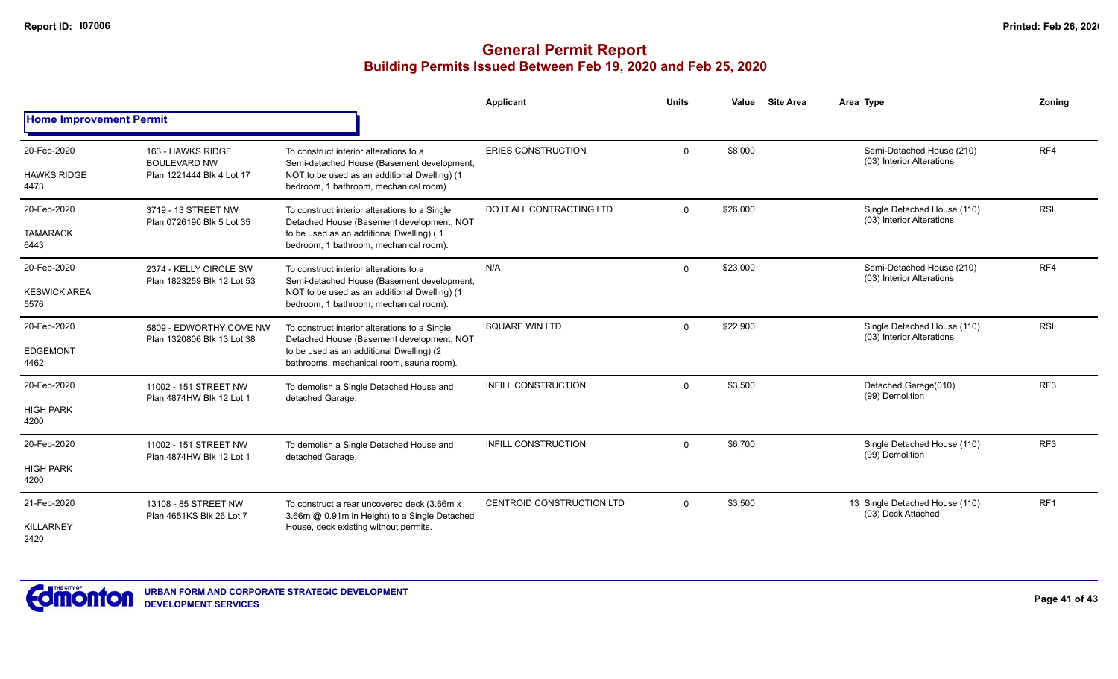|                                            |                                                                       |                                                                                                                                                                                    | Applicant                        | <b>Units</b> | <b>Site Area</b><br>Value | Area Type                                                | Zoning          |
|--------------------------------------------|-----------------------------------------------------------------------|------------------------------------------------------------------------------------------------------------------------------------------------------------------------------------|----------------------------------|--------------|---------------------------|----------------------------------------------------------|-----------------|
| <b>Home Improvement Permit</b>             |                                                                       |                                                                                                                                                                                    |                                  |              |                           |                                                          |                 |
| 20-Feb-2020<br><b>HAWKS RIDGE</b><br>4473  | 163 - HAWKS RIDGE<br><b>BOULEVARD NW</b><br>Plan 1221444 Blk 4 Lot 17 | To construct interior alterations to a<br>Semi-detached House (Basement development,<br>NOT to be used as an additional Dwelling) (1<br>bedroom, 1 bathroom, mechanical room).     | <b>ERIES CONSTRUCTION</b>        | $\Omega$     | \$8,000                   | Semi-Detached House (210)<br>(03) Interior Alterations   | RF4             |
| 20-Feb-2020<br><b>TAMARACK</b><br>6443     | 3719 - 13 STREET NW<br>Plan 0726190 Blk 5 Lot 35                      | To construct interior alterations to a Single<br>Detached House (Basement development, NOT<br>to be used as an additional Dwelling) (1<br>bedroom, 1 bathroom, mechanical room).   | DO IT ALL CONTRACTING LTD        | $\mathbf{0}$ | \$26,000                  | Single Detached House (110)<br>(03) Interior Alterations | <b>RSL</b>      |
| 20-Feb-2020<br><b>KESWICK AREA</b><br>5576 | 2374 - KELLY CIRCLE SW<br>Plan 1823259 Blk 12 Lot 53                  | To construct interior alterations to a<br>Semi-detached House (Basement development,<br>NOT to be used as an additional Dwelling) (1<br>bedroom, 1 bathroom, mechanical room).     | N/A                              | $\Omega$     | \$23,000                  | Semi-Detached House (210)<br>(03) Interior Alterations   | RF4             |
| 20-Feb-2020<br><b>EDGEMONT</b><br>4462     | 5809 - EDWORTHY COVE NW<br>Plan 1320806 Blk 13 Lot 38                 | To construct interior alterations to a Single<br>Detached House (Basement development, NOT<br>to be used as an additional Dwelling) (2<br>bathrooms, mechanical room, sauna room). | <b>SQUARE WIN LTD</b>            | $\mathbf{0}$ | \$22,900                  | Single Detached House (110)<br>(03) Interior Alterations | <b>RSL</b>      |
| 20-Feb-2020<br><b>HIGH PARK</b><br>4200    | 11002 - 151 STREET NW<br>Plan 4874HW Blk 12 Lot 1                     | To demolish a Single Detached House and<br>detached Garage.                                                                                                                        | <b>INFILL CONSTRUCTION</b>       | $\Omega$     | \$3,500                   | Detached Garage(010)<br>(99) Demolition                  | RF <sub>3</sub> |
| 20-Feb-2020<br><b>HIGH PARK</b><br>4200    | 11002 - 151 STREET NW<br>Plan 4874HW Blk 12 Lot 1                     | To demolish a Single Detached House and<br>detached Garage.                                                                                                                        | <b>INFILL CONSTRUCTION</b>       | $\Omega$     | \$6,700                   | Single Detached House (110)<br>(99) Demolition           | RF <sub>3</sub> |
| 21-Feb-2020<br>KILLARNEY<br>2420           | 13108 - 85 STREET NW<br>Plan 4651KS Blk 26 Lot 7                      | To construct a rear uncovered deck (3.66m x<br>3.66m @ 0.91m in Height) to a Single Detached<br>House, deck existing without permits.                                              | <b>CENTROID CONSTRUCTION LTD</b> | $\Omega$     | \$3,500                   | 13 Single Detached House (110)<br>(03) Deck Attached     | RF <sub>1</sub> |

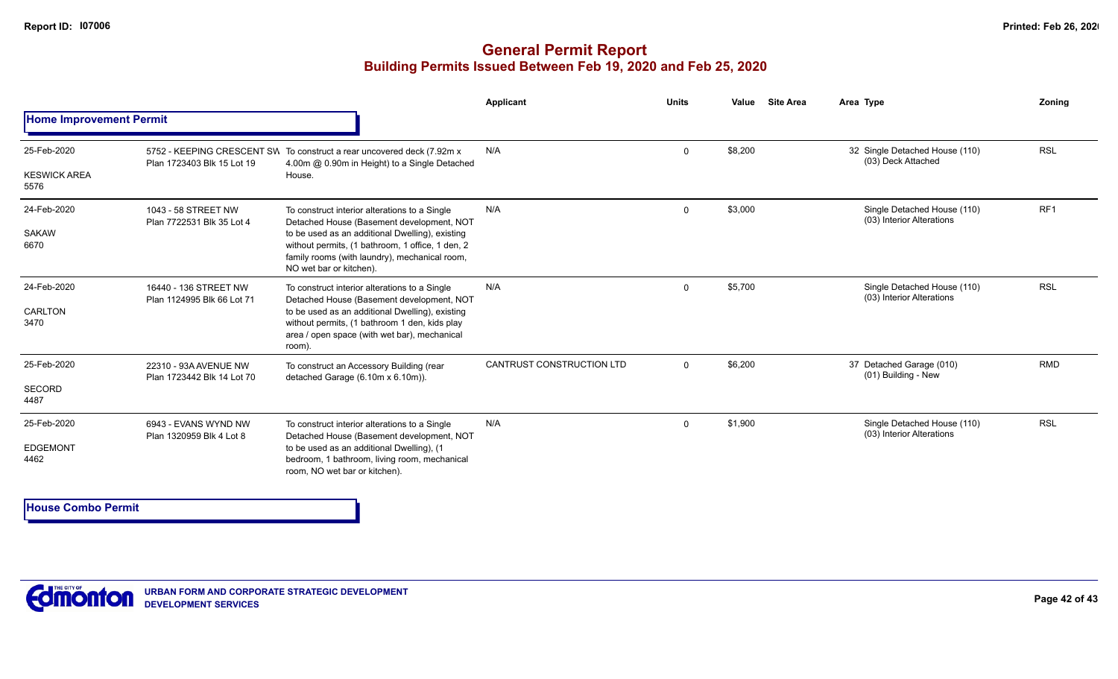### **General Permit Report Building Permits Issued Between Feb 19, 2020 and Feb 25, 2020**

|                                        |                                                     |                                                                                                                                                                                                                                                                               | Applicant                        | <b>Units</b> | Value   | <b>Site Area</b> | Area Type                                                | Zoning          |
|----------------------------------------|-----------------------------------------------------|-------------------------------------------------------------------------------------------------------------------------------------------------------------------------------------------------------------------------------------------------------------------------------|----------------------------------|--------------|---------|------------------|----------------------------------------------------------|-----------------|
| <b>Home Improvement Permit</b>         |                                                     |                                                                                                                                                                                                                                                                               |                                  |              |         |                  |                                                          |                 |
| 25-Feb-2020                            | Plan 1723403 Blk 15 Lot 19                          | 5752 - KEEPING CRESCENT SW To construct a rear uncovered deck (7.92m x<br>4.00m @ 0.90m in Height) to a Single Detached                                                                                                                                                       | N/A                              | $\mathbf 0$  | \$8,200 |                  | 32 Single Detached House (110)<br>(03) Deck Attached     | <b>RSL</b>      |
| <b>KESWICK AREA</b><br>5576            |                                                     | House.                                                                                                                                                                                                                                                                        |                                  |              |         |                  |                                                          |                 |
| 24-Feb-2020<br>SAKAW<br>6670           | 1043 - 58 STREET NW<br>Plan 7722531 Blk 35 Lot 4    | To construct interior alterations to a Single<br>Detached House (Basement development, NOT<br>to be used as an additional Dwelling), existing<br>without permits, (1 bathroom, 1 office, 1 den, 2<br>family rooms (with laundry), mechanical room,<br>NO wet bar or kitchen). | N/A                              | $\Omega$     | \$3,000 |                  | Single Detached House (110)<br>(03) Interior Alterations | RF <sub>1</sub> |
| 24-Feb-2020<br><b>CARLTON</b><br>3470  | 16440 - 136 STREET NW<br>Plan 1124995 Blk 66 Lot 71 | To construct interior alterations to a Single<br>Detached House (Basement development, NOT<br>to be used as an additional Dwelling), existing<br>without permits, (1 bathroom 1 den, kids play<br>area / open space (with wet bar), mechanical<br>room).                      | N/A                              | $\Omega$     | \$5,700 |                  | Single Detached House (110)<br>(03) Interior Alterations | <b>RSL</b>      |
| 25-Feb-2020<br><b>SECORD</b><br>4487   | 22310 - 93A AVENUE NW<br>Plan 1723442 Blk 14 Lot 70 | To construct an Accessory Building (rear<br>detached Garage (6.10m x 6.10m)).                                                                                                                                                                                                 | <b>CANTRUST CONSTRUCTION LTD</b> | $\Omega$     | \$6,200 |                  | 37 Detached Garage (010)<br>(01) Building - New          | <b>RMD</b>      |
| 25-Feb-2020<br><b>EDGEMONT</b><br>4462 | 6943 - EVANS WYND NW<br>Plan 1320959 Blk 4 Lot 8    | To construct interior alterations to a Single<br>Detached House (Basement development, NOT<br>to be used as an additional Dwelling), (1<br>bedroom, 1 bathroom, living room, mechanical<br>room, NO wet bar or kitchen).                                                      | N/A                              | $\Omega$     | \$1,900 |                  | Single Detached House (110)<br>(03) Interior Alterations | <b>RSL</b>      |

**House Combo Permit**